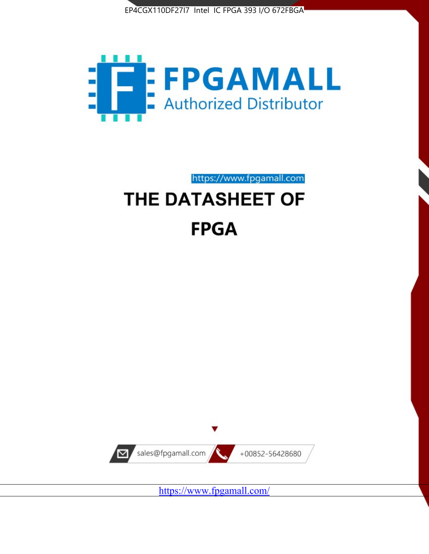



https://www.fpgamall.com

# THE DATASHEET OF **FPGA**



<https://www.fpgamall.com/>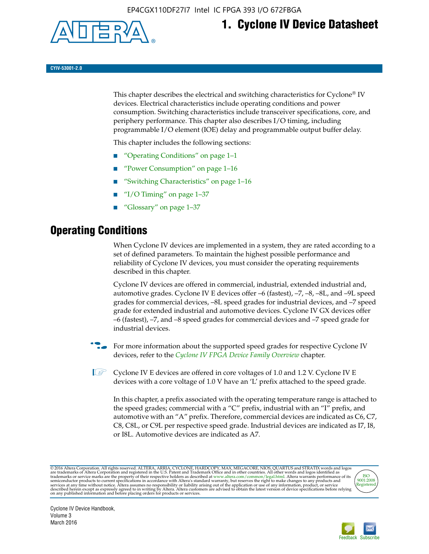

# **1. Cyclone IV Device Datasheet**

**CYIV-53001-2.0**

This chapter describes the electrical and switching characteristics for Cyclone<sup>®</sup> IV devices. Electrical characteristics include operating conditions and power consumption. Switching characteristics include transceiver specifications, core, and periphery performance. This chapter also describes I/O timing, including programmable I/O element (IOE) delay and programmable output buffer delay.

This chapter includes the following sections:

- "Operating Conditions" on page 1–1
- "Power Consumption" on page 1–16
- "Switching Characteristics" on page 1–16
- "I/O Timing" on page  $1-37$
- "Glossary" on page 1–37

## **Operating Conditions**

When Cyclone IV devices are implemented in a system, they are rated according to a set of defined parameters. To maintain the highest possible performance and reliability of Cyclone IV devices, you must consider the operating requirements described in this chapter.

Cyclone IV devices are offered in commercial, industrial, extended industrial and, automotive grades. Cyclone IV E devices offer –6 (fastest), –7, –8, –8L, and –9L speed grades for commercial devices, –8L speed grades for industrial devices, and –7 speed grade for extended industrial and automotive devices. Cyclone IV GX devices offer –6 (fastest), –7, and –8 speed grades for commercial devices and –7 speed grade for industrial devices.

**For more information about the supported speed grades for respective Cyclone IV** devices, refer to the *[Cyclone IV FPGA Device Family Overview](http://www.altera.com/literature/hb/cyclone-iv/cyiv-51001.pdf)* chapter.

**1** Cyclone IV E devices are offered in core voltages of 1.0 and 1.2 V. Cyclone IV E devices with a core voltage of 1.0 V have an 'L' prefix attached to the speed grade.

In this chapter, a prefix associated with the operating temperature range is attached to the speed grades; commercial with a "C" prefix, industrial with an "I" prefix, and automotive with an "A" prefix. Therefore, commercial devices are indicated as C6, C7, C8, C8L, or C9L per respective speed grade. Industrial devices are indicated as I7, I8, or I8L. Automotive devices are indicated as A7.

@2016 Altera Corporation. All rights reserved. ALTERA, ARRIA, CYCLONE, HARDCOPY, MAX, MEGACORE, NIOS, QUARTUS and STRATIX words and logos are trademarks of Altera Corporation and registered in the U.S. Patent and Trademark



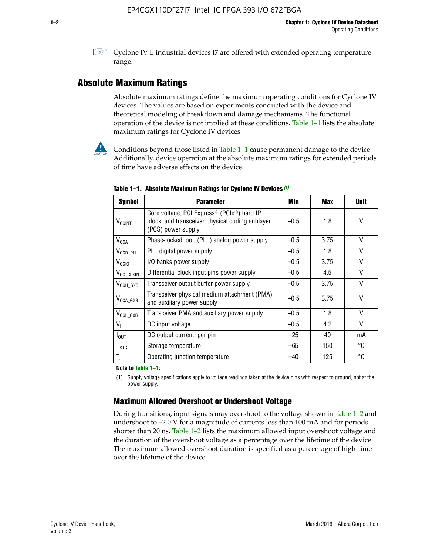**1 Cyclone IV E industrial devices I7 are offered with extended operating temperature** range.

### **Absolute Maximum Ratings**

Absolute maximum ratings define the maximum operating conditions for Cyclone IV devices. The values are based on experiments conducted with the device and theoretical modeling of breakdown and damage mechanisms. The functional operation of the device is not implied at these conditions. Table 1–1 lists the absolute maximum ratings for Cyclone IV devices.



**Conditions beyond those listed in Table 1–1 cause permanent damage to the device.** Additionally, device operation at the absolute maximum ratings for extended periods of time have adverse effects on the device.

| <b>Symbol</b>              | <b>Parameter</b>                                                                                                                             | Min    | <b>Max</b> | <b>Unit</b>  |
|----------------------------|----------------------------------------------------------------------------------------------------------------------------------------------|--------|------------|--------------|
| <b>V<sub>CCINT</sub></b>   | Core voltage, PCI Express <sup>®</sup> (PCIe <sup>®</sup> ) hard IP<br>block, and transceiver physical coding sublayer<br>(PCS) power supply | $-0.5$ | 1.8        | V            |
| $V_{CCA}$                  | Phase-locked loop (PLL) analog power supply                                                                                                  | $-0.5$ | 3.75       | V            |
| $V_{\text{CCD\_PLL}}$      | PLL digital power supply                                                                                                                     | $-0.5$ | 1.8        | $\vee$       |
| V <sub>CCIO</sub>          | I/O banks power supply                                                                                                                       | $-0.5$ | 3.75       | V            |
| V <sub>CC_CLKIN</sub>      | Differential clock input pins power supply                                                                                                   | $-0.5$ | 4.5        | V            |
| $V_{\text{CCH_GXB}}$       | Transceiver output buffer power supply                                                                                                       | $-0.5$ | 3.75       | V            |
| $V_{\text{CCA\_GXB}}$      | Transceiver physical medium attachment (PMA)<br>and auxiliary power supply                                                                   | $-0.5$ | 3.75       | V            |
| $V_{CCL_GXB}$              | Transceiver PMA and auxiliary power supply                                                                                                   | $-0.5$ | 1.8        | $\mathsf{V}$ |
| $V_{I}$                    | DC input voltage                                                                                                                             | $-0.5$ | 4.2        | V            |
| $I_{\text{OUT}}$           | DC output current, per pin                                                                                                                   | $-25$  | 40         | mA           |
| ${\mathsf T}_{\text{STG}}$ | Storage temperature                                                                                                                          | $-65$  | 150        | °C           |
| $T_{\rm J}$                | Operating junction temperature                                                                                                               | $-40$  | 125        | °C           |

**Table 1–1. Absolute Maximum Ratings for Cyclone IV Devices** *(1)*

#### **Note to Table 1–1:**

(1) Supply voltage specifications apply to voltage readings taken at the device pins with respect to ground, not at the power supply.

### **Maximum Allowed Overshoot or Undershoot Voltage**

During transitions, input signals may overshoot to the voltage shown in Table 1–2 and undershoot to –2.0 V for a magnitude of currents less than 100 mA and for periods shorter than 20 ns. Table 1–2 lists the maximum allowed input overshoot voltage and the duration of the overshoot voltage as a percentage over the lifetime of the device. The maximum allowed overshoot duration is specified as a percentage of high-time over the lifetime of the device.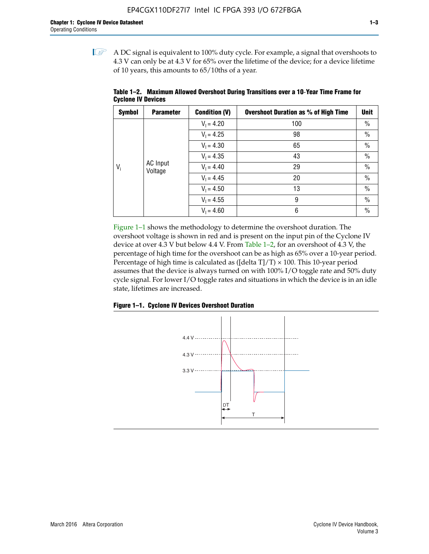$\mathbb{I}$  A DC signal is equivalent to 100% duty cycle. For example, a signal that overshoots to 4.3 V can only be at 4.3 V for 65% over the lifetime of the device; for a device lifetime of 10 years, this amounts to 65/10ths of a year.

| <b>Symbol</b> | <b>Parameter</b>    | <b>Condition (V)</b> | <b>Overshoot Duration as % of High Time</b> | Unit |
|---------------|---------------------|----------------------|---------------------------------------------|------|
|               |                     | $V_1 = 4.20$         | 100                                         | $\%$ |
| $V_i$         |                     | $V_1 = 4.25$         | 98                                          | $\%$ |
|               |                     | $V_1 = 4.30$<br>65   |                                             | $\%$ |
|               | $V_1 = 4.35$        | 43                   | $\%$                                        |      |
|               | AC Input<br>Voltage | $V_1 = 4.40$         | 29                                          | $\%$ |
|               |                     | $V_1 = 4.45$         | 20                                          | $\%$ |
|               |                     | $V_1 = 4.50$         | 13                                          | $\%$ |
|               |                     | $V_1 = 4.55$         | 9                                           | $\%$ |
|               |                     | $V_1 = 4.60$         | 6                                           | $\%$ |

**Table 1–2. Maximum Allowed Overshoot During Transitions over a 10**-**Year Time Frame for Cyclone IV Devices**

Figure 1–1 shows the methodology to determine the overshoot duration. The overshoot voltage is shown in red and is present on the input pin of the Cyclone IV device at over 4.3 V but below 4.4 V. From Table 1–2, for an overshoot of 4.3 V, the percentage of high time for the overshoot can be as high as 65% over a 10-year period. Percentage of high time is calculated as ([delta  $T$ ]/T)  $\times$  100. This 10-year period assumes that the device is always turned on with 100% I/O toggle rate and 50% duty cycle signal. For lower I/O toggle rates and situations in which the device is in an idle state, lifetimes are increased.



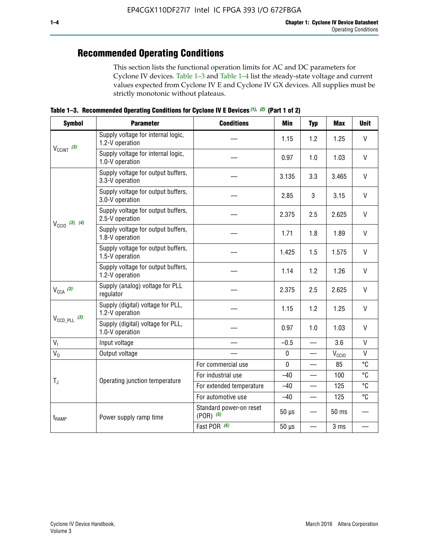# **Recommended Operating Conditions**

This section lists the functional operation limits for AC and DC parameters for Cyclone IV devices. Table 1–3 and Table 1–4 list the steady-state voltage and current values expected from Cyclone IV E and Cyclone IV GX devices. All supplies must be strictly monotonic without plateaus.

**Table 1–3. Recommended Operating Conditions for Cyclone IV E Devices** *(1)***,** *(2)* **(Part 1 of 2)**

| <b>Symbol</b>              | <b>Parameter</b>                                      | <b>Conditions</b>                      | <b>Min</b>  | <b>Typ</b>               | <b>Max</b> | <b>Unit</b>  |
|----------------------------|-------------------------------------------------------|----------------------------------------|-------------|--------------------------|------------|--------------|
|                            | Supply voltage for internal logic,<br>1.2-V operation |                                        | 1.15        | 1.2                      | 1.25       | V            |
| $V_{CClNT}$ (3)            | Supply voltage for internal logic,<br>1.0-V operation |                                        | 0.97        | 1.0                      | 1.03       | $\mathsf{V}$ |
| $V_{\text{CCIO}}$ (3), (4) | Supply voltage for output buffers,<br>3.3-V operation |                                        | 3.135       | 3.3                      | 3.465      | $\vee$       |
|                            | Supply voltage for output buffers,<br>3.0-V operation |                                        | 2.85        | 3                        | 3.15       | V            |
|                            | Supply voltage for output buffers,<br>2.5-V operation |                                        | 2.375       | 2.5                      | 2.625      | $\vee$       |
|                            | Supply voltage for output buffers,<br>1.8-V operation |                                        | 1.71        | 1.8                      | 1.89       | $\mathsf{V}$ |
|                            | Supply voltage for output buffers,<br>1.5-V operation | 1.425                                  | 1.5         | 1.575                    | V          |              |
|                            | Supply voltage for output buffers,<br>1.2-V operation |                                        | 1.14        | 1.2                      | 1.26       | V            |
| $V_{CCA}$ (3)              | Supply (analog) voltage for PLL<br>regulator          |                                        | 2.375       | 2.5                      | 2.625      | $\vee$       |
|                            | Supply (digital) voltage for PLL,<br>1.2-V operation  |                                        | 1.15        | 1.2                      | 1.25       | V            |
| $V_{\text{CCD\_PLL}}$ (3)  | Supply (digital) voltage for PLL,<br>1.0-V operation  |                                        | 0.97        | 1.0                      | 1.03       | $\vee$       |
| $V_{I}$                    | Input voltage                                         |                                        | $-0.5$      | $\equiv$                 | 3.6        | $\mathsf{V}$ |
| $V_0$                      | Output voltage                                        |                                        | $\pmb{0}$   |                          | $V_{CCIO}$ | V            |
|                            |                                                       | For commercial use                     | $\mathbf 0$ |                          | 85         | °C           |
| $T_{\rm J}$                | Operating junction temperature                        | For industrial use                     | $-40$       |                          | 100        | °C           |
|                            |                                                       | For extended temperature               | $-40$       |                          | 125        | °C           |
|                            |                                                       | For automotive use                     | $-40$       |                          | 125        | °C           |
| t <sub>RAMP</sub>          | Power supply ramp time                                | Standard power-on reset<br>$(POR)$ (5) | $50 \mu s$  |                          | 50 ms      |              |
|                            |                                                       | Fast POR (6)                           | $50 \mu s$  | $\overline{\phantom{0}}$ | 3 ms       |              |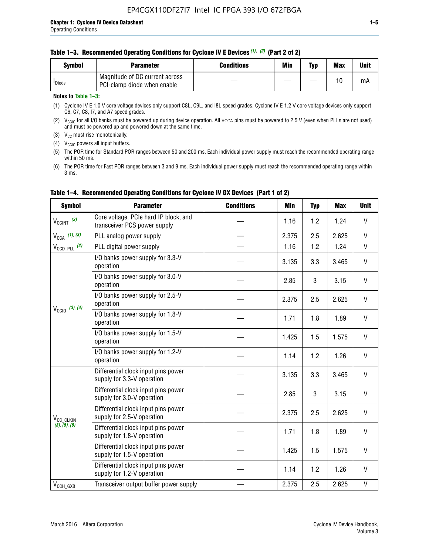|  | Table 1-3. Recommended Operating Conditions for Cyclone IV E Devices (1), (2) (Part 2 of 2) |  |  |
|--|---------------------------------------------------------------------------------------------|--|--|
|--|---------------------------------------------------------------------------------------------|--|--|

| <b>Symbol</b>      | Parameter                                                     | Conditions | Min | Typ | <b>Max</b> | Unit |
|--------------------|---------------------------------------------------------------|------------|-----|-----|------------|------|
| <sup>I</sup> Diode | Magnitude of DC current across<br>PCI-clamp diode when enable |            |     |     | 10         | mA   |

#### **Notes to Table 1–3:**

(1) Cyclone IV E 1.0 V core voltage devices only support C8L, C9L, and I8L speed grades. Cyclone IV E 1.2 V core voltage devices only support C6, C7, C8, I7, and A7 speed grades.

(2)  $V_{CCIO}$  for all I/O banks must be powered up during device operation. All vcca pins must be powered to 2.5 V (even when PLLs are not used) and must be powered up and powered down at the same time.

(3)  $V_{CC}$  must rise monotonically.

(4)  $V_{\text{CCIO}}$  powers all input buffers.

(5) The POR time for Standard POR ranges between 50 and 200 ms. Each individual power supply must reach the recommended operating range within 50 ms.

(6) The POR time for Fast POR ranges between 3 and 9 ms. Each individual power supply must reach the recommended operating range within 3 ms.

| <b>Symbol</b>                          | <b>Parameter</b>                                                      | <b>Conditions</b> | Min   | <b>Typ</b> | <b>Max</b> | <b>Unit</b>  |  |
|----------------------------------------|-----------------------------------------------------------------------|-------------------|-------|------------|------------|--------------|--|
| $V_{CClNT}$ (3)                        | Core voltage, PCIe hard IP block, and<br>transceiver PCS power supply |                   | 1.16  | 1.2        | 1.24       | V            |  |
| $V_{CCA}$ (1), (3)                     | PLL analog power supply                                               |                   | 2.375 | 2.5        | 2.625      | $\mathsf{V}$ |  |
| $V_{\text{CCD\_PLL}}$ (2)              | PLL digital power supply                                              |                   | 1.16  |            |            |              |  |
|                                        | I/O banks power supply for 3.3-V<br>operation                         |                   | 3.135 | 3.3        | 3.465      | $\mathsf{V}$ |  |
| $V_{\text{CC10}}$ (3), (4)             | I/O banks power supply for 3.0-V<br>operation                         |                   | 2.85  | 3          | 3.15       | V            |  |
|                                        | I/O banks power supply for 2.5-V<br>operation                         | 2.375             | 2.5   | 2.625      | V          |              |  |
|                                        | I/O banks power supply for 1.8-V<br>operation                         | 1.71              | 1.8   | 1.89       | V          |              |  |
|                                        | I/O banks power supply for 1.5-V<br>operation                         |                   | 1.425 | 1.5        | 1.575      | V            |  |
|                                        | I/O banks power supply for 1.2-V<br>operation                         |                   | 1.14  | 1.2        | 1.26       | $\mathsf{V}$ |  |
|                                        | Differential clock input pins power<br>supply for 3.3-V operation     |                   | 3.135 | 3.3        | 3.465      | $\mathsf{V}$ |  |
|                                        | Differential clock input pins power<br>supply for 3.0-V operation     |                   | 2.85  | 3          | 3.15       | $\mathsf{V}$ |  |
| V <sub>CC_CLKIN</sub><br>(3), (5), (6) | Differential clock input pins power<br>supply for 2.5-V operation     |                   | 2.375 | 2.5        | 2.625      | V            |  |
|                                        | Differential clock input pins power<br>supply for 1.8-V operation     |                   | 1.71  | 1.8        | 1.89       | V            |  |
|                                        | Differential clock input pins power<br>supply for 1.5-V operation     |                   | 1.425 | 1.5        | 1.575      | V            |  |
|                                        | Differential clock input pins power<br>supply for 1.2-V operation     |                   | 1.14  | 1.2        | 1.26       | V            |  |
| $V_{CCH\_GXB}$                         | Transceiver output buffer power supply                                |                   | 2.375 | 2.5        | 2.625      | $\mathsf{V}$ |  |

#### **Table 1–4. Recommended Operating Conditions for Cyclone IV GX Devices (Part 1 of 2)**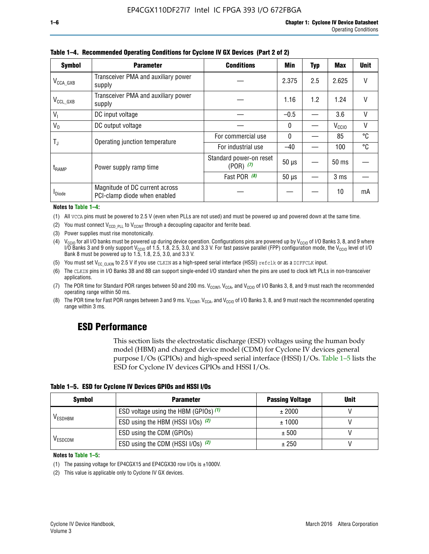| <b>Symbol</b>         | <b>Parameter</b>                                               | <b>Conditions</b>                        | Min          | Typ | Max               | <b>Unit</b> |
|-----------------------|----------------------------------------------------------------|------------------------------------------|--------------|-----|-------------------|-------------|
| $V_{\text{CCA\_GXB}}$ | Transceiver PMA and auxiliary power<br>supply                  |                                          | 2.375        | 2.5 | 2.625             | V           |
| $V_{CCL_GXB}$         | Transceiver PMA and auxiliary power<br>supply                  |                                          | 1.16         | 1.2 | 1.24              | V           |
| V <sub>1</sub>        | DC input voltage                                               |                                          | $-0.5$       |     | 3.6               | V           |
| $V_0$                 | DC output voltage                                              |                                          | $\mathbf{0}$ |     | V <sub>CCIO</sub> | ٧           |
|                       | Operating junction temperature                                 | For commercial use                       | $\mathbf{0}$ |     | 85                | °C          |
| T,                    |                                                                | For industrial use                       | $-40$        |     | 100               | °C          |
| t <sub>RAMP</sub>     | Power supply ramp time                                         | Standard power-on reset<br>$(POR)$ $(7)$ | $50 \mu s$   |     | $50$ ms           |             |
|                       |                                                                | Fast POR (8)                             | $50 \mu s$   |     | 3 <sub>ms</sub>   |             |
| <sup>I</sup> Diode    | Magnitude of DC current across<br>PCI-clamp diode when enabled |                                          |              |     | 10                | mA          |

#### **Table 1–4. Recommended Operating Conditions for Cyclone IV GX Devices (Part 2 of 2)**

#### **Notes to Table 1–4:**

- (1) All VCCA pins must be powered to 2.5 V (even when PLLs are not used) and must be powered up and powered down at the same time.
- (2) You must connect  $V_{CCD\_PLL}$  to  $V_{CCINT}$  through a decoupling capacitor and ferrite bead.
- (3) Power supplies must rise monotonically.
- (4)  $V_{\text{CCIO}}$  for all I/O banks must be powered up during device operation. Configurations pins are powered up by V<sub>CCIO</sub> of I/O Banks 3, 8, and 9 where I/O Banks 3 and 9 only support V<sub>CCIO</sub> of 1.5, 1.8, 2.5, 3.0, and 3.3 V. For fast passive parallel (FPP) configuration mode, the V<sub>CCIO</sub> level of I/O<br>Bank 8 must be powered up to 1.5, 1.8, 2.5, 3.0, and 3.3 V.
- (5) You must set  $V_{CC_CCLKIN}$  to 2.5 V if you use CLKIN as a high-speed serial interface (HSSI) refclk or as a DIFFCLK input.
- (6) The CLKIN pins in I/O Banks 3B and 8B can support single-ended I/O standard when the pins are used to clock left PLLs in non-transceiver applications.
- (7) The POR time for Standard POR ranges between 50 and 200 ms.  $V_{\text{CCIA}}$ ,  $V_{\text{CCIA}}$ , and  $V_{\text{CCIO}}$  of I/O Banks 3, 8, and 9 must reach the recommended operating range within 50 ms.
- (8) The POR time for Fast POR ranges between 3 and 9 ms.  $V_{\text{CCH},T}$ ,  $V_{\text{CCA}}$ , and  $V_{\text{CCI}}$  of I/O Banks 3, 8, and 9 must reach the recommended operating range within 3 ms.

### **ESD Performance**

This section lists the electrostatic discharge (ESD) voltages using the human body model (HBM) and charged device model (CDM) for Cyclone IV devices general purpose I/Os (GPIOs) and high-speed serial interface (HSSI) I/Os. Table 1–5 lists the ESD for Cyclone IV devices GPIOs and HSSI I/Os.

|  |  |  |  |  |  |  | Table 1–5. ESD for Cyclone IV Devices GPIOs and HSSI I/Os |  |  |
|--|--|--|--|--|--|--|-----------------------------------------------------------|--|--|
|--|--|--|--|--|--|--|-----------------------------------------------------------|--|--|

| <b>Symbol</b>  | <b>Parameter</b>                      | <b>Passing Voltage</b> | <b>Unit</b> |
|----------------|---------------------------------------|------------------------|-------------|
|                | ESD voltage using the HBM (GPIOs) (1) | ± 2000                 |             |
| <b>VESDHBM</b> | ESD using the HBM (HSSI I/Os) (2)     | ± 1000                 |             |
|                | ESD using the CDM (GPIOs)             | ± 500                  |             |
| <b>VESDCDM</b> | ESD using the CDM (HSSI I/Os) (2)     | ± 250                  |             |

#### **Notes to Table 1–5:**

(1) The passing voltage for EP4CGX15 and EP4CGX30 row I/Os is ±1000V.

(2) This value is applicable only to Cyclone IV GX devices.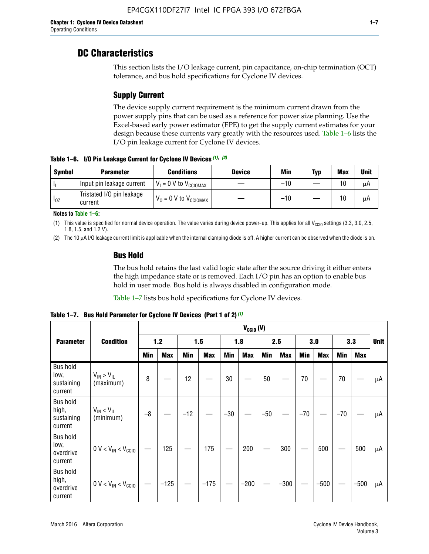### **DC Characteristics**

This section lists the I/O leakage current, pin capacitance, on-chip termination (OCT) tolerance, and bus hold specifications for Cyclone IV devices.

### **Supply Current**

The device supply current requirement is the minimum current drawn from the power supply pins that can be used as a reference for power size planning. Use the Excel-based early power estimator (EPE) to get the supply current estimates for your design because these currents vary greatly with the resources used. Table 1–6 lists the I/O pin leakage current for Cyclone IV devices.

**Table 1–6. I/O Pin Leakage Current for Cyclone IV Devices** *(1)***,** *(2)*

| <b>Symbol</b> | <b>Parameter</b>                     | <b>Conditions</b>                     | <b>Device</b> | Min   | Typ | <b>Max</b> | <b>Unit</b> |
|---------------|--------------------------------------|---------------------------------------|---------------|-------|-----|------------|-------------|
| -lı           | Input pin leakage current            | $V_1 = 0$ V to $V_{\text{CCIOMAX}}$   |               | $-10$ |     | 10         | μA          |
| $I_{0Z}$      | Tristated I/O pin leakage<br>current | $V_0 = 0 V$ to $V_{\text{CCIOMAX}}$ I |               | $-10$ |     | 10         | μA          |

**Notes to Table 1–6:**

(1) This value is specified for normal device operation. The value varies during device power-up. This applies for all V<sub>CCIO</sub> settings (3.3, 3.0, 2.5, 1.8, 1.5, and 1.2 V).

(2) The 10 µA I/O leakage current limit is applicable when the internal clamping diode is off. A higher current can be observed when the diode is on.

### **Bus Hold**

The bus hold retains the last valid logic state after the source driving it either enters the high impedance state or is removed. Each I/O pin has an option to enable bus hold in user mode. Bus hold is always disabled in configuration mode.

Table 1–7 lists bus hold specifications for Cyclone IV devices.

|                                                   |                                  |            |            |       |            |            | $V_{CCIO} (V)$ |            |            |       |            |       |            |             |  |  |  |  |  |  |
|---------------------------------------------------|----------------------------------|------------|------------|-------|------------|------------|----------------|------------|------------|-------|------------|-------|------------|-------------|--|--|--|--|--|--|
| <b>Parameter</b>                                  | <b>Condition</b>                 |            | $1.2$      |       | 1.5        |            | 1.8            |            | 2.5        |       | 3.0        |       | 3.3        | <b>Unit</b> |  |  |  |  |  |  |
|                                                   |                                  | <b>Min</b> | <b>Max</b> | Min   | <b>Max</b> | <b>Min</b> | <b>Max</b>     | <b>Min</b> | <b>Max</b> | Min   | <b>Max</b> | Min   | <b>Max</b> |             |  |  |  |  |  |  |
| <b>Bus hold</b><br>low,<br>sustaining<br>current  | $V_{IN}$ > $V_{IL}$<br>(maximum) | 8          |            | 12    |            | 30         |                | 50         |            | 70    |            | 70    |            | μA          |  |  |  |  |  |  |
| <b>Bus hold</b><br>high,<br>sustaining<br>current | $V_{IN}$ < $V_{IL}$<br>(minimum) | $-8$       |            | $-12$ |            | $-30$      |                | $-50$      |            | $-70$ |            | $-70$ |            | μA          |  |  |  |  |  |  |
| <b>Bus hold</b><br>low,<br>overdrive<br>current   | $0 V < V_{IN} < V_{CG10}$        |            | 125        |       | 175        |            | 200            |            | 300        |       | 500        |       | 500        | μA          |  |  |  |  |  |  |
| <b>Bus hold</b><br>high,<br>overdrive<br>current  | $0 V < V_{IN} < V_{CG10}$        |            | $-125$     |       | $-175$     |            | $-200$         |            | $-300$     |       | $-500$     |       | $-500$     | μA          |  |  |  |  |  |  |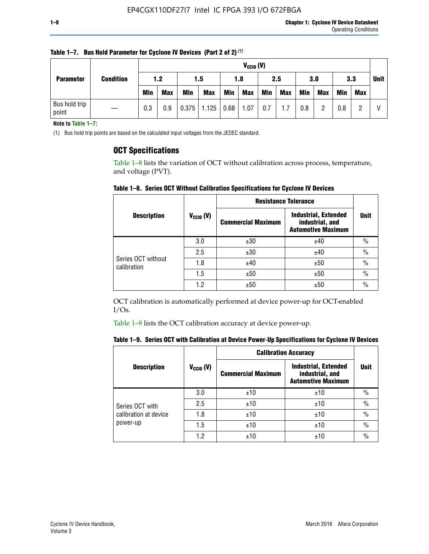|                        |                  |            | $V_{CGI0} (V)$ |            |            |      |            |     |            |            |            |            |     |             |
|------------------------|------------------|------------|----------------|------------|------------|------|------------|-----|------------|------------|------------|------------|-----|-------------|
| <b>Parameter</b>       | <b>Condition</b> | 1.2        |                | 1.5        |            | 1.8  |            | 2.5 |            | 3.0        |            | 3.3        |     | <b>Unit</b> |
|                        |                  | <b>Min</b> | <b>Max</b>     | <b>Min</b> | <b>Max</b> | Min  | <b>Max</b> | Min | <b>Max</b> | <b>Min</b> | <b>Max</b> | <b>Min</b> | Max |             |
| Bus hold trip<br>point |                  | 0.3        | 0.9            | 0.375      | 1.125      | 0.68 | 1.07       | 0.7 | 1.7        | 0.8        |            | 0.8        |     |             |

**Table 1–7. Bus Hold Parameter for Cyclone IV Devices (Part 2 of 2)** *(1)*

**Note to Table 1–7:**

(1) Bus hold trip points are based on the calculated input voltages from the JEDEC standard.

#### **OCT Specifications**

Table 1–8 lists the variation of OCT without calibration across process, temperature, and voltage (PVT).

**Table 1–8. Series OCT Without Calibration Specifications for Cyclone IV Devices**

|                                   |                      | <b>Resistance Tolerance</b> |                                                                             |               |
|-----------------------------------|----------------------|-----------------------------|-----------------------------------------------------------------------------|---------------|
| <b>Description</b>                | $V_{\text{CCIO}}(V)$ | <b>Commercial Maximum</b>   | <b>Industrial, Extended</b><br>industrial, and<br><b>Automotive Maximum</b> | <b>Unit</b>   |
|                                   | 3.0                  | ±30                         | ±40                                                                         | $\frac{0}{0}$ |
|                                   | 2.5                  | ±30                         | ±40                                                                         | $\frac{0}{0}$ |
| Series OCT without<br>calibration | 1.8                  | ±40                         | ±50                                                                         | $\frac{0}{0}$ |
|                                   | 1.5                  | ±50                         | ±50                                                                         | $\frac{0}{0}$ |
|                                   | 1.2                  | ±50                         | ±50                                                                         | $\frac{0}{0}$ |

OCT calibration is automatically performed at device power-up for OCT-enabled I/Os.

Table 1–9 lists the OCT calibration accuracy at device power-up.

|  |  | Table 1–9.  Series OCT with Calibration at Device Power-Up Specifications for Cyclone IV Devices |  |  |  |  |  |  |
|--|--|--------------------------------------------------------------------------------------------------|--|--|--|--|--|--|
|--|--|--------------------------------------------------------------------------------------------------|--|--|--|--|--|--|

|                       |                |                           | <b>Calibration Accuracy</b>                                                 |               |  |
|-----------------------|----------------|---------------------------|-----------------------------------------------------------------------------|---------------|--|
| <b>Description</b>    | $V_{CGI0} (V)$ | <b>Commercial Maximum</b> | <b>Industrial, Extended</b><br>industrial, and<br><b>Automotive Maximum</b> | <b>Unit</b>   |  |
|                       | 3.0            | ±10                       | ±10                                                                         | $\%$          |  |
| Series OCT with       | 2.5            | ±10                       | ±10                                                                         | $\%$          |  |
| calibration at device | 1.8            | ±10                       | ±10                                                                         | $\%$          |  |
| power-up              | 1.5            | ±10                       | ±10                                                                         | $\%$          |  |
|                       | 1.2            | ±10                       | ±10                                                                         | $\frac{0}{0}$ |  |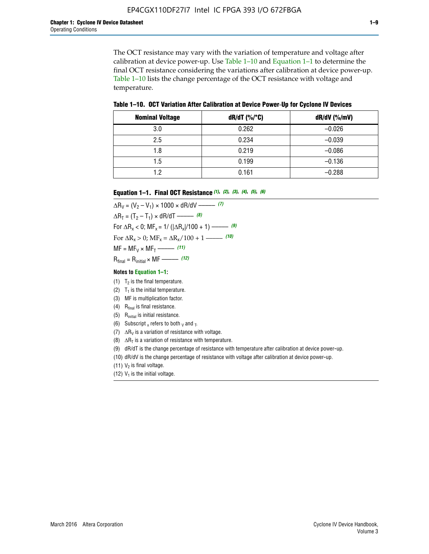The OCT resistance may vary with the variation of temperature and voltage after calibration at device power-up. Use Table 1–10 and Equation 1–1 to determine the final OCT resistance considering the variations after calibration at device power-up. Table 1–10 lists the change percentage of the OCT resistance with voltage and temperature.

**Table 1–10. OCT Variation After Calibration at Device Power**-**Up for Cyclone IV Devices**

| <b>Nominal Voltage</b> | dR/dT (%/°C) | $dR/dV$ (%/mV) |
|------------------------|--------------|----------------|
| 3.0                    | 0.262        | $-0.026$       |
| 2.5                    | 0.234        | $-0.039$       |
| 1.8                    | 0.219        | $-0.086$       |
| 1.5                    | 0.199        | $-0.136$       |
| 1.2                    | 0.161        | $-0.288$       |

#### **Equation 1–1. Final OCT Resistance** *(1)***,** *(2)***,** *(3)***,** *(4)***,** *(5)***,** *(6)*

 $\Delta R_V = (V_2 - V_1) \times 1000 \times dR/dV$  ––––––––––––(7)  $\Delta R_T = (T_2 - T_1) \times dR/dT$  ––––––– (8) For  $\Delta R_x < 0$ ; MF<sub>x</sub> = 1/ ( $|\Delta R_x|/100 + 1$ ) –––––– (9) For  $\Delta R_x > 0$ ;  $\text{MF}_x = \Delta R_x / 100 + 1$  ——– (10)  $MF = MF_V \times MF_T$  –––––––––––(11) Rfinal = Rinitial × MF ––––– *(12)*

#### **Notes to Equation 1–1:**

- (1)  $T_2$  is the final temperature.
- (2)  $T_1$  is the initial temperature.
- (3) MF is multiplication factor.
- (4)  $R<sub>final</sub>$  is final resistance.
- (5) Rinitial is initial resistance.
- (6) Subscript x refers to both  $\sqrt{v}$  and  $\sqrt{v}$ .
- (7)  $\Delta R_V$  is a variation of resistance with voltage.
- (8)  $\Delta R_T$  is a variation of resistance with temperature.
- (9) dR/dT is the change percentage of resistance with temperature after calibration at device power-up.
- (10) dR/dV is the change percentage of resistance with voltage after calibration at device power-up.
- (11)  $V_2$  is final voltage.
- (12)  $V_1$  is the initial voltage.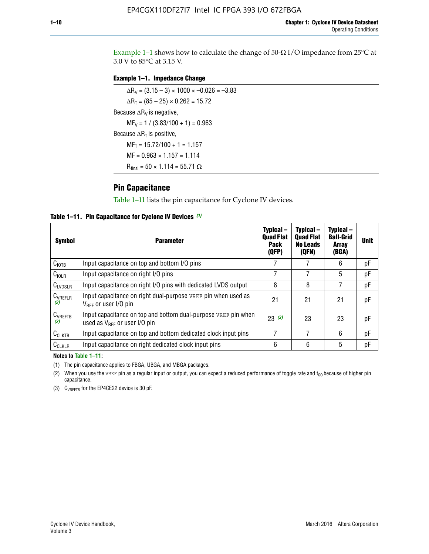Example 1-1 shows how to calculate the change of  $50$ - $\Omega$  I/O impedance from 25°C at 3.0 V to 85°C at 3.15 V.

#### **Example 1–1. Impedance Change**

 $\Delta R_V = (3.15 - 3) \times 1000 \times -0.026 = -3.83$  $\Delta R_T = (85 - 25) \times 0.262 = 15.72$ Because  $\Delta R_V$  is negative,  $MF_V = 1 / (3.83/100 + 1) = 0.963$ Because  $\Delta R_T$  is positive,  $MF_T = 15.72/100 + 1 = 1.157$  $MF = 0.963 \times 1.157 = 1.114$  $R_{final} = 50 \times 1.114 = 55.71 \Omega$ 

### **Pin Capacitance**

Table 1–11 lists the pin capacitance for Cyclone IV devices.

**Table 1–11. Pin Capacitance for Cyclone IV Devices** *(1)*

| Symbol              | <b>Parameter</b>                                                                                    | Typical-<br><b>Quad Flat</b><br>Pack<br>(QFP) | Typical-<br><b>Quad Flat</b><br><b>No Leads</b><br>(QFN) | Typical-<br><b>Ball-Grid</b><br><b>Array</b><br>(BGA) | <b>Unit</b> |
|---------------------|-----------------------------------------------------------------------------------------------------|-----------------------------------------------|----------------------------------------------------------|-------------------------------------------------------|-------------|
| C <sub>IOTB</sub>   | Input capacitance on top and bottom I/O pins                                                        |                                               |                                                          | 6                                                     | рF          |
| $C_{IOLR}$          | Input capacitance on right I/O pins                                                                 |                                               |                                                          | 5                                                     | рF          |
| $C_{LVDSLR}$        | Input capacitance on right I/O pins with dedicated LVDS output                                      | 8                                             | 8                                                        |                                                       | рF          |
| $C_{VREFLR}$<br>(2) | Input capacitance on right dual-purpose VREF pin when used as<br>$V_{BFE}$ or user I/O pin          | 21                                            | 21                                                       | 21                                                    | pF          |
| $C_{VREFTB}$<br>(2) | Input capacitance on top and bottom dual-purpose VREF pin when<br>used as $V_{REF}$ or user I/O pin | 23(3)                                         | 23                                                       | 23                                                    | pF          |
| $C_{CLKTB}$         | Input capacitance on top and bottom dedicated clock input pins                                      | 7                                             | 7                                                        | 6                                                     | рF          |
| $C_{CLKLR}$         | Input capacitance on right dedicated clock input pins                                               | 6                                             | 6                                                        | 5                                                     | рF          |

#### **Notes to Table 1–11:**

(1) The pin capacitance applies to FBGA, UBGA, and MBGA packages.

(2) When you use the VREF pin as a regular input or output, you can expect a reduced performance of toggle rate and  $t_{\rm CO}$  because of higher pin capacitance.

(3) CVREFTB for the EP4CE22 device is 30 pF.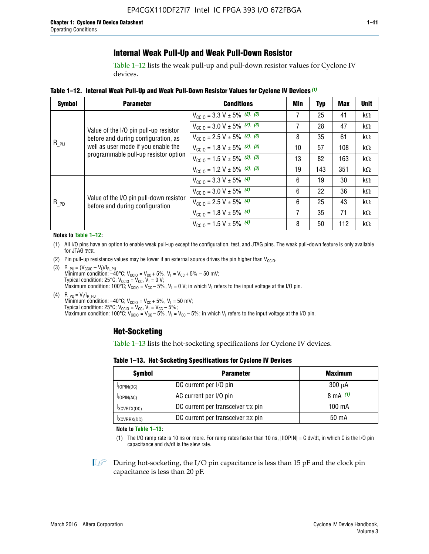### **Internal Weak Pull-Up and Weak Pull-Down Resistor**

Table 1–12 lists the weak pull-up and pull-down resistor values for Cyclone IV devices.

**Table 1–12. Internal Weak Pull**-**Up and Weak Pull**-**Down Resistor Values for Cyclone IV Devices** *(1)*

| <b>Symbol</b> | <b>Parameter</b>                                                                                                                                            | <b>Conditions</b>                                  | Min | <b>Typ</b> | <b>Max</b> | <b>Unit</b> |
|---------------|-------------------------------------------------------------------------------------------------------------------------------------------------------------|----------------------------------------------------|-----|------------|------------|-------------|
|               |                                                                                                                                                             | $V_{\text{CC10}} = 3.3 \text{ V} \pm 5\%$ (2), (3) | 7   | 25         | 41         | $k\Omega$   |
| $R_{PU}$      | Value of the I/O pin pull-up resistor<br>before and during configuration, as<br>well as user mode if you enable the<br>programmable pull-up resistor option | $V_{\text{CC10}} = 3.0 \text{ V} \pm 5\%$ (2), (3) | 7   | 28         | 47         | $k\Omega$   |
|               |                                                                                                                                                             | $V_{\text{CC10}} = 2.5 V \pm 5\%$ (2), (3)         | 8   | 35         | 61         | kΩ          |
|               |                                                                                                                                                             | $V_{\text{CC10}} = 1.8 V \pm 5\%$ (2), (3)         | 10  | 57         | 108        | kΩ          |
|               |                                                                                                                                                             | $V_{\text{CC10}} = 1.5 V \pm 5\%$ (2), (3)         | 13  | 82         | 163        | kΩ          |
|               |                                                                                                                                                             | $V_{\text{CC10}} = 1.2 \text{ V} \pm 5\%$ (2), (3) | 19  | 143        | 351        | kΩ          |
|               |                                                                                                                                                             | $V_{\text{CC10}} = 3.3 V \pm 5\%$ (4)              | 6   | 19         | 30         | kΩ          |
|               |                                                                                                                                                             | $V_{\text{CC10}} = 3.0 V \pm 5\%$ (4)              | 6   | 22         | 36         | $k\Omega$   |
| $R_{PD}$      | Value of the I/O pin pull-down resistor<br>before and during configuration                                                                                  | $V_{\text{CC10}} = 2.5 V \pm 5\%$ (4)              | 6   | 25         | 43         | $k\Omega$   |
|               |                                                                                                                                                             | $V_{\text{CC10}} = 1.8 \text{ V} \pm 5\%$ (4)      | 7   | 35         | 71         | $k\Omega$   |
|               |                                                                                                                                                             | $V_{\text{CC10}} = 1.5 V \pm 5\%$ (4)              | 8   | 50         | 112        | $k\Omega$   |

#### **Notes to Table 1–12:**

- (1) All I/O pins have an option to enable weak pull-up except the configuration, test, and JTAG pins. The weak pull-down feature is only available for JTAG TCK.
- (2) Pin pull-up resistance values may be lower if an external source drives the pin higher than  $V_{\text{CCIO}}$ .
- (3)  $R_{PU} = (V_{CC10} V_1)/I_{R_PU}$ Minimum condition: –40°C; V<sub>CCIO</sub> = V<sub>CC</sub> + 5%, V<sub>I</sub> = V<sub>CC</sub> + 5% – 50 mV; Typical condition: 25°C; V<sub>CCIO</sub> = V<sub>CC</sub>, V<sub>I</sub> = 0 V; Maximum condition: 100°C;  $V_{\text{CCIO}} = V_{\text{CC}} - 5\%$ ,  $V_1 = 0$  V; in which V<sub>I</sub> refers to the input voltage at the I/O pin.
- (4)  $R_{PD} = V_I/I_{R_PD}$ Minimum condition:  $-40^{\circ}$ C; V<sub>CCIO</sub> = V<sub>CC</sub> + 5%, V<sub>I</sub> = 50 mV; Typical condition: 25°C;  $V_{\text{CCIO}} = V_{\text{CC}}$ ,  $V_{\text{I}} = V_{\text{CC}} - 5\%$ ; Maximum condition: 100°C; V<sub>CClO</sub> = V<sub>CC</sub> – 5%, V<sub>I</sub> = V<sub>CC</sub> – 5%; in which V<sub>I</sub> refers to the input voltage at the I/O pin.

#### **Hot-Socketing**

Table 1–13 lists the hot-socketing specifications for Cyclone IV devices.

**Table 1–13. Hot**-**Socketing Specifications for Cyclone IV Devices**

| <b>Symbol</b> | <b>Maximum</b>                    |             |
|---------------|-----------------------------------|-------------|
| $I$ IOPIN(DC) | DC current per I/O pin            | $300 \mu A$ |
| $I$ IOPIN(AC) | AC current per I/O pin            | 8 mA $(1)$  |
| IXCVRTX(DC)   | DC current per transceiver TX pin | 100 mA      |
| IXCVRRX(DC)   | DC current per transceiver RX pin | 50 mA       |

**Note to Table 1–13:**

(1) The I/O ramp rate is 10 ns or more. For ramp rates faster than 10 ns, |IIOPIN| = C dv/dt, in which C is the I/O pin capacitance and dv/dt is the slew rate.

 $\mathbb{I} \rightarrow \mathbb{I}$  During hot-socketing, the I/O pin capacitance is less than 15 pF and the clock pin capacitance is less than 20 pF.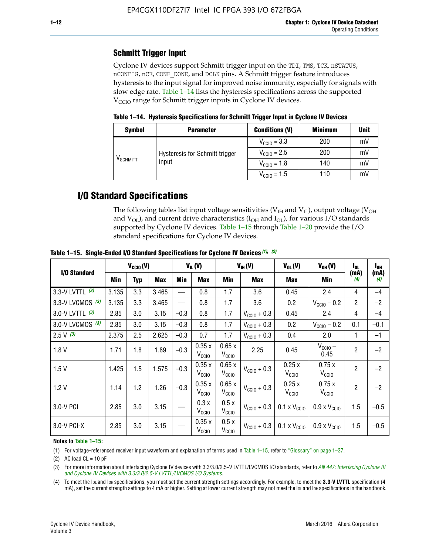### **Schmitt Trigger Input**

Cyclone IV devices support Schmitt trigger input on the TDI, TMS, TCK, nSTATUS, nCONFIG, nCE, CONF\_DONE, and DCLK pins. A Schmitt trigger feature introduces hysteresis to the input signal for improved noise immunity, especially for signals with slow edge rate. Table 1–14 lists the hysteresis specifications across the supported  $V<sub>CCIO</sub>$  range for Schmitt trigger inputs in Cyclone IV devices.

**Table 1–14. Hysteresis Specifications for Schmitt Trigger Input in Cyclone IV Devices**

| <b>Symbol</b>                  | <b>Parameter</b>               | <b>Conditions (V)</b>   | <b>Minimum</b> | <b>Unit</b> |
|--------------------------------|--------------------------------|-------------------------|----------------|-------------|
|                                |                                | $V_{\text{CCIO}} = 3.3$ | 200            | mV          |
|                                | Hysteresis for Schmitt trigger | $V_{\text{CCIO}} = 2.5$ | 200            | mV          |
| $\mathsf{V}_{\mathsf{SCHMIT}}$ | input                          | $V_{\text{CCIO}} = 1.8$ | 140            | mV          |
|                                |                                | $V_{\text{CCIO}} = 1.5$ | 110            | mV          |

### **I/O Standard Specifications**

The following tables list input voltage sensitivities ( $V<sub>IH</sub>$  and  $V<sub>II</sub>$ ), output voltage ( $V<sub>OH</sub>$ and  $V_{OL}$ ), and current drive characteristics ( $I_{OH}$  and  $I_{OL}$ ), for various I/O standards supported by Cyclone IV devices. Table 1–15 through Table 1–20 provide the I/O standard specifications for Cyclone IV devices.

|                   | $V_{CClO}(V)$ |     |            | $V_{IL}(V)$ |                            | $V_{IH} (V)$               |                         | $V_{OL}(V)$                  | $V_{OH} (V)$                 | l <sub>OL</sub> | l <sub>oh</sub> |
|-------------------|---------------|-----|------------|-------------|----------------------------|----------------------------|-------------------------|------------------------------|------------------------------|-----------------|-----------------|
| I/O Standard      | Min           | Typ | <b>Max</b> | Min         | <b>Max</b>                 | Min                        | <b>Max</b>              | Max                          | Min                          | (mA)<br>(4)     | (mA)<br>(4)     |
| 3.3-V LVTTL (3)   | 3.135         | 3.3 | 3.465      |             | 0.8                        | 1.7                        | 3.6                     | 0.45                         | 2.4                          | 4               | $-4$            |
| 3.3-V LVCMOS (3)  | 3.135         | 3.3 | 3.465      |             | 0.8                        | 1.7                        | 3.6                     | 0.2                          | $V_{\text{CCIO}} - 0.2$      | $\overline{2}$  | $-2$            |
| 3.0-V LVTTL $(3)$ | 2.85          | 3.0 | 3.15       | $-0.3$      | 0.8                        | 1.7                        | $V_{\text{CC10}} + 0.3$ | 0.45                         | 2.4                          | 4               | $-4$            |
| 3.0-V LVCMOS (3)  | 2.85          | 3.0 | 3.15       | $-0.3$      | 0.8                        | 1.7                        | $V_{\text{CCI}0}$ + 0.3 | 0.2                          | $V_{\text{CC10}} - 0.2$      | 0.1             | $-0.1$          |
| $2.5 V$ (3)       | 2.375         | 2.5 | 2.625      | $-0.3$      | 0.7                        | 1.7                        | $V_{\text{CCI}0}$ + 0.3 | 0.4                          | 2.0                          | 1               | $-1$            |
| 1.8V              | 1.71          | 1.8 | 1.89       | $-0.3$      | 0.35x<br>V <sub>CCIO</sub> | 0.65x<br>V <sub>CCIO</sub> | 2.25                    | 0.45                         | $V_{CGIO}$ –<br>0.45         | $\overline{c}$  | $-2$            |
| 1.5V              | 1.425         | 1.5 | 1.575      | $-0.3$      | 0.35x<br>V <sub>CCIO</sub> | 0.65x<br>V <sub>CCIO</sub> | $V_{\text{CC10}} + 0.3$ | 0.25x<br>$V_{\rm CClO}$      | 0.75x<br>V <sub>CCIO</sub>   | $\overline{2}$  | $-2$            |
| 1.2V              | 1.14          | 1.2 | 1.26       | $-0.3$      | 0.35x<br>V <sub>CCIO</sub> | 0.65x<br>V <sub>CCIO</sub> | $V_{\text{CGI0}} + 0.3$ | 0.25x<br>$V_{\rm CClO}$      | 0.75x<br>V <sub>CCIO</sub>   | $\overline{2}$  | $-2$            |
| 3.0-V PCI         | 2.85          | 3.0 | 3.15       |             | 0.3x<br>V <sub>CCIO</sub>  | 0.5x<br>V <sub>CCIO</sub>  | $V_{\text{CC10}} + 0.3$ | $0.1 \times V_{CC10}$        | $0.9 \times V_{\text{CC10}}$ | 1.5             | $-0.5$          |
| 3.0-V PCI-X       | 2.85          | 3.0 | 3.15       |             | 0.35x<br>V <sub>CCIO</sub> | 0.5x<br>V <sub>CCIO</sub>  | $V_{\text{CC}10}$ + 0.3 | $0.1 \times V_{\text{CC10}}$ | $0.9 \times V_{\text{CC10}}$ | 1.5             | $-0.5$          |

**Table 1–15. Single**-**Ended I/O Standard Specifications for Cyclone IV Devices** *(1)***,** *(2)*

#### **Notes to Table 1–15:**

(1) For voltage-referenced receiver input waveform and explanation of terms used in Table 1–15, refer to "Glossary" on page 1–37.

(2) AC load  $CL = 10$  pF

(3) For more information about interfacing Cyclone IV devices with 3.3/3.0/2.5-V LVTTL/LVCMOS I/O standards, refer to *[AN 447: Interfacing Cyclone III](http://www.altera.com/literature/an/an447.pdf)  [and Cyclone IV Devices with 3.3/3.0/2.5-V LVTTL/LVCMOS I/O Systems](http://www.altera.com/literature/an/an447.pdf)*.

(4) To meet the IOL and IOH specifications, you must set the current strength settings accordingly. For example, to meet the **3.3-V LVTTL** specification (4 mA), set the current strength settings to 4 mA or higher. Setting at lower current strength may not meet the lou and lon specifications in the handbook.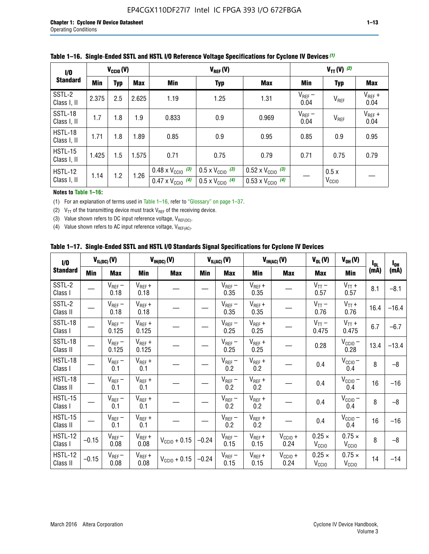| 1/0                           | $V_{CGI0}(V)$            |     |       |                                                                        |                                                                      | $V_{TT}(V)^{(2)}$                                                      |                     |                           |                     |
|-------------------------------|--------------------------|-----|-------|------------------------------------------------------------------------|----------------------------------------------------------------------|------------------------------------------------------------------------|---------------------|---------------------------|---------------------|
| <b>Standard</b>               | <b>Min</b><br><b>Typ</b> |     | Max   | Min                                                                    | <b>Typ</b>                                                           | <b>Max</b>                                                             | Min                 | <b>Typ</b>                | Max                 |
| SSTL-2<br>Class I, II         | 2.375                    | 2.5 | 2.625 | 1.19                                                                   | 1.25                                                                 | 1.31                                                                   | $V_{REF}$ –<br>0.04 | V <sub>REF</sub>          | $V_{REF}$ +<br>0.04 |
| SSTL-18<br>Class I, II        | 1.7                      | 1.8 | 1.9   | 0.833                                                                  | 0.9                                                                  | 0.969                                                                  | $V_{REF}$ –<br>0.04 | V <sub>REF</sub>          | $V_{REF}$ +<br>0.04 |
| HSTL-18<br>Class I, II        | 1.71                     | 1.8 | .89   | 0.85                                                                   | 0.9                                                                  | 0.95                                                                   | 0.85                | 0.9                       | 0.95                |
| <b>HSTL-15</b><br>Class I, II | 1.425                    | 1.5 | 1.575 | 0.71                                                                   | 0.75                                                                 | 0.79                                                                   | 0.71                | 0.75                      | 0.79                |
| HSTL-12<br>Class I, II        | 1.14                     | 1.2 | 1.26  | $0.48 \times V_{\text{CC10}}$ (3)<br>$0.47 \times V_{\text{CC10}}$ (4) | $0.5 \times V_{\text{CC10}}$ (3)<br>$0.5 \times V_{\text{CC10}}$ (4) | $0.52 \times V_{\text{CC10}}$ (3)<br>$0.53 \times V_{\text{CC10}}$ (4) |                     | 0.5x<br>V <sub>CCIO</sub> |                     |

|  |  |  |  | Table 1–16. Single-Ended SSTL and HSTL I/O Reference Voltage Specifications for Cyclone IV Devices (1) |
|--|--|--|--|--------------------------------------------------------------------------------------------------------|
|--|--|--|--|--------------------------------------------------------------------------------------------------------|

#### **Notes to Table 1–16:**

(1) For an explanation of terms used in Table 1–16, refer to "Glossary" on page 1–37.

(2)  $V_{TT}$  of the transmitting device must track  $V_{REF}$  of the receiving device.

(3) Value shown refers to DC input reference voltage,  $V_{REF(DC)}$ .

(4) Value shown refers to AC input reference voltage,  $V_{REF(AC)}$ .

|  | Table 1–17.  Single-Ended SSTL and HSTL I/O Standards Signal Specifications for Cyclone IV Devices |  |  |  |  |  |
|--|----------------------------------------------------------------------------------------------------|--|--|--|--|--|
|--|----------------------------------------------------------------------------------------------------|--|--|--|--|--|

| $\mathbf{I}/\mathbf{0}$    |            | $V_{IL(DC)}(V)$      |                      | $V_{IH(DC)}(V)$       |         | $V_{IL(AC)}(V)$     |                     | $V_{IH(AC)}(V)$      | $V_{OL}(V)$                        | $V_{OH} (V)$                       | $I_{0L}$ | $I_{0H}$ |
|----------------------------|------------|----------------------|----------------------|-----------------------|---------|---------------------|---------------------|----------------------|------------------------------------|------------------------------------|----------|----------|
| <b>Standard</b>            | <b>Min</b> | Max                  | <b>Min</b>           | <b>Max</b>            | Min     | <b>Max</b>          | Min                 | <b>Max</b>           | <b>Max</b>                         | Min                                | (mA)     | (mA)     |
| SSTL-2<br>Class I          |            | $V_{REF}$ –<br>0.18  | $V_{REF} +$<br>0.18  |                       |         | $V_{REF}-$<br>0.35  | $V_{REF} +$<br>0.35 |                      | $V_{TT}$ –<br>0.57                 | $V_{TT}$ +<br>0.57                 | 8.1      | $-8.1$   |
| SSTL-2<br>Class II         |            | $V_{REF}$ –<br>0.18  | $V_{REF} +$<br>0.18  |                       |         | $V_{REF}$ –<br>0.35 | $V_{REF} +$<br>0.35 |                      | $V_{TT}$ –<br>0.76                 | $V_{TT}$ +<br>0.76                 | 16.4     | $-16.4$  |
| SSTL-18<br>Class I         |            | $V_{REF}$ –<br>0.125 | $V_{REF} +$<br>0.125 |                       |         | $V_{REF}$ –<br>0.25 | $V_{REF} +$<br>0.25 |                      | $V_{TT}$ –<br>0.475                | $V_{TT}$ +<br>0.475                | 6.7      | $-6.7$   |
| SSTL-18<br>Class II        |            | $V_{REF}$ –<br>0.125 | $V_{REF}$ +<br>0.125 |                       |         | $V_{REF}$ –<br>0.25 | $V_{REF}$ +<br>0.25 |                      | 0.28                               | $V_{CC10}$ –<br>0.28               | 13.4     | $-13.4$  |
| <b>HSTL-18</b><br>Class I  |            | $V_{REF}$ –<br>0.1   | $V_{REF}$ +<br>0.1   |                       |         | $V_{REF}$ –<br>0.2  | $V_{REF}$ +<br>0.2  |                      | 0.4                                | $V_{CCIO}$ –<br>0.4                | 8        | $-8$     |
| HSTL-18<br>Class II        |            | $V_{REF}$ –<br>0.1   | $V_{REF}$ +<br>0.1   |                       |         | $V_{REF}$ –<br>0.2  | $V_{REF} +$<br>0.2  |                      | 0.4                                | $V_{CCIO}$ $-$<br>0.4              | 16       | $-16$    |
| HSTL-15<br>Class I         |            | $V_{REF}$ –<br>0.1   | $V_{REF}$ +<br>0.1   |                       |         | $V_{REF}$ –<br>0.2  | $V_{REF}$ +<br>0.2  |                      | 0.4                                | $V_{CC10} -$<br>0.4                | 8        | $-8$     |
| HSTL-15<br>Class II        |            | $V_{REF}$ –<br>0.1   | $V_{REF} +$<br>0.1   |                       |         | $V_{REF}$ –<br>0.2  | $V_{REF}$ +<br>0.2  |                      | 0.4                                | $V_{CC10}$ –<br>0.4                | 16       | $-16$    |
| <b>HSTL-12</b><br>Class I  | $-0.15$    | $V_{REF}-$<br>0.08   | $V_{REF} +$<br>0.08  | $V_{\rm CClO} + 0.15$ | $-0.24$ | $V_{REF}$ –<br>0.15 | $V_{REF} +$<br>0.15 | $V_{CC10} +$<br>0.24 | $0.25 \times$<br>$V_{\rm CClO}$    | $0.75 \times$<br>V <sub>CCIO</sub> | 8        | $-8$     |
| <b>HSTL-12</b><br>Class II | $-0.15$    | $V_{REF}-$<br>0.08   | $V_{REF} +$<br>0.08  | $V_{CGI0} + 0.15$     | $-0.24$ | $V_{REF}$ –<br>0.15 | $V_{REF} +$<br>0.15 | $V_{CC10}$ +<br>0.24 | $0.25 \times$<br>V <sub>CCIO</sub> | $0.75 \times$<br>V <sub>CCIO</sub> | 14       | $-14$    |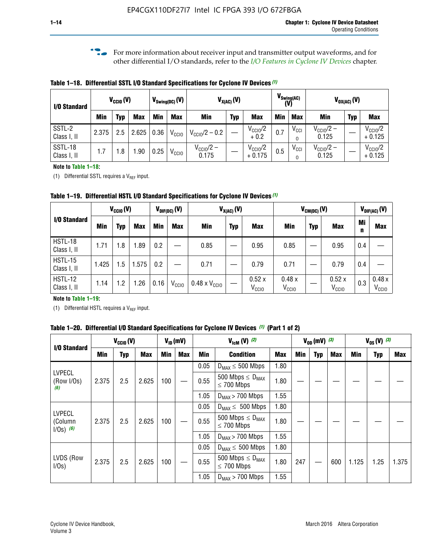**f For more information about receiver input and transmitter output waveforms, and for** other differential I/O standards, refer to the *[I/O Features in Cyclone IV Devices](http://www.altera.com/literature/hb/cyclone-iv/cyiv-51006.pdf)* chapter*.*

**Table 1–18. Differential SSTL I/O Standard Specifications for Cyclone IV Devices** *(1)*

| I/O Standard           |       | $V_{\text{CCIO}}(V)$ |            |      | $V_{\text{Swing(DC)}}(V)$ |                           | $V_{X(AC)}(V)$ |                                 | (V) | $V_{\text{Swing}(AC)}$       |                                | $V_{OX(AC)}(V)$ |                                 |
|------------------------|-------|----------------------|------------|------|---------------------------|---------------------------|----------------|---------------------------------|-----|------------------------------|--------------------------------|-----------------|---------------------------------|
|                        | Min   | Typ                  | <b>Max</b> | Min  | <b>Max</b>                | <b>Min</b>                | <b>Typ</b>     | <b>Max</b>                      | Min | <b>Max</b>                   | Min                            | <b>Typ</b>      | <b>Max</b>                      |
| SSTL-2<br>Class I, II  | 2.375 | 2.5                  | 2.625      | 0.36 | V <sub>CCIO</sub>         | $V_{\text{CC10}}/2 - 0.2$ |                | $V_{\text{CC10}}/2$<br>$+0.2$   | 0.7 | $V_{\text{CCI}}$<br>$\Omega$ | $V_{\text{CC10}}/2 -$<br>0.125 |                 | $V_{\text{CC10}}/2$<br>$+0.125$ |
| SSTL-18<br>Class I, II | 1.7   | .8                   | .90        | 0.25 | V <sub>CCIO</sub>         | $V_{CC10}/2 -$<br>0.175   |                | $V_{\text{CC10}}/2$<br>$+0.175$ | 0.5 | $V_{\text{CCI}}$<br>0        | $V_{\text{CC10}}/2 -$<br>0.125 |                 | $V_{\text{CC10}}/2$<br>$+0.125$ |

#### **Note to Table 1–18:**

(1) Differential SSTL requires a  $V_{REF}$  input.

**Table 1–19. Differential HSTL I/O Standard Specifications for Cyclone IV Devices** *(1)*

|                               |       | $V_{CClO}(V)$ |            |         | $V_{\text{DIF(DC)}}(V)$ |                               | $V_{X(AC)}(V)$ |                            |                            | $V_{CM(DC)}(V)$ |                            |         | $V_{\text{DIF(AC)}}(V)$    |
|-------------------------------|-------|---------------|------------|---------|-------------------------|-------------------------------|----------------|----------------------------|----------------------------|-----------------|----------------------------|---------|----------------------------|
| I/O Standard                  | Min   | Typ           | <b>Max</b> | Min     | <b>Max</b>              | Min                           | <b>Typ</b>     | <b>Max</b>                 | Min                        | <b>Typ</b>      | <b>Max</b>                 | Mi<br>n | <b>Max</b>                 |
| HSTL-18<br>Class I, II        | 1.71  | 1.8           | .89        | 0.2     |                         | 0.85                          |                | 0.95                       | 0.85                       |                 | 0.95                       | 0.4     |                            |
| <b>HSTL-15</b><br>Class I, II | 1.425 | 1.5           | .575       | $0.2\,$ |                         | 0.71                          |                | 0.79                       | 0.71                       |                 | 0.79                       | 0.4     |                            |
| <b>HSTL-12</b><br>Class I, II | 1.14  | 1.2           | 1.26       | 0.16    | V <sub>CCIO</sub>       | $0.48 \times V_{\text{CC10}}$ |                | 0.52x<br>V <sub>CCIO</sub> | 0.48x<br>V <sub>CCIO</sub> |                 | 0.52x<br>V <sub>CCIO</sub> | 0.3     | 0.48x<br>V <sub>CCIO</sub> |

#### **Note to Table 1–19:**

(1) Differential HSTL requires a  $V_{REF}$  input.

**Table 1–20. Differential I/O Standard Specifications for Cyclone IV Devices** *(1)* **(Part 1 of 2)**

| I/O Standard                            |       | $V_{CCl0} (V)$ |            |            | $V_{ID}$ (mV) |      | $V_{\text{lcm}}(V)^{(2)}$                           |            |     | $V_{0D}$ (mV) $(3)$ |     |       | $V_{0S} (V)^{(3)}$ |       |
|-----------------------------------------|-------|----------------|------------|------------|---------------|------|-----------------------------------------------------|------------|-----|---------------------|-----|-------|--------------------|-------|
|                                         | Min   | Typ            | <b>Max</b> | <b>Min</b> | <b>Max</b>    | Min  | <b>Condition</b>                                    | <b>Max</b> | Min | Typ                 | Max | Min   | <b>Typ</b>         | Max   |
|                                         |       |                |            |            |               | 0.05 | $D_{MAX} \leq 500$ Mbps                             | 1.80       |     |                     |     |       |                    |       |
| <b>LVPECL</b><br>(Row I/Os)<br>(6)      | 2.375 | 2.5            | 2.625      | 100        |               | 0.55 | 500 Mbps $\leq$ D <sub>MAX</sub><br>$\leq$ 700 Mbps | 1.80       |     |                     |     |       |                    |       |
|                                         |       |                |            |            |               | 1.05 | $D_{MAX}$ > 700 Mbps                                | 1.55       |     |                     |     |       |                    |       |
|                                         |       |                |            |            |               | 0.05 | $D_{MAX} \leq 500$ Mbps                             | 1.80       |     |                     |     |       |                    |       |
| <b>LVPECL</b><br>(Column<br>$1/Os)$ (6) | 2.375 | 2.5            | 2.625      | 100        |               | 0.55 | 500 Mbps $\leq D_{MAX}$<br>$\leq$ 700 Mbps          | 1.80       |     |                     |     |       |                    |       |
|                                         |       |                |            |            |               | 1.05 | $D_{MAX}$ > 700 Mbps                                | 1.55       |     |                     |     |       |                    |       |
|                                         |       |                |            |            |               | 0.05 | $D_{MAX} \leq 500$ Mbps                             | 1.80       |     |                     |     |       |                    |       |
| LVDS (Row<br>I/Os)                      | 2.375 | 2.5            | 2.625      | 100        |               | 0.55 | 500 Mbps $\leq D_{MAX}$<br>$\leq 700$ Mbps          | 1.80       | 247 |                     | 600 | 1.125 | 1.25               | 1.375 |
|                                         |       |                |            |            |               | 1.05 | $D_{MAX}$ > 700 Mbps                                | 1.55       |     |                     |     |       |                    |       |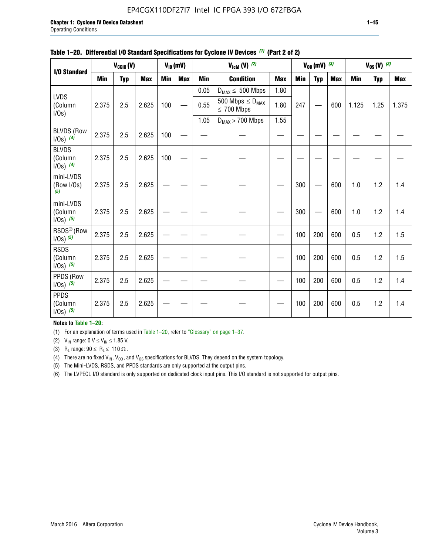#### EP4CGX110DF27I7 Intel IC FPGA 393 I/O 672FBGA

|                                         |            | $V_{\text{CCIO}}(V)$ |            |            | $V_{ID}(mV)$ |            | $V_{\text{lcm}}(V)^{(2)}$                  |            |     | $V_{OD}$ (mV) $(3)$ |            |            | $V_{0S} (V)$ (3) |            |
|-----------------------------------------|------------|----------------------|------------|------------|--------------|------------|--------------------------------------------|------------|-----|---------------------|------------|------------|------------------|------------|
| I/O Standard                            | <b>Min</b> | <b>Typ</b>           | <b>Max</b> | <b>Min</b> | <b>Max</b>   | <b>Min</b> | <b>Condition</b>                           | <b>Max</b> | Min | <b>Typ</b>          | <b>Max</b> | <b>Min</b> | <b>Typ</b>       | <b>Max</b> |
|                                         |            |                      |            |            |              | 0.05       | $D_{MAX} \leq 500$ Mbps                    | 1.80       |     |                     |            |            |                  |            |
| <b>LVDS</b><br>(Column<br>$I/Os$ )      | 2.375      | 2.5                  | 2.625      | 100        |              | 0.55       | 500 Mbps $\leq D_{MAX}$<br>$\leq 700$ Mbps | 1.80       | 247 |                     | 600        | 1.125      | 1.25             | 1.375      |
|                                         |            |                      |            |            |              | 1.05       | $D_{MAX}$ > 700 Mbps                       | 1.55       |     |                     |            |            |                  |            |
| <b>BLVDS (Row</b><br>$1/0s)$ (4)        | 2.375      | 2.5                  | 2.625      | 100        |              |            |                                            |            |     |                     |            |            |                  |            |
| <b>BLVDS</b><br>(Column<br>$1/0s)$ (4)  | 2.375      | 2.5                  | 2.625      | 100        |              |            |                                            |            |     |                     |            |            |                  |            |
| mini-LVDS<br>(Row I/Os)<br>(5)          | 2.375      | 2.5                  | 2.625      |            |              |            |                                            |            | 300 |                     | 600        | 1.0        | 1.2              | 1.4        |
| mini-LVDS<br>(Column<br>$1/0s)$ (5)     | 2.375      | 2.5                  | 2.625      |            |              |            |                                            |            | 300 |                     | 600        | 1.0        | 1.2              | 1.4        |
| RSDS <sup>®</sup> (Row<br>$1/0s)$ $(5)$ | 2.375      | 2.5                  | 2.625      |            |              |            |                                            |            | 100 | 200                 | 600        | 0.5        | 1.2              | 1.5        |
| <b>RSDS</b><br>(Column<br>$1/0s)$ (5)   | 2.375      | 2.5                  | 2.625      |            |              |            |                                            |            | 100 | 200                 | 600        | 0.5        | 1.2              | 1.5        |
| PPDS (Row<br>$1/0s)$ (5)                | 2.375      | 2.5                  | 2.625      |            |              |            |                                            |            | 100 | 200                 | 600        | 0.5        | 1.2              | 1.4        |
| <b>PPDS</b><br>(Column<br>$1/0s)$ (5)   | 2.375      | 2.5                  | 2.625      |            |              |            |                                            |            | 100 | 200                 | 600        | 0.5        | 1.2              | 1.4        |

#### **Table 1–20. Differential I/O Standard Specifications for Cyclone IV Devices** *(1)* **(Part 2 of 2)**

#### **Notes to Table 1–20:**

(1) For an explanation of terms used in Table 1–20, refer to "Glossary" on page 1–37.

(2)  $V_{IN}$  range: 0  $V \le V_{IN} \le 1.85$  V.

(3) R<sub>L</sub> range:  $90 \le R_L \le 110 \Omega$ .

(4) There are no fixed  $V_{IN}$ ,  $V_{OD}$ , and  $V_{OS}$  specifications for BLVDS. They depend on the system topology.

(5) The Mini-LVDS, RSDS, and PPDS standards are only supported at the output pins.

(6) The LVPECL I/O standard is only supported on dedicated clock input pins. This I/O standard is not supported for output pins.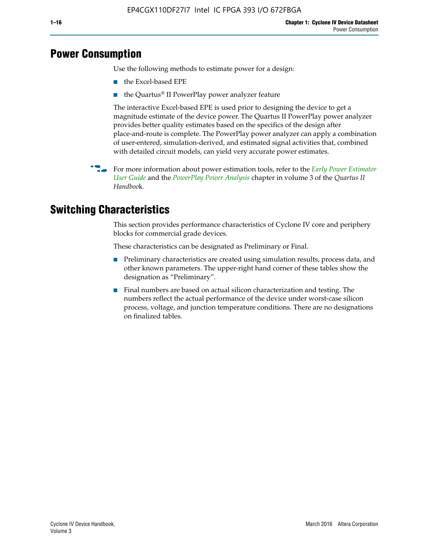# **Power Consumption**

Use the following methods to estimate power for a design:

- the Excel-based EPE
- the Quartus® II PowerPlay power analyzer feature

The interactive Excel-based EPE is used prior to designing the device to get a magnitude estimate of the device power. The Quartus II PowerPlay power analyzer provides better quality estimates based on the specifics of the design after place-and-route is complete. The PowerPlay power analyzer can apply a combination of user-entered, simulation-derived, and estimated signal activities that, combined with detailed circuit models, can yield very accurate power estimates.

f For more information about power estimation tools, refer to the *[Early Power Estimator](http://www.altera.com/literature/ug/ug_epe.pdf
)  [User Guide](http://www.altera.com/literature/ug/ug_epe.pdf
)* and the *[PowerPlay Power Analysis](http://www.altera.com/literature/hb/qts/qts_qii53013.pdf)* chapter in volume 3 of the *Quartus II Handboo*k.

# **Switching Characteristics**

This section provides performance characteristics of Cyclone IV core and periphery blocks for commercial grade devices.

These characteristics can be designated as Preliminary or Final.

- Preliminary characteristics are created using simulation results, process data, and other known parameters. The upper-right hand corner of these tables show the designation as "Preliminary".
- Final numbers are based on actual silicon characterization and testing. The numbers reflect the actual performance of the device under worst-case silicon process, voltage, and junction temperature conditions. There are no designations on finalized tables.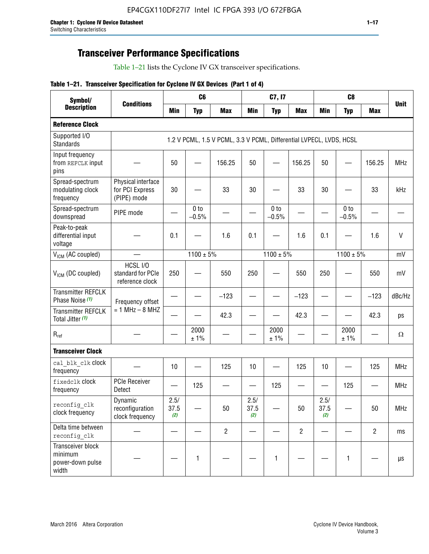# **Transceiver Performance Specifications**

Table 1–21 lists the Cyclone IV GX transceiver specifications.

#### **Table 1–21. Transceiver Specification for Cyclone IV GX Devices (Part 1 of 4)**

| Symbol/                                                   |                                                      |                     | C <sub>6</sub>             |                                                                     |                     | C7, I7                     |                               |                     | C <sub>8</sub>             |                |              |
|-----------------------------------------------------------|------------------------------------------------------|---------------------|----------------------------|---------------------------------------------------------------------|---------------------|----------------------------|-------------------------------|---------------------|----------------------------|----------------|--------------|
| <b>Description</b>                                        | <b>Conditions</b>                                    | <b>Min</b>          | <b>Typ</b>                 | <b>Max</b>                                                          | <b>Min</b>          | <b>Typ</b>                 | <b>Max</b>                    | <b>Min</b>          | <b>Typ</b>                 | <b>Max</b>     | <b>Unit</b>  |
| <b>Reference Clock</b>                                    |                                                      |                     |                            |                                                                     |                     |                            |                               |                     |                            |                |              |
| Supported I/O<br><b>Standards</b>                         |                                                      |                     |                            | 1.2 V PCML, 1.5 V PCML, 3.3 V PCML, Differential LVPECL, LVDS, HCSL |                     |                            |                               |                     |                            |                |              |
| Input frequency<br>from REFCLK input<br>pins              |                                                      | 50                  |                            | 156.25                                                              | 50                  |                            | 156.25                        | 50                  | —                          | 156.25         | <b>MHz</b>   |
| Spread-spectrum<br>modulating clock<br>frequency          | Physical interface<br>for PCI Express<br>(PIPE) mode | 30                  |                            | 33                                                                  | 30                  |                            | 33                            | 30                  |                            | 33             | kHz          |
| Spread-spectrum<br>downspread                             | PIPE mode                                            |                     | 0 <sub>to</sub><br>$-0.5%$ |                                                                     |                     | 0 <sub>to</sub><br>$-0.5%$ |                               |                     | 0 <sub>to</sub><br>$-0.5%$ |                |              |
| Peak-to-peak<br>differential input<br>voltage             |                                                      | 0.1                 |                            | 1.6                                                                 | 0.1                 |                            | 1.6                           | 0.1                 |                            | 1.6            | $\mathsf{V}$ |
| V <sub>ICM</sub> (AC coupled)                             |                                                      |                     | $1100 \pm 5\%$             |                                                                     |                     | $1100 \pm 5\%$             |                               |                     | $1100 \pm 5\%$             |                | mV           |
| V <sub>ICM</sub> (DC coupled)                             | HCSL I/O<br>standard for PCIe<br>reference clock     | 250                 |                            | 550                                                                 | 250                 |                            | 550                           | 250                 |                            | 550            | mV           |
| <b>Transmitter REFCLK</b><br>Phase Noise (1)              | Frequency offset                                     |                     |                            | $-123$                                                              |                     |                            | $-123$                        |                     |                            | $-123$         | dBc/Hz       |
| <b>Transmitter REFCLK</b><br>Total Jitter (1)             | $= 1$ MHz $- 8$ MHZ                                  |                     |                            | 42.3                                                                |                     |                            | 42.3                          |                     |                            | 42.3           | ps           |
| $R_{ref}$                                                 |                                                      |                     | 2000<br>± 1%               |                                                                     |                     | 2000<br>± 1%               |                               |                     | 2000<br>± 1%               |                | $\Omega$     |
| <b>Transceiver Clock</b>                                  |                                                      |                     |                            |                                                                     |                     |                            |                               |                     |                            |                |              |
| cal blk clk clock<br>frequency                            |                                                      | 10                  |                            | 125                                                                 | 10                  |                            | 125                           | 10                  |                            | 125            | <b>MHz</b>   |
| fixedclk Clock<br>frequency                               | <b>PCIe Receiver</b><br>Detect                       |                     | 125                        |                                                                     |                     | 125                        | $\overbrace{\phantom{aaaaa}}$ |                     | 125                        |                | <b>MHz</b>   |
| reconfig_clk<br>clock frequency                           | Dynamic<br>reconfiguration<br>clock frequency        | 2.5/<br>37.5<br>(2) |                            | 50                                                                  | 2.5/<br>37.5<br>(2) |                            | 50                            | 2.5/<br>37.5<br>(2) |                            | 50             | <b>MHz</b>   |
| Delta time between<br>reconfig clk                        |                                                      |                     |                            | $\overline{c}$                                                      |                     |                            | $\overline{c}$                |                     |                            | $\overline{2}$ | ms           |
| Transceiver block<br>minimum<br>power-down pulse<br>width |                                                      |                     | 1                          |                                                                     |                     | 1                          |                               |                     | $\mathbf{1}$               |                | $\mu s$      |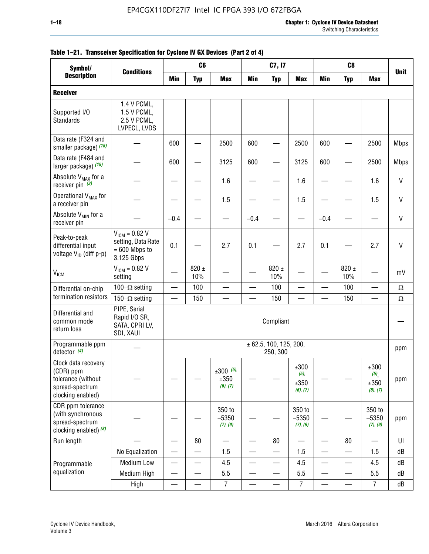| Symbol/                                                                                        |                                                                           |                          | C <sub>6</sub>           |                                 |                          | C7, I7                             |                                          |                          | C <sub>8</sub>           |                                                |              |
|------------------------------------------------------------------------------------------------|---------------------------------------------------------------------------|--------------------------|--------------------------|---------------------------------|--------------------------|------------------------------------|------------------------------------------|--------------------------|--------------------------|------------------------------------------------|--------------|
| <b>Description</b>                                                                             | <b>Conditions</b>                                                         | Min                      | <b>Typ</b>               | <b>Max</b>                      | <b>Min</b>               | <b>Typ</b>                         | <b>Max</b>                               | <b>Min</b>               | <b>Typ</b>               | <b>Max</b>                                     | <b>Unit</b>  |
| <b>Receiver</b>                                                                                |                                                                           |                          |                          |                                 |                          |                                    |                                          |                          |                          |                                                |              |
| Supported I/O<br>Standards                                                                     | 1.4 V PCML,<br>1.5 V PCML,<br>2.5 V PCML,<br>LVPECL, LVDS                 |                          |                          |                                 |                          |                                    |                                          |                          |                          |                                                |              |
| Data rate (F324 and<br>smaller package) (15)                                                   |                                                                           | 600                      |                          | 2500                            | 600                      |                                    | 2500                                     | 600                      |                          | 2500                                           | <b>Mbps</b>  |
| Data rate (F484 and<br>larger package) (15)                                                    |                                                                           | 600                      |                          | 3125                            | 600                      |                                    | 3125                                     | 600                      |                          | 2500                                           | <b>Mbps</b>  |
| Absolute V <sub>MAX</sub> for a<br>receiver pin $(3)$                                          |                                                                           |                          |                          | 1.6                             |                          |                                    | 1.6                                      |                          |                          | 1.6                                            | V            |
| Operational V <sub>MAX</sub> for<br>a receiver pin                                             |                                                                           |                          |                          | 1.5                             |                          |                                    | 1.5                                      |                          |                          | 1.5                                            | V            |
| Absolute V <sub>MIN</sub> for a<br>receiver pin                                                |                                                                           | $-0.4$                   |                          |                                 | $-0.4$                   |                                    |                                          | $-0.4$                   |                          |                                                | V            |
| Peak-to-peak<br>differential input<br>voltage V <sub>ID</sub> (diff p-p)                       | $V_{ICM} = 0.82 V$<br>setting, Data Rate<br>$= 600$ Mbps to<br>3.125 Gbps | 0.1                      |                          | 2.7                             | 0.1                      |                                    | 2.7                                      | 0.1                      |                          | 2.7                                            | $\mathsf{V}$ |
| <b>V<sub>ICM</sub></b>                                                                         | $V_{IGM} = 0.82 V$<br>setting                                             |                          | 820 $\pm$<br>10%         |                                 |                          | 820 $\pm$<br>10%                   |                                          |                          | $820 \pm$<br>10%         |                                                | mV           |
| Differential on-chip                                                                           | 100 $-\Omega$ setting                                                     | $\equiv$                 | 100                      | $\qquad \qquad \qquad$          |                          | 100                                |                                          | $\overline{\phantom{0}}$ | 100                      | $\overbrace{\phantom{aaaaa}}^{x}$              | $\Omega$     |
| termination resistors                                                                          | 150 $-\Omega$ setting                                                     |                          | 150                      |                                 |                          | 150                                |                                          | $\overline{\phantom{0}}$ | 150                      |                                                | $\Omega$     |
| Differential and<br>common mode<br>return loss                                                 | PIPE, Serial<br>Rapid I/O SR,<br>SATA, CPRI LV,<br>SDI, XAUI              |                          |                          |                                 |                          | Compliant                          |                                          |                          |                          |                                                |              |
| Programmable ppm<br>detector $(4)$                                                             |                                                                           |                          |                          |                                 |                          | ± 62.5, 100, 125, 200,<br>250, 300 |                                          |                          |                          |                                                | ppm          |
| Clock data recovery<br>(CDR) ppm<br>tolerance (without<br>spread-spectrum<br>clocking enabled) |                                                                           |                          |                          | $±300$ (5),<br>±350<br>(6), (7) |                          |                                    | $\pm 300$<br>$(5)$ ,<br>±350<br>(6), (7) |                          |                          | ±300<br>$(5)$ <sub>,</sub><br>±350<br>(6), (7) | ppm          |
| CDR ppm tolerance<br>(with synchronous<br>spread-spectrum<br>clocking enabled) (8)             |                                                                           |                          |                          | 350 to<br>$-5350$<br>(7), (9)   |                          |                                    | 350 to<br>$-5350$<br>(7), (9)            |                          |                          | 350 to<br>$-5350$<br>(7), (9)                  | ppm          |
| Run length                                                                                     |                                                                           | $\equiv$                 | 80                       |                                 | $\equiv$                 | 80                                 | $\overline{\phantom{0}}$                 | $\overline{\phantom{0}}$ | 80                       | $\overline{\phantom{0}}$                       | UI           |
|                                                                                                | No Equalization                                                           |                          |                          | 1.5                             |                          |                                    | 1.5                                      | $\overline{\phantom{0}}$ | $\overline{\phantom{0}}$ | 1.5                                            | dB           |
| Programmable                                                                                   | Medium Low                                                                |                          |                          | 4.5                             |                          |                                    | 4.5                                      | —                        |                          | 4.5                                            | dB           |
| equalization                                                                                   | Medium High                                                               | $\overline{\phantom{0}}$ | $\overline{\phantom{0}}$ | 5.5                             | $\equiv$                 | —                                  | 5.5                                      | $\overline{\phantom{0}}$ | $\overline{\phantom{0}}$ | 5.5                                            | dB           |
|                                                                                                | High                                                                      |                          |                          | $\overline{7}$                  | $\overline{\phantom{0}}$ |                                    | $\overline{7}$                           |                          | $\overline{\phantom{0}}$ | $\overline{7}$                                 | dB           |

| Table 1-21. Transceiver Specification for Cyclone IV GX Devices (Part 2 of 4) |
|-------------------------------------------------------------------------------|
|-------------------------------------------------------------------------------|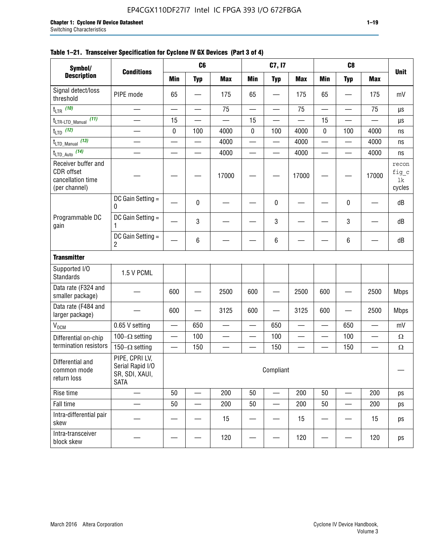| Symbol/                                                                        |                                                                     |                          | C <sub>6</sub>           |                          |                          | C7, I7                   |                          |                          | C <sub>8</sub>           |                          |                                |
|--------------------------------------------------------------------------------|---------------------------------------------------------------------|--------------------------|--------------------------|--------------------------|--------------------------|--------------------------|--------------------------|--------------------------|--------------------------|--------------------------|--------------------------------|
| <b>Description</b>                                                             | <b>Conditions</b>                                                   | <b>Min</b>               | <b>Typ</b>               | <b>Max</b>               | <b>Min</b>               | <b>Typ</b>               | <b>Max</b>               | <b>Min</b>               | <b>Typ</b>               | <b>Max</b>               | <b>Unit</b>                    |
| Signal detect/loss<br>threshold                                                | PIPE mode                                                           | 65                       |                          | 175                      | 65                       |                          | 175                      | 65                       |                          | 175                      | mV                             |
| $t_{LTR}$ (10)                                                                 | $\overline{\phantom{0}}$                                            | $\overline{\phantom{0}}$ | $\overline{\phantom{0}}$ | 75                       | $\overline{\phantom{0}}$ | $\overline{\phantom{0}}$ | 75                       |                          |                          | 75                       | μs                             |
| (11)<br>$t_{\text{LTR-LTD\_Manual}}$                                           | $\overline{\phantom{0}}$                                            | 15                       |                          |                          | 15                       |                          |                          | 15                       |                          |                          | μs                             |
| $t_{LTD}$ (12)                                                                 |                                                                     | $\pmb{0}$                | 100                      | 4000                     | $\pmb{0}$                | 100                      | 4000                     | 0                        | 100                      | 4000                     | ns                             |
| $t_{\text{LTD\_Manual}}$ (13)                                                  |                                                                     |                          |                          | 4000                     | er<br>Here               |                          | 4000                     |                          |                          | 4000                     | ns                             |
| $t_{\text{LTD\_Auto}}$ (14)                                                    |                                                                     |                          | $\overline{\phantom{0}}$ | 4000                     | $\overline{\phantom{0}}$ | $\equiv$                 | 4000                     |                          | $\overline{\phantom{0}}$ | 4000                     | ns                             |
| Receiver buffer and<br><b>CDR</b> offset<br>cancellation time<br>(per channel) |                                                                     |                          |                          | 17000                    |                          |                          | 17000                    |                          |                          | 17000                    | recon<br>fig_c<br>1k<br>cycles |
|                                                                                | DC Gain Setting =<br>0                                              |                          | 0                        |                          |                          | 0                        |                          |                          | 0                        |                          | dB                             |
| Programmable DC<br>gain                                                        | DC Gain Setting =<br>1                                              |                          | 3                        |                          |                          | 3                        |                          |                          | 3                        |                          | dB                             |
|                                                                                | DC Gain Setting =<br>$\overline{c}$                                 |                          | 6                        |                          |                          | 6                        |                          |                          | 6                        |                          | dB                             |
| <b>Transmitter</b>                                                             |                                                                     |                          |                          |                          |                          |                          |                          |                          |                          |                          |                                |
| Supported I/O<br><b>Standards</b>                                              | 1.5 V PCML                                                          |                          |                          |                          |                          |                          |                          |                          |                          |                          |                                |
| Data rate (F324 and<br>smaller package)                                        |                                                                     | 600                      |                          | 2500                     | 600                      |                          | 2500                     | 600                      |                          | 2500                     | <b>Mbps</b>                    |
| Data rate (F484 and<br>larger package)                                         |                                                                     | 600                      |                          | 3125                     | 600                      |                          | 3125                     | 600                      |                          | 2500                     | <b>Mbps</b>                    |
| $\rm V_{\rm OCM}$                                                              | 0.65 V setting                                                      |                          | 650                      |                          | $\sim$                   | 650                      | $\overline{\phantom{a}}$ |                          | 650                      |                          | mV                             |
| Differential on-chip                                                           | 100 $-\Omega$ setting                                               | —                        | 100                      | $\overline{\phantom{0}}$ | $\overline{\phantom{0}}$ | 100                      | $\sim$                   | $\overline{\phantom{0}}$ | 100                      | —                        | $\Omega$                       |
| termination resistors                                                          | 150 $-\Omega$ setting                                               |                          | 150                      | $\overline{\phantom{0}}$ |                          | 150                      |                          |                          | 150                      | $\overline{\phantom{0}}$ | $\Omega$                       |
| Differential and<br>common mode<br>return loss                                 | PIPE, CPRI LV,<br>Serial Rapid I/O<br>SR, SDI, XAUI,<br><b>SATA</b> |                          |                          |                          |                          | Compliant                |                          |                          |                          |                          |                                |
| Rise time                                                                      |                                                                     | 50                       |                          | 200                      | 50                       |                          | 200                      | 50                       |                          | 200                      | ps                             |
| Fall time                                                                      |                                                                     | 50                       |                          | 200                      | 50                       |                          | 200                      | 50                       |                          | 200                      | ps                             |
| Intra-differential pair<br>skew                                                |                                                                     |                          |                          | 15                       |                          |                          | 15                       |                          |                          | 15                       | ps                             |
| Intra-transceiver<br>block skew                                                |                                                                     |                          |                          | 120                      |                          |                          | 120                      |                          |                          | 120                      | ps                             |

#### **Table 1–21. Transceiver Specification for Cyclone IV GX Devices (Part 3 of 4)**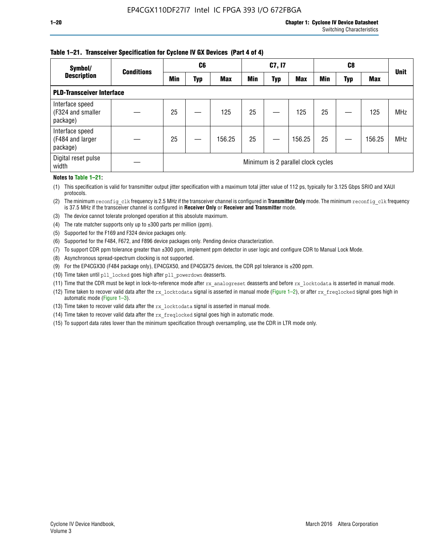#### **Table 1–21. Transceiver Specification for Cyclone IV GX Devices (Part 4 of 4)**

| Symbol/                                          | <b>Conditions</b> |     | C <sub>6</sub> |            |            | C7, I7     |                                    |            | C8  |            | <b>Unit</b> |
|--------------------------------------------------|-------------------|-----|----------------|------------|------------|------------|------------------------------------|------------|-----|------------|-------------|
| <b>Description</b>                               |                   | Min | Typ            | <b>Max</b> | <b>Min</b> | <b>Typ</b> | <b>Max</b>                         | <b>Min</b> | Typ | <b>Max</b> |             |
| <b>PLD-Transceiver Interface</b>                 |                   |     |                |            |            |            |                                    |            |     |            |             |
| Interface speed<br>(F324 and smaller<br>package) |                   | 25  |                | 125        | 25         |            | 125                                | 25         |     | 125        | <b>MHz</b>  |
| Interface speed<br>(F484 and larger<br>package)  |                   | 25  |                | 156.25     | 25         |            | 156.25                             | 25         |     | 156.25     | <b>MHz</b>  |
| Digital reset pulse<br>width                     |                   |     |                |            |            |            | Minimum is 2 parallel clock cycles |            |     |            |             |

#### **Notes to Table 1–21:**

(1) This specification is valid for transmitter output jitter specification with a maximum total jitter value of 112 ps, typically for 3.125 Gbps SRIO and XAUI protocols.

(2) The minimum reconfig\_clk frequency is 2.5 MHz if the transceiver channel is configured in **Transmitter Only** mode. The minimum reconfig\_clk frequency is 37.5 MHz if the transceiver channel is configured in **Receiver Only** or **Receiver and Transmitter** mode.

(3) The device cannot tolerate prolonged operation at this absolute maximum.

- (4) The rate matcher supports only up to  $\pm 300$  parts per million (ppm).
- (5) Supported for the F169 and F324 device packages only.
- (6) Supported for the F484, F672, and F896 device packages only. Pending device characterization.
- (7) To support CDR ppm tolerance greater than ±300 ppm, implement ppm detector in user logic and configure CDR to Manual Lock Mode.
- (8) Asynchronous spread-spectrum clocking is not supported.
- (9) For the EP4CGX30 (F484 package only), EP4CGX50, and EP4CGX75 devices, the CDR ppl tolerance is ±200 ppm.
- (10) Time taken until pll\_locked goes high after pll\_powerdown deasserts.
- (11) Time that the CDR must be kept in lock-to-reference mode after rx analogreset deasserts and before rx locktodata is asserted in manual mode.

(12) Time taken to recover valid data after the rx locktodata signal is asserted in manual mode (Figure 1–2), or after rx freqlocked signal goes high in automatic mode (Figure 1–3).

(13) Time taken to recover valid data after the rx locktodata signal is asserted in manual mode.

- (14) Time taken to recover valid data after the rx freqlocked signal goes high in automatic mode.
- (15) To support data rates lower than the minimum specification through oversampling, use the CDR in LTR mode only.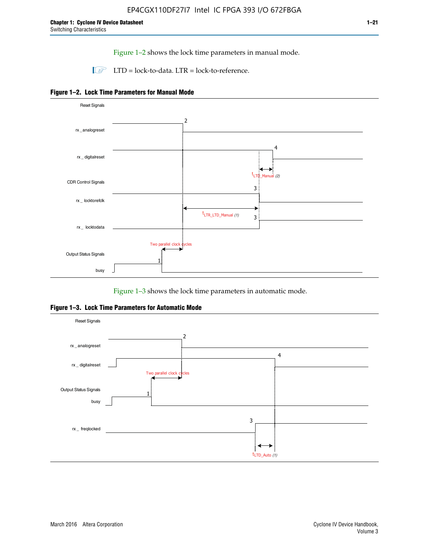Figure 1–2 shows the lock time parameters in manual mode.

 $\Box$  LTD = lock-to-data. LTR = lock-to-reference.





Figure 1–3 shows the lock time parameters in automatic mode.

**Figure 1–3. Lock Time Parameters for Automatic Mode**

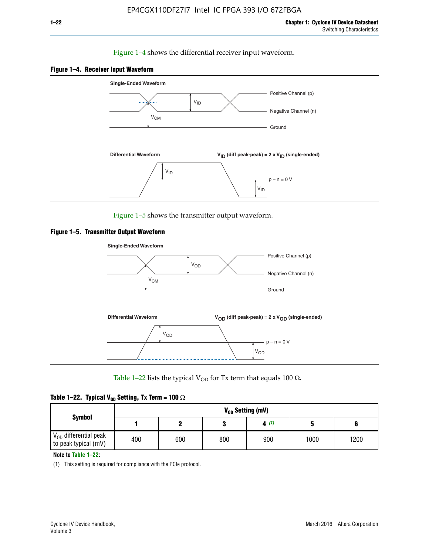#### Figure 1–4 shows the differential receiver input waveform.





Figure 1–5 shows the transmitter output waveform.





Table 1–22 lists the typical V<sub>OD</sub> for Tx term that equals 100  $\Omega$ .

| Table 1–22. Typical V <sub>0D</sub> Setting, Tx Term = 100 $\Omega$ |  |  |  |  |  |  |  |
|---------------------------------------------------------------------|--|--|--|--|--|--|--|
|---------------------------------------------------------------------|--|--|--|--|--|--|--|

|                                                        |     | V <sub>on</sub> Setting (mV) |     |      |      |      |  |  |  |  |  |  |  |  |
|--------------------------------------------------------|-----|------------------------------|-----|------|------|------|--|--|--|--|--|--|--|--|
| <b>Symbol</b>                                          |     |                              |     | 4(1) |      |      |  |  |  |  |  |  |  |  |
| $\rm V_{OD}$ differential peak<br>to peak typical (mV) | 400 | 600                          | 800 | 900  | 1000 | 1200 |  |  |  |  |  |  |  |  |

**Note to Table 1–22:**

(1) This setting is required for compliance with the PCIe protocol.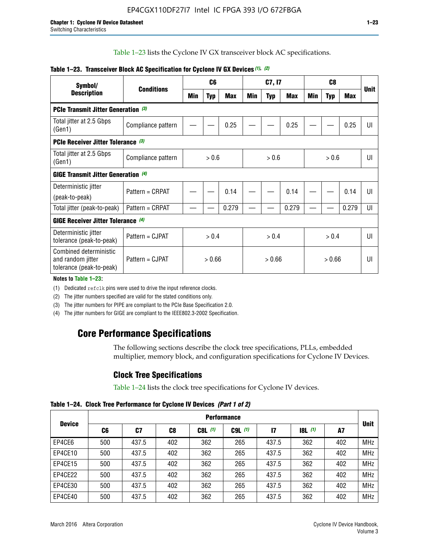Table 1–23 lists the Cyclone IV GX transceiver block AC specifications.

| Symbol/                                                                 |                    |        | C <sub>6</sub> |            |        | C7, I7     |       |       |            | <b>Unit</b> |    |
|-------------------------------------------------------------------------|--------------------|--------|----------------|------------|--------|------------|-------|-------|------------|-------------|----|
| <b>Description</b>                                                      | <b>Conditions</b>  | Min    | <b>Typ</b>     | <b>Max</b> | Min    | <b>Typ</b> | Max   | Min   | <b>Typ</b> | <b>Max</b>  |    |
| <b>PCIe Transmit Jitter Generation</b> (3)                              |                    |        |                |            |        |            |       |       |            |             |    |
| Total jitter at 2.5 Gbps<br>(Gen1)                                      | Compliance pattern |        |                | 0.25       |        |            | 0.25  |       |            | 0.25        | UI |
| <b>PCIe Receiver Jitter Tolerance</b> (3)                               |                    |        |                |            |        |            |       |       |            |             |    |
| Total jitter at 2.5 Gbps<br>(Gen1)                                      | Compliance pattern | > 0.6  |                |            |        | > 0.6      |       |       | > 0.6      |             |    |
| GIGE Transmit Jitter Generation (4)                                     |                    |        |                |            |        |            |       |       |            |             |    |
| Deterministic jitter                                                    | Pattern = CRPAT    |        |                | 0.14       |        |            | 0.14  |       |            | 0.14        | UI |
| (peak-to-peak)                                                          |                    |        |                |            |        |            |       |       |            |             |    |
| Total jitter (peak-to-peak)                                             | Pattern = CRPAT    |        |                | 0.279      |        |            | 0.279 |       |            | 0.279       | UI |
| <b>GIGE Receiver Jitter Tolerance (4)</b>                               |                    |        |                |            |        |            |       |       |            |             |    |
| Deterministic jitter<br>tolerance (peak-to-peak)                        | Pattern = CJPAT    |        | > 0.4          |            | > 0.4  |            |       | > 0.4 |            |             | U  |
| Combined deterministic<br>and random jitter<br>tolerance (peak-to-peak) | Pattern = CJPAT    | > 0.66 |                |            | > 0.66 |            |       |       | UI         |             |    |

#### **Table 1–23. Transceiver Block AC Specification for Cyclone IV GX Devices** *(1)***,** *(2)*

**Notes to Table 1–23:**

(1) Dedicated refclk pins were used to drive the input reference clocks.

(2) The jitter numbers specified are valid for the stated conditions only.

(3) The jitter numbers for PIPE are compliant to the PCIe Base Specification 2.0.

(4) The jitter numbers for GIGE are compliant to the IEEE802.3-2002 Specification.

### **Core Performance Specifications**

The following sections describe the clock tree specifications, PLLs, embedded multiplier, memory block, and configuration specifications for Cyclone IV Devices.

### **Clock Tree Specifications**

Table 1–24 lists the clock tree specifications for Cyclone IV devices.

**Table 1–24. Clock Tree Performance for Cyclone IV Devices** *(Part 1 of 2)*

|               |     | <b>Performance</b> |     |           |             |              |                  |     |             |  |  |  |  |  |  |
|---------------|-----|--------------------|-----|-----------|-------------|--------------|------------------|-----|-------------|--|--|--|--|--|--|
| <b>Device</b> | C6  | C7                 | C8  | $C8L$ (1) | $C9L$ $(1)$ | $\mathbf{I}$ | <b>18L</b> $(1)$ | A7  | <b>Unit</b> |  |  |  |  |  |  |
| EP4CE6        | 500 | 437.5              | 402 | 362       | 265         | 437.5        | 362              | 402 | <b>MHz</b>  |  |  |  |  |  |  |
| EP4CE10       | 500 | 437.5              | 402 | 362       | 265         | 437.5        | 362              | 402 | <b>MHz</b>  |  |  |  |  |  |  |
| EP4CE15       | 500 | 437.5              | 402 | 362       | 265         | 437.5        | 362              | 402 | <b>MHz</b>  |  |  |  |  |  |  |
| EP4CE22       | 500 | 437.5              | 402 | 362       | 265         | 437.5        | 362              | 402 | <b>MHz</b>  |  |  |  |  |  |  |
| EP4CE30       | 500 | 437.5              | 402 | 362       | 265         | 437.5        | 362              | 402 | <b>MHz</b>  |  |  |  |  |  |  |
| EP4CE40       | 500 | 437.5              | 402 | 362       | 265         | 437.5        | 362              | 402 | <b>MHz</b>  |  |  |  |  |  |  |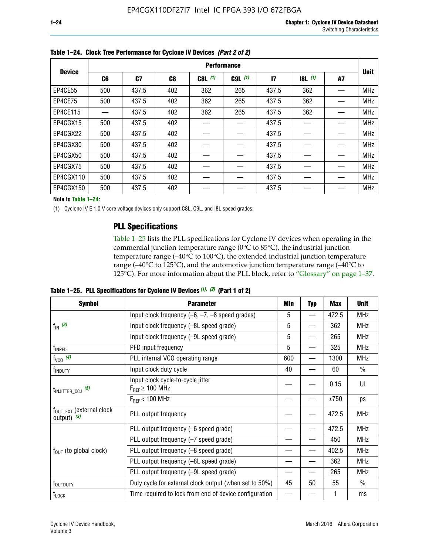|               |     | <b>Performance</b> |                |           |             |              |       |    |             |  |  |  |  |  |  |
|---------------|-----|--------------------|----------------|-----------|-------------|--------------|-------|----|-------------|--|--|--|--|--|--|
| <b>Device</b> | C6  | C7                 | C <sub>8</sub> | $C8L$ (1) | $C9L$ $(1)$ | $\mathbf{I}$ | 8L(1) | A7 | <b>Unit</b> |  |  |  |  |  |  |
| EP4CE55       | 500 | 437.5              | 402            | 362       | 265         | 437.5        | 362   |    | <b>MHz</b>  |  |  |  |  |  |  |
| EP4CE75       | 500 | 437.5              | 402            | 362       | 265         | 437.5        | 362   |    | <b>MHz</b>  |  |  |  |  |  |  |
| EP4CE115      |     | 437.5              | 402            | 362       | 265         | 437.5        | 362   |    | <b>MHz</b>  |  |  |  |  |  |  |
| EP4CGX15      | 500 | 437.5              | 402            |           |             | 437.5        |       |    | <b>MHz</b>  |  |  |  |  |  |  |
| EP4CGX22      | 500 | 437.5              | 402            |           |             | 437.5        |       |    | <b>MHz</b>  |  |  |  |  |  |  |
| EP4CGX30      | 500 | 437.5              | 402            |           |             | 437.5        |       |    | <b>MHz</b>  |  |  |  |  |  |  |
| EP4CGX50      | 500 | 437.5              | 402            |           |             | 437.5        |       |    | <b>MHz</b>  |  |  |  |  |  |  |
| EP4CGX75      | 500 | 437.5              | 402            |           |             | 437.5        |       |    | <b>MHz</b>  |  |  |  |  |  |  |
| EP4CGX110     | 500 | 437.5              | 402            |           |             | 437.5        |       |    | <b>MHz</b>  |  |  |  |  |  |  |
| EP4CGX150     | 500 | 437.5              | 402            |           |             | 437.5        |       |    | <b>MHz</b>  |  |  |  |  |  |  |

**Table 1–24. Clock Tree Performance for Cyclone IV Devices** *(Part 2 of 2)*

**Note to Table 1–24:**

(1) Cyclone IV E 1.0 V core voltage devices only support C8L, C9L, and I8L speed grades.

### **PLL Specifications**

Table 1–25 lists the PLL specifications for Cyclone IV devices when operating in the commercial junction temperature range (0°C to 85°C), the industrial junction temperature range (–40°C to 100°C), the extended industrial junction temperature range (–40°C to 125°C), and the automotive junction temperature range (–40°C to 125°C). For more information about the PLL block, refer to "Glossary" on page 1–37.

**Table 1–25. PLL Specifications for Cyclone IV Devices** *(1), (2)* **(Part 1 of 2)**

| <b>Symbol</b>                                          | <b>Parameter</b>                                            | Min | <b>Typ</b>               | <b>Max</b> | <b>Unit</b>   |
|--------------------------------------------------------|-------------------------------------------------------------|-----|--------------------------|------------|---------------|
|                                                        | Input clock frequency $(-6, -7, -8)$ speed grades)          | 5   | $\overline{\phantom{0}}$ | 472.5      | <b>MHz</b>    |
| $f_{\text{IN}}(3)$                                     | Input clock frequency (-8L speed grade)                     | 5   |                          | 362        | <b>MHz</b>    |
|                                                        | Input clock frequency (-9L speed grade)                     | 5   |                          | 265        | <b>MHz</b>    |
| f <sub>INPFD</sub>                                     | PFD input frequency                                         | 5   |                          | 325        | <b>MHz</b>    |
| $f_{VCO}$ (4)                                          | PLL internal VCO operating range                            | 600 |                          | 1300       | <b>MHz</b>    |
| f <sub>INDUTY</sub>                                    | Input clock duty cycle                                      | 40  |                          | 60         | $\frac{0}{0}$ |
| $t_{\text{INJITTER\_CCJ}}$ (5)                         | Input clock cycle-to-cycle jitter<br>$F_{REF} \geq 100$ MHz |     |                          | 0.15       | UI            |
|                                                        | $F_{RFF}$ < 100 MHz                                         |     |                          | ±750       | ps            |
| $f_{\text{OUT\_EXT}}$ (external clock<br>output) $(3)$ | PLL output frequency                                        |     |                          | 472.5      | <b>MHz</b>    |
|                                                        | PLL output frequency (-6 speed grade)                       |     |                          | 472.5      | <b>MHz</b>    |
|                                                        | PLL output frequency (-7 speed grade)                       |     |                          | 450        | <b>MHz</b>    |
| $f_{OUT}$ (to global clock)                            | PLL output frequency (-8 speed grade)                       |     |                          | 402.5      | <b>MHz</b>    |
|                                                        | PLL output frequency (-8L speed grade)                      |     |                          | 362        | <b>MHz</b>    |
|                                                        | PLL output frequency (-9L speed grade)                      |     |                          | 265        | <b>MHz</b>    |
| t <sub>outputy</sub>                                   | Duty cycle for external clock output (when set to 50%)      | 45  | 50                       | 55         | $\frac{0}{0}$ |
| $t_{\text{LOCK}}$                                      | Time required to lock from end of device configuration      |     |                          |            | ms            |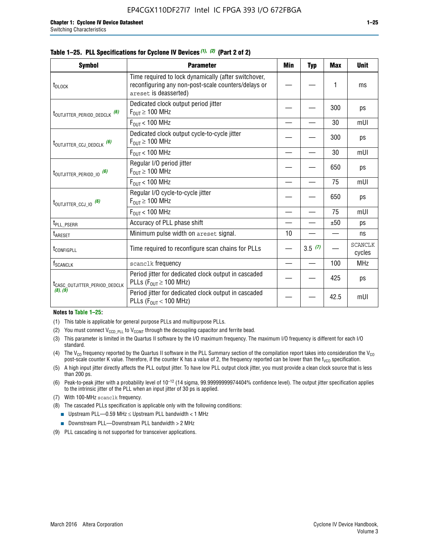| Symbol                                    | <b>Parameter</b>                                                                                                                     | Min | <b>Typ</b> | Max  | <b>Unit</b>              |
|-------------------------------------------|--------------------------------------------------------------------------------------------------------------------------------------|-----|------------|------|--------------------------|
| t <sub>DLOCK</sub>                        | Time required to lock dynamically (after switchover,<br>reconfiguring any non-post-scale counters/delays or<br>areset is deasserted) |     |            | 1    | ms                       |
| t <sub>outjitter_period_dedclk</sub> (6)  | Dedicated clock output period jitter<br>$F_{OUT} \geq 100$ MHz                                                                       |     |            | 300  | ps                       |
|                                           | $F_{OIII}$ < 100 MHz                                                                                                                 |     |            | 30   | mUI                      |
| $t_{\text{OUTJITTER\_CCJ\_DEDCLK}}$ (6)   | Dedicated clock output cycle-to-cycle jitter<br>$F_{OUT} \ge 100$ MHz                                                                |     |            | 300  | ps                       |
|                                           | $F_{OUT}$ < 100 MHz                                                                                                                  |     |            | 30   | mUI                      |
| $t_{\text{OUTJITTER}$ (6)                 | Regular I/O period jitter<br>$F_{OUT} \ge 100$ MHz                                                                                   |     |            | 650  | ps                       |
|                                           | $F_{OIII}$ < 100 MHz                                                                                                                 |     |            | 75   | mUI                      |
| $t_{\text{OUTJITTER\_CCJ\_IO}}$ (6)       | Regular I/O cycle-to-cycle jitter<br>$F_{OUT} \ge 100$ MHz                                                                           |     |            | 650  | ps                       |
|                                           | $F_{OUT}$ < 100 MHz                                                                                                                  |     |            | 75   | mUI                      |
| t <sub>PLL_PSERR</sub>                    | Accuracy of PLL phase shift                                                                                                          |     |            | ±50  | ps                       |
| t <sub>ARESET</sub>                       | Minimum pulse width on areset signal.                                                                                                | 10  |            |      | ns                       |
| t <sub>configpll</sub>                    | Time required to reconfigure scan chains for PLLs                                                                                    |     | 3.5(7)     |      | <b>SCANCLK</b><br>cycles |
| f <sub>SCANCLK</sub>                      | scanclk frequency                                                                                                                    |     |            | 100  | <b>MHz</b>               |
| t <sub>CASC_OUTJITTER_PERIOD_DEDCLK</sub> | Period jitter for dedicated clock output in cascaded<br>PLLs ( $F_{OUT} \ge 100$ MHz)                                                |     |            | 425  | ps                       |
| (8), (9)                                  | Period jitter for dedicated clock output in cascaded<br>PLLs ( $F_{OUT}$ < 100 MHz)                                                  |     |            | 42.5 | mUI                      |
| Madagasa Table 4, OF                      |                                                                                                                                      |     |            |      |                          |

#### **Table 1–25. PLL Specifications for Cyclone IV Devices** *(1), (2)* **(Part 2 of 2)**

#### **Notes to Table 1–25:**

- (1) This table is applicable for general purpose PLLs and multipurpose PLLs.
- (2) You must connect  $V_{CCD-PLL}$  to  $V_{CCINT}$  through the decoupling capacitor and ferrite bead.
- (3) This parameter is limited in the Quartus II software by the I/O maximum frequency. The maximum I/O frequency is different for each I/O standard.
- (4) The V<sub>CO</sub> frequency reported by the Quartus II software in the PLL Summary section of the compilation report takes into consideration the V<sub>CO</sub> post-scale counter K value. Therefore, if the counter K has a value of 2, the frequency reported can be lower than the f<sub>VCO</sub> specification.
- (5) A high input jitter directly affects the PLL output jitter. To have low PLL output clock jitter, you must provide a clean clock source that is less than 200 ps.
- (6) Peak-to-peak jitter with a probability level of 10–12 (14 sigma, 99.99999999974404% confidence level). The output jitter specification applies to the intrinsic jitter of the PLL when an input jitter of 30 ps is applied.
- (7) With 100-MHz scanclk frequency.
- (8) The cascaded PLLs specification is applicable only with the following conditions:
	- **■** Upstream PLL—0.59 MHz  $\leq$  Upstream PLL bandwidth  $<$  1 MHz
	- Downstream PLL—Downstream PLL bandwidth > 2 MHz
- (9) PLL cascading is not supported for transceiver applications.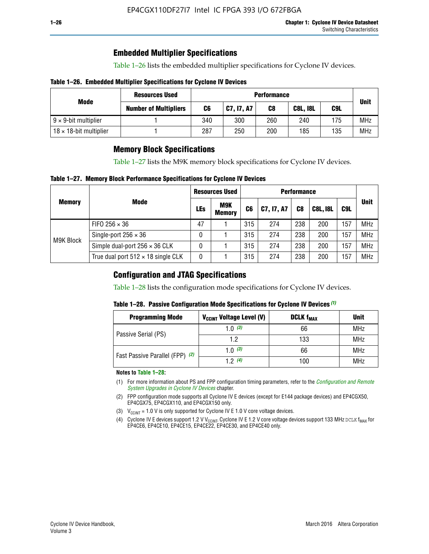### **Embedded Multiplier Specifications**

Table 1–26 lists the embedded multiplier specifications for Cyclone IV devices.

#### **Table 1–26. Embedded Multiplier Specifications for Cyclone IV Devices**

|                                | <b>Resources Used</b>        |     | <b>Performance</b> |             |     |     |            |  |  |  |  |
|--------------------------------|------------------------------|-----|--------------------|-------------|-----|-----|------------|--|--|--|--|
| Mode                           | <b>Number of Multipliers</b> | C6  | C9L                | <b>Unit</b> |     |     |            |  |  |  |  |
| $9 \times 9$ -bit multiplier   |                              | 340 | 300                | 260         | 240 | 175 | <b>MHz</b> |  |  |  |  |
| $18 \times 18$ -bit multiplier |                              | 287 | 250                | 200         | 185 | 135 | <b>MHz</b> |  |  |  |  |

### **Memory Block Specifications**

Table 1–27 lists the M9K memory block specifications for Cyclone IV devices.

#### **Table 1–27. Memory Block Performance Specifications for Cyclone IV Devices**

|               |                                           |     | <b>Resources Used</b> |                |            |                |                 |     |             |
|---------------|-------------------------------------------|-----|-----------------------|----------------|------------|----------------|-----------------|-----|-------------|
| <b>Memory</b> | <b>Mode</b>                               | LEs | M9K<br><b>Memory</b>  | C <sub>6</sub> | C7, I7, A7 | C <sub>8</sub> | <b>C8L, I8L</b> | C9L | <b>Unit</b> |
|               | FIFO 256 $\times$ 36                      | 47  |                       | 315            | 274        | 238            | 200             | 57  | <b>MHz</b>  |
|               | Single-port $256 \times 36$               | 0   |                       | 315            | 274        | 238            | 200             | 157 | <b>MHz</b>  |
| M9K Block     | Simple dual-port $256 \times 36$ CLK      | 0   |                       | 315            | 274        | 238            | 200             | 57  | <b>MHz</b>  |
|               | True dual port $512 \times 18$ single CLK | 0   |                       | 315            | 274        | 238            | 200             | :57 | <b>MHz</b>  |

### **Configuration and JTAG Specifications**

Table 1–28 lists the configuration mode specifications for Cyclone IV devices.

#### **Table 1–28. Passive Configuration Mode Specifications for Cyclone IV Devices** *(1)*

| <b>Programming Mode</b>         | V <sub>CCINT</sub> Voltage Level (V) | <b>DCLK f<sub>MAX</sub></b> | <b>Unit</b> |
|---------------------------------|--------------------------------------|-----------------------------|-------------|
| Passive Serial (PS)             | 1.0 $(3)$                            | 66                          | MHz         |
|                                 | 1.2                                  | 133                         | MHz         |
| Fast Passive Parallel (FPP) (2) | 1.0 $(3)$                            | 66                          | <b>MHz</b>  |
|                                 | 12(4)                                | 100                         | <b>MHz</b>  |

#### **Notes to Table 1–28:**

- (1) For more information about PS and FPP configuration timing parameters, refer to the *[Configuration and Remote](http://www.altera.com/literature/hb/cyclone-iv/cyiv-51008.pdf)  [System Upgrades in Cyclone IV Devices](http://www.altera.com/literature/hb/cyclone-iv/cyiv-51008.pdf)* chapter.
- (2) FPP configuration mode supports all Cyclone IV E devices (except for E144 package devices) and EP4CGX50, EP4CGX75, EP4CGX110, and EP4CGX150 only.
- (3)  $V_{CCMT}$  = 1.0 V is only supported for Cyclone IV E 1.0 V core voltage devices.
- (4) Cyclone IV E devices support 1.2 V V<sub>CCINT</sub>. Cyclone IV E 1.2 V core voltage devices support 133 MHz DCLK f<sub>MAX</sub> for EP4CE6, EP4CE10, EP4CE15, EP4CE22, EP4CE30, and EP4CE40 only.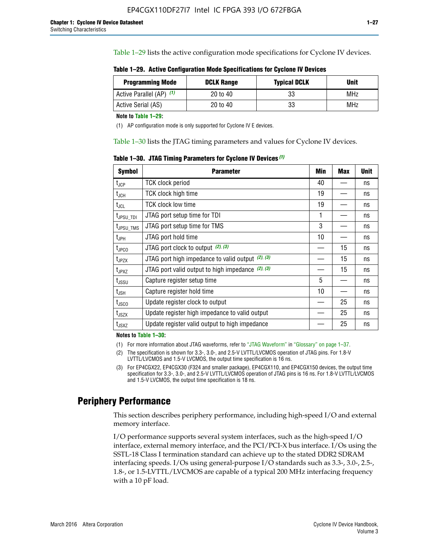Table 1–29 lists the active configuration mode specifications for Cyclone IV devices.

**Table 1–29. Active Configuration Mode Specifications for Cyclone IV Devices**

| <b>Programming Mode</b>  | <b>DCLK Range</b> | <b>Typical DCLK</b> | <b>Unit</b> |
|--------------------------|-------------------|---------------------|-------------|
| Active Parallel (AP) (1) | 20 to 40          | 33                  | MHz         |
| Active Serial (AS)       | 20 to 40          | 33                  | MHz         |

**Note to Table 1–29:**

(1) AP configuration mode is only supported for Cyclone IV E devices.

Table 1–30 lists the JTAG timing parameters and values for Cyclone IV devices.

**Table 1–30. JTAG Timing Parameters for Cyclone IV Devices** *(1)*

| <b>Symbol</b>                | <b>Parameter</b>                                       | Min | <b>Max</b> | <b>Unit</b> |
|------------------------------|--------------------------------------------------------|-----|------------|-------------|
| $t_{JCP}$                    | <b>TCK clock period</b>                                | 40  |            | ns          |
| t <sub>JCH</sub>             | <b>TCK clock high time</b>                             | 19  |            | ns          |
| $t_{JCL}$                    | TCK clock low time                                     | 19  |            | ns          |
| t <sub>JPSU_TDI</sub>        | JTAG port setup time for TDI                           | 1   |            | ns          |
| t <sub>JPSU_TMS</sub>        | JTAG port setup time for TMS                           | 3   |            | ns          |
| t <sub>JPH</sub>             | JTAG port hold time                                    | 10  |            | ns          |
| t <sub>JPCO</sub>            | JTAG port clock to output $(2)$ , $(3)$                |     | 15         | ns          |
| $t_{JPZX}$                   | JTAG port high impedance to valid output $(2)$ , $(3)$ |     | 15         | ns          |
| t <sub>JPXZ</sub>            | JTAG port valid output to high impedance $(2)$ , $(3)$ |     | 15         | ns          |
| $t_{\rm JSSU}$               | Capture register setup time                            | 5   |            | ns          |
| $\mathsf{t}_{\mathsf{JSH}}$  | Capture register hold time                             | 10  |            | ns          |
| $t_{\rm JSCO}$               | Update register clock to output                        |     | 25         | ns          |
| $t_{\footnotesize \rm JSZX}$ | Update register high impedance to valid output         |     | 25         | ns          |
| t <sub>JSXZ</sub>            | Update register valid output to high impedance         |     | 25         | ns          |

**Notes to Table 1–30:**

(1) For more information about JTAG waveforms, refer to "JTAG Waveform" in "Glossary" on page 1–37.

(2) The specification is shown for 3.3-, 3.0-, and 2.5-V LVTTL/LVCMOS operation of JTAG pins. For 1.8-V LVTTL/LVCMOS and 1.5-V LVCMOS, the output time specification is 16 ns.

(3) For EP4CGX22, EP4CGX30 (F324 and smaller package), EP4CGX110, and EP4CGX150 devices, the output time specification for 3.3-, 3.0-, and 2.5-V LVTTL/LVCMOS operation of JTAG pins is 16 ns. For 1.8-V LVTTL/LVCMOS and 1.5-V LVCMOS, the output time specification is 18 ns.

### **Periphery Performance**

This section describes periphery performance, including high-speed I/O and external memory interface.

I/O performance supports several system interfaces, such as the high-speed I/O interface, external memory interface, and the PCI/PCI-X bus interface. I/Os using the SSTL-18 Class I termination standard can achieve up to the stated DDR2 SDRAM interfacing speeds. I/Os using general-purpose I/O standards such as 3.3-, 3.0-, 2.5-, 1.8-, or 1.5-LVTTL/LVCMOS are capable of a typical 200 MHz interfacing frequency with a 10 pF load.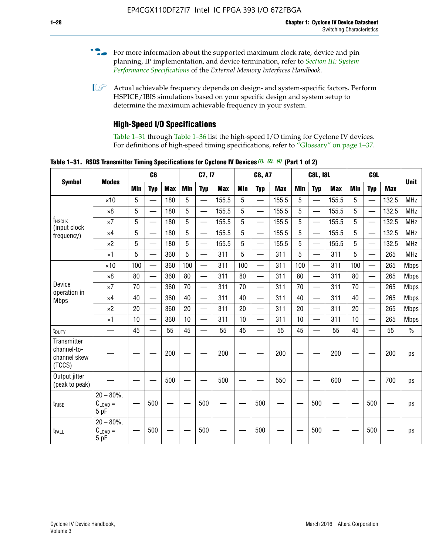- For more information about the supported maximum clock rate, device and pin planning, IP implementation, and device termination, refer to *[Section III: System](http://www.altera.com/literature/hb/external-memory/emi_intro_specs.pdf)  [Performance Specifications](http://www.altera.com/literature/hb/external-memory/emi_intro_specs.pdf)* of the *External Memory Interfaces Handbook*.
- **1 Actual achievable frequency depends on design- and system-specific factors. Perform** HSPICE/IBIS simulations based on your specific design and system setup to determine the maximum achievable frequency in your system.

### **High-Speed I/O Specifications**

Table 1–31 through Table 1–36 list the high-speed I/O timing for Cyclone IV devices. For definitions of high-speed timing specifications, refer to "Glossary" on page 1–37.

**Table 1–31. RSDS Transmitter Timing Specifications for Cyclone IV Devices** *(1)***,** *(2)***,** *(4)* **(Part 1 of 2)**

|                                                      |                                     |            | C6                       |            |            | C7, I7                   |            |                 | <b>C8, A7</b>            |            |            | <b>C8L, I8L</b>          |            | C <sub>9</sub> L |                          |            |             |
|------------------------------------------------------|-------------------------------------|------------|--------------------------|------------|------------|--------------------------|------------|-----------------|--------------------------|------------|------------|--------------------------|------------|------------------|--------------------------|------------|-------------|
| <b>Symbol</b>                                        | <b>Modes</b>                        | <b>Min</b> | <b>Typ</b>               | <b>Max</b> | <b>Min</b> | <b>Typ</b>               | <b>Max</b> | <b>Min</b>      | <b>Typ</b>               | <b>Max</b> | <b>Min</b> | <b>Typ</b>               | <b>Max</b> | Min              | <b>Typ</b>               | <b>Max</b> | <b>Unit</b> |
|                                                      | $\times$ 10                         | 5          | $\overline{\phantom{0}}$ | 180        | 5          | —                        | 155.5      | 5               | $\overline{\phantom{0}}$ | 155.5      | 5          |                          | 155.5      | 5                |                          | 132.5      | <b>MHz</b>  |
|                                                      | $\times 8$                          | 5          |                          | 180        | 5          |                          | 155.5      | $5\phantom{.0}$ | $\overline{\phantom{0}}$ | 155.5      | 5          |                          | 155.5      | 5                |                          | 132.5      | <b>MHz</b>  |
| f <sub>HSCLK</sub><br>(input clock                   | $\times 7$                          | 5          | $\overline{\phantom{0}}$ | 180        | 5          |                          | 155.5      | 5               | $\overline{\phantom{0}}$ | 155.5      | 5          |                          | 155.5      | 5                |                          | 132.5      | <b>MHz</b>  |
| frequency)                                           | $\times$ 4                          | 5          | $\overline{\phantom{0}}$ | 180        | 5          | $\overline{\phantom{0}}$ | 155.5      | 5               | $\equiv$                 | 155.5      | 5          | $\overline{\phantom{0}}$ | 155.5      | 5                | $\overline{\phantom{0}}$ | 132.5      | <b>MHz</b>  |
|                                                      | $\times 2$                          | 5          | $\equiv$                 | 180        | 5          |                          | 155.5      | 5               | $\equiv$                 | 155.5      | 5          | $\equiv$                 | 155.5      | 5                | $\overline{\phantom{0}}$ | 132.5      | <b>MHz</b>  |
|                                                      | $\times$ 1                          | 5          |                          | 360        | 5          |                          | 311        | 5               | $\overline{\phantom{0}}$ | 311        | 5          | $\overline{\phantom{0}}$ | 311        | 5                |                          | 265        | <b>MHz</b>  |
|                                                      | $\times$ 10                         | 100        | $\overline{\phantom{0}}$ | 360        | 100        |                          | 311        | 100             | $\overline{\phantom{0}}$ | 311        | 100        | $\overline{\phantom{0}}$ | 311        | 100              |                          | 265        | <b>Mbps</b> |
|                                                      | $\times 8$                          | 80         |                          | 360        | 80         |                          | 311        | 80              | $\overline{\phantom{0}}$ | 311        | 80         | $\overline{\phantom{0}}$ | 311        | 80               | $\overline{\phantom{0}}$ | 265        | <b>Mbps</b> |
| Device<br>operation in                               | $\times 7$                          | 70         | $\overline{\phantom{0}}$ | 360        | 70         |                          | 311        | 70              | $\overline{\phantom{0}}$ | 311        | 70         | $\overline{\phantom{0}}$ | 311        | 70               | $\overline{\phantom{0}}$ | 265        | <b>Mbps</b> |
| <b>Mbps</b>                                          | $\times$ 4                          | 40         |                          | 360        | 40         |                          | 311        | 40              |                          | 311        | 40         | $\overline{\phantom{0}}$ | 311        | 40               | $\overline{\phantom{0}}$ | 265        | <b>Mbps</b> |
|                                                      | $\times 2$                          | 20         |                          | 360        | 20         | $\equiv$                 | 311        | 20              | $\overline{\phantom{0}}$ | 311        | 20         | $\overline{\phantom{0}}$ | 311        | 20               | $\equiv$                 | 265        | <b>Mbps</b> |
|                                                      | $\times$ 1                          | 10         |                          | 360        | 10         |                          | 311        | 10              |                          | 311        | 10         | $\overline{\phantom{0}}$ | 311        | 10               | $\overline{\phantom{0}}$ | 265        | <b>Mbps</b> |
| t <sub>DUTY</sub>                                    | —                                   | 45         | $\overline{\phantom{0}}$ | 55         | 45         |                          | 55         | 45              | $\overline{\phantom{0}}$ | 55         | 45         |                          | 55         | 45               |                          | 55         | $\%$        |
| Transmitter<br>channel-to-<br>channel skew<br>(TCCS) |                                     |            |                          | 200        |            |                          | 200        |                 |                          | 200        |            |                          | 200        |                  |                          | 200        | ps          |
| Output jitter<br>(peak to peak)                      |                                     |            |                          | 500        |            |                          | 500        |                 |                          | 550        |            |                          | 600        |                  |                          | 700        | ps          |
| $t_{\text{RISE}}$                                    | $20 - 80\%$<br>$C_{LOAD} =$<br>5 pF |            | 500                      |            |            | 500                      |            |                 | 500                      |            |            | 500                      |            |                  | 500                      |            | ps          |
| t <sub>FALL</sub>                                    | $20 - 80\%$<br>$C_{LOAD} =$<br>5 pF |            | 500                      |            |            | 500                      |            |                 | 500                      |            |            | 500                      |            |                  | 500                      |            | ps          |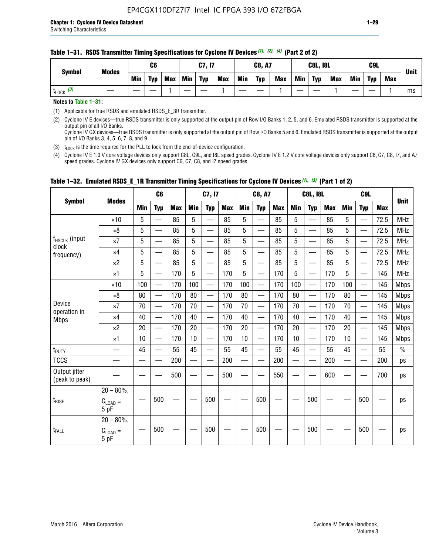#### **Table 1–31. RSDS Transmitter Timing Specifications for Cyclone IV Devices** *(1)***,** *(2)***,** *(4)* **(Part 2 of 2)**

**Notes to Table 1–31:**

(1) Applicable for true RSDS and emulated RSDS\_E\_3R transmitter.

(2) Cyclone IV E devices—true RSDS transmitter is only supported at the output pin of Row I/O Banks 1, 2, 5, and 6. Emulated RSDS transmitter is supported at the output pin of all I/O Banks. Cyclone IV GX devices—true RSDS transmitter is only supported at the output pin of Row I/O Banks 5 and 6. Emulated RSDS transmitter is supported at the output

pin of I/O Banks 3, 4, 5, 6, 7, 8, and 9.

(3)  $t_{\text{LOCK}}$  is the time required for the PLL to lock from the end-of-device configuration.

(4) Cyclone IV E 1.0 V core voltage devices only support C8L, C9L, and I8L speed grades. Cyclone IV E 1.2 V core voltage devices only support C6, C7, C8, I7, and A7 speed grades. Cyclone IV GX devices only support C6, C7, C8, and I7 speed grades.

|                                 |                                              |     | C <sub>6</sub>           |     |            | C7, I7                   |            |               | <b>C8, A7</b>                  |            |            | <b>C8L, I8L</b>          |            |            | C <sub>9</sub> L         |            | <b>Unit</b>   |
|---------------------------------|----------------------------------------------|-----|--------------------------|-----|------------|--------------------------|------------|---------------|--------------------------------|------------|------------|--------------------------|------------|------------|--------------------------|------------|---------------|
| <b>Symbol</b>                   | <b>Modes</b>                                 | Min | <b>Typ</b>               | Max | <b>Min</b> | <b>Typ</b>               | <b>Max</b> | <b>Min</b>    | <b>Typ</b>                     | <b>Max</b> | <b>Min</b> | <b>Typ</b>               | <b>Max</b> | <b>Min</b> | <b>Typ</b>               | <b>Max</b> |               |
|                                 | $\times$ 10                                  | 5   | $\equiv$                 | 85  | 5          |                          | 85         | 5             | $\overline{\phantom{0}}$       | 85         | 5          | $\overline{\phantom{0}}$ | 85         | 5          |                          | 72.5       | <b>MHz</b>    |
|                                 | $\times 8$                                   | 5   | $\overline{\phantom{0}}$ | 85  | 5          | $\sim$                   | 85         | 5             | —                              | 85         | 5          | $\overline{\phantom{0}}$ | 85         | 5          |                          | 72.5       | <b>MHz</b>    |
| f <sub>HSCLK</sub> (input       | $\times 7$                                   | 5   | $\overline{\phantom{0}}$ | 85  | 5          |                          | 85         | 5             | —                              | 85         | 5          | —                        | 85         | 5          |                          | 72.5       | <b>MHz</b>    |
| clock<br>frequency)             | $\times$ 4                                   | 5   | —                        | 85  | 5          | $\overline{\phantom{a}}$ | 85         | 5             | $\overline{\phantom{0}}$       | 85         | 5          | $\overline{\phantom{0}}$ | 85         | 5          |                          | 72.5       | <b>MHz</b>    |
|                                 | $\times 2$                                   | 5   | $\qquad \qquad$          | 85  | 5          | $\sim$                   | 85         | 5             | $\overline{\phantom{0}}$       | 85         | 5          | $\overline{\phantom{0}}$ | 85         | 5          |                          | 72.5       | <b>MHz</b>    |
|                                 | $\times$ 1                                   | 5   | —                        | 170 | 5          |                          | 170        | 5             | $\overline{\phantom{0}}$       | 170        | 5          | $\overline{\phantom{0}}$ | 170        | 5          |                          | 145        | <b>MHz</b>    |
|                                 | $\times$ 10                                  | 100 | $\overline{\phantom{0}}$ | 170 | 100        |                          | 170        | 100           | $\overline{\phantom{0}}$       | 170        | 100        | $\overline{\phantom{0}}$ | 170        | 100        |                          | 145        | <b>Mbps</b>   |
|                                 | $\times 8$                                   | 80  | $\overline{\phantom{0}}$ | 170 | 80         | $\overline{\phantom{0}}$ | 170        | 80            | $\overline{\phantom{0}}$       | 170        | 80         | $\overline{\phantom{0}}$ | 170        | 80         |                          | 145        | <b>Mbps</b>   |
| Device                          | $\times 7$                                   | 70  | $\qquad \qquad$          | 170 | 70         | —                        | 170        | 70            | $\qquad \qquad \longleftarrow$ | 170        | 70         | $\overline{\phantom{0}}$ | 170        | 70         | $\hspace{0.05cm}$        | 145        | <b>Mbps</b>   |
| operation in<br><b>Mbps</b>     | $\times$ 4                                   | 40  | $\qquad \qquad$          | 170 | 40         | —                        | 170        | 40            | $\overline{\phantom{0}}$       | 170        | 40         | $\overline{\phantom{0}}$ | 170        | 40         |                          | 145        | <b>Mbps</b>   |
|                                 | $\times 2$                                   | 20  | $\overline{\phantom{0}}$ | 170 | 20         | —<br>—                   | 170        | 20            | $\overline{\phantom{0}}$       | 170        | 20         | $\overline{\phantom{0}}$ | 170        | 20         | $\overline{\phantom{0}}$ | 145        | <b>Mbps</b>   |
|                                 | $\times$ 1                                   | 10  | $\overline{\phantom{0}}$ | 170 | 10         | $\overline{\phantom{0}}$ | 170        | 10            | $\overline{\phantom{0}}$       | 170        | 10         | $\overline{\phantom{0}}$ | 170        | 10         | $\overline{\phantom{0}}$ | 145        | <b>Mbps</b>   |
| $t_{\text{DUTY}}$               |                                              | 45  |                          | 55  | 45         |                          | 55         | 45            |                                | 55         | 45         | $\overline{\phantom{0}}$ | 55         | 45         |                          | 55         | $\frac{0}{0}$ |
| <b>TCCS</b>                     |                                              |     |                          | 200 |            |                          | 200        | e de la provi |                                | 200        |            | $\overline{\phantom{0}}$ | 200        |            |                          | 200        | ps            |
| Output jitter<br>(peak to peak) |                                              |     |                          | 500 |            |                          | 500        |               |                                | 550        |            |                          | 600        |            |                          | 700        | ps            |
| $t_{\text{RISE}}$               | $20 - 80\%$ ,<br>$C_{\text{LOAD}} =$<br>5 pF |     | 500                      |     |            | 500                      |            |               | 500                            |            |            | 500                      |            |            | 500                      |            | ps            |
| $t_{FALL}$                      | $20 - 80\%$ ,<br>$C_{LOAD} =$<br>5 pF        |     | 500                      |     |            | 500                      |            |               | 500                            |            |            | 500                      |            |            | 500                      |            | ps            |

### **Table 1–32. Emulated RSDS\_E\_1R Transmitter Timing Specifications for Cyclone IV Devices** *(1), (3)* **(Part 1 of 2)**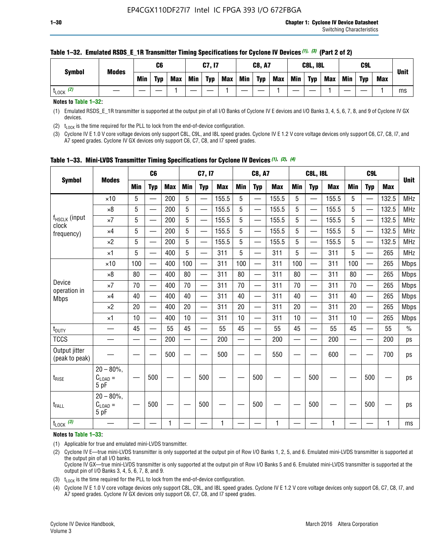| <b>Symbol</b> | <b>Modes</b> |     | C6         |            |     | C7, I7     |            |     | <b>C8, A7</b> |            |            | <b>C8L, I8L</b> |            |     | C <sub>9</sub> L |            | <b>Unit</b> |
|---------------|--------------|-----|------------|------------|-----|------------|------------|-----|---------------|------------|------------|-----------------|------------|-----|------------------|------------|-------------|
|               |              | Min | <b>Typ</b> | <b>Max</b> | Min | <b>Typ</b> | <b>Max</b> | Min | <b>Typ</b>    | <b>Max</b> | <b>Min</b> | <b>Typ</b>      | <b>Max</b> | Min | <b>Tvp</b>       | <b>Max</b> |             |
| (2)<br>LOCK   |              |     |            |            |     |            |            |     |               |            |            |                 |            |     |                  |            | ms          |

#### **Table 1–32. Emulated RSDS\_E\_1R Transmitter Timing Specifications for Cyclone IV Devices** *(1), (3)* **(Part 2 of 2)**

**Notes to Table 1–32:**

(1) Emulated RSDS\_E\_1R transmitter is supported at the output pin of all I/O Banks of Cyclone IV E devices and I/O Banks 3, 4, 5, 6, 7, 8, and 9 of Cyclone IV GX devices.

(2)  $t_{\text{LOCK}}$  is the time required for the PLL to lock from the end-of-device configuration.

(3) Cyclone IV E 1.0 V core voltage devices only support C8L, C9L, and I8L speed grades. Cyclone IV E 1.2 V core voltage devices only support C6, C7, C8, I7, and A7 speed grades. Cyclone IV GX devices only support C6, C7, C8, and I7 speed grades.

|                                    |                                            |            | C <sub>6</sub>                |            |                          | C7, I7                   |            |            | <b>C8, A7</b>            |              |                          | <b>C8L, I8L</b>          |            |            | C <sub>9</sub> L         |            |               |
|------------------------------------|--------------------------------------------|------------|-------------------------------|------------|--------------------------|--------------------------|------------|------------|--------------------------|--------------|--------------------------|--------------------------|------------|------------|--------------------------|------------|---------------|
| <b>Symbol</b>                      | <b>Modes</b>                               | <b>Min</b> | <b>Typ</b>                    | <b>Max</b> | <b>Min</b>               | <b>Typ</b>               | <b>Max</b> | <b>Min</b> | <b>Typ</b>               | <b>Max</b>   | <b>Min</b>               | <b>Typ</b>               | <b>Max</b> | <b>Min</b> | <b>Typ</b>               | <b>Max</b> | <b>Unit</b>   |
|                                    | $\times$ 10                                | 5          |                               | 200        | 5                        |                          | 155.5      | 5          | $\overline{\phantom{0}}$ | 155.5        | 5                        |                          | 155.5      | 5          |                          | 132.5      | <b>MHz</b>    |
|                                    | $\times 8$                                 | 5          |                               | 200        | 5                        | —                        | 155.5      | 5          | —                        | 155.5        | 5                        |                          | 155.5      | 5          |                          | 132.5      | <b>MHz</b>    |
| f <sub>HSCLK</sub> (input<br>clock | $\times 7$                                 | 5          | $\overline{\phantom{0}}$      | 200        | 5                        | —<br>——                  | 155.5      | 5          | —                        | 155.5        | 5                        | —                        | 155.5      | 5          |                          | 132.5      | <b>MHz</b>    |
| frequency)                         | $\times$ 4                                 | 5          |                               | 200        | 5                        | —<br>——                  | 155.5      | 5          | $\qquad \qquad$          | 155.5        | 5                        |                          | 155.5      | 5          | —                        | 132.5      | MHz           |
|                                    | $\times 2$                                 | 5          | $\overline{\phantom{0}}$      | 200        | 5                        | —                        | 155.5      | 5          | $\overline{\phantom{0}}$ | 155.5        | 5                        | $\overline{\phantom{0}}$ | 155.5      | 5          | $\overline{\phantom{0}}$ | 132.5      | <b>MHz</b>    |
|                                    | $\times$ 1                                 | 5          | $\overline{\phantom{0}}$      | 400        | 5                        | $\overline{\phantom{0}}$ | 311        | 5          | $\overline{\phantom{0}}$ | 311          | 5                        |                          | 311        | 5          | —                        | 265        | MHz           |
|                                    | $\times$ 10                                | 100        | $\overline{\phantom{0}}$      | 400        | 100                      | $\overline{\phantom{0}}$ | 311        | 100        | $\overline{\phantom{0}}$ | 311          | 100                      | $\overline{\phantom{0}}$ | 311        | 100        |                          | 265        | <b>Mbps</b>   |
|                                    | $\times 8$                                 | 80         | $\overline{\phantom{0}}$      | 400        | 80                       | $\overline{\phantom{0}}$ | 311        | 80         | $\overline{\phantom{0}}$ | 311          | 80                       | $\overline{\phantom{0}}$ | 311        | 80         |                          | 265        | <b>Mbps</b>   |
| Device                             | $\times 7$                                 | 70         | $\overline{\phantom{0}}$      | 400        | 70                       | $\equiv$                 | 311        | 70         |                          | 311          | 70                       | —                        | 311        | 70         |                          | 265        | <b>Mbps</b>   |
| operation in<br><b>Mbps</b>        | $\times$ 4                                 | 40         |                               | 400        | 40                       |                          | 311        | 40         | $\overline{\phantom{0}}$ | 311          | 40                       |                          | 311        | 40         |                          | 265        | <b>Mbps</b>   |
|                                    | $\times 2$                                 | 20         | $\overbrace{\phantom{aaaaa}}$ | 400        | 20                       | —                        | 311        | 20         | $\overline{\phantom{0}}$ | 311          | 20                       | —                        | 311        | 20         |                          | 265        | <b>Mbps</b>   |
|                                    | ×1                                         | 10         |                               | 400        | 10                       | —                        | 311        | 10         | —                        | 311          | 10                       | $\overline{\phantom{0}}$ | 311        | 10         |                          | 265        | <b>Mbps</b>   |
| t <sub>DUTY</sub>                  | __                                         | 45         |                               | 55         | 45                       | $\overline{\phantom{0}}$ | 55         | 45         | $\qquad \qquad$          | 55           | 45                       | $\overline{\phantom{0}}$ | 55         | 45         |                          | 55         | $\frac{0}{0}$ |
| <b>TCCS</b>                        |                                            |            |                               | 200        | $\overline{\phantom{0}}$ |                          | 200        |            | e e                      | 200          | $\overline{\phantom{0}}$ |                          | 200        |            |                          | 200        | ps            |
| Output jitter<br>(peak to peak)    |                                            |            |                               | 500        |                          |                          | 500        |            |                          | 550          |                          |                          | 600        |            |                          | 700        | ps            |
| $t_{\text{RISE}}$                  | $20 - 80\%$ ,<br>$C_{LOAD} =$<br>5 pF      |            | 500                           |            |                          | 500                      |            |            | 500                      |              |                          | 500                      |            |            | 500                      |            | ps            |
| t <sub>FALL</sub>                  | $20 - 80\%$<br>$C_{\text{LOAD}} =$<br>5 pF |            | 500                           |            |                          | 500                      |            |            | 500                      |              |                          | 500                      |            |            | 500                      |            | ps            |
| $t_{\text{LOCK}}$ (3)              |                                            |            |                               | 1          |                          |                          | 1          |            |                          | $\mathbf{1}$ |                          |                          | 1          |            |                          | 1          | ms            |

**Table 1–33. Mini-LVDS Transmitter Timing Specifications for Cyclone IV Devices** *(1)***,** *(2)***,** *(4)*

**Notes to Table 1–33:**

(1) Applicable for true and emulated mini-LVDS transmitter.

(2) Cyclone IV E—true mini-LVDS transmitter is only supported at the output pin of Row I/O Banks 1, 2, 5, and 6. Emulated mini-LVDS transmitter is supported at the output pin of all I/O banks.

Cyclone IV GX—true mini-LVDS transmitter is only supported at the output pin of Row I/O Banks 5 and 6. Emulated mini-LVDS transmitter is supported at the output pin of I/O Banks 3, 4, 5, 6, 7, 8, and 9.

(3)  $t_{\text{LOCK}}$  is the time required for the PLL to lock from the end-of-device configuration.

(4) Cyclone IV E 1.0 V core voltage devices only support C8L, C9L, and I8L speed grades. Cyclone IV E 1.2 V core voltage devices only support C6, C7, C8, I7, and A7 speed grades. Cyclone IV GX devices only support C6, C7, C8, and I7 speed grades.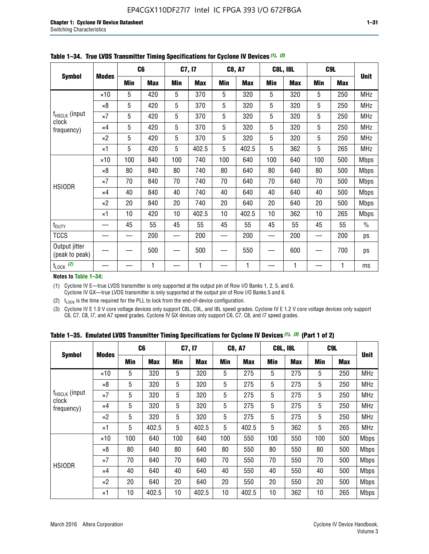|                                 |              |     | C <sub>6</sub> |     | C7, I7     |            | <b>C8, A7</b> |     | <b>C8L, I8L</b> |            | C9L        |               |
|---------------------------------|--------------|-----|----------------|-----|------------|------------|---------------|-----|-----------------|------------|------------|---------------|
| <b>Symbol</b>                   | <b>Modes</b> | Min | <b>Max</b>     | Min | <b>Max</b> | <b>Min</b> | <b>Max</b>    | Min | <b>Max</b>      | <b>Min</b> | <b>Max</b> | <b>Unit</b>   |
|                                 | $\times$ 10  | 5   | 420            | 5   | 370        | 5          | 320           | 5   | 320             | 5          | 250        | <b>MHz</b>    |
|                                 | $\times 8$   | 5   | 420            | 5   | 370        | 5          | 320           | 5   | 320             | 5          | 250        | <b>MHz</b>    |
| f <sub>HSCLK</sub> (input       | $\times 7$   | 5   | 420            | 5   | 370        | 5          | 320           | 5   | 320             | 5          | 250        | <b>MHz</b>    |
| clock<br>frequency)             | $\times$ 4   | 5   | 420            | 5   | 370        | 5          | 320           | 5   | 320             | 5          | 250        | <b>MHz</b>    |
|                                 | $\times 2$   | 5   | 420            | 5   | 370        | 5          | 320           | 5   | 320             | 5          | 250        | <b>MHz</b>    |
|                                 | $\times$ 1   | 5   | 420            | 5   | 402.5      | 5          | 402.5         | 5   | 362             | 5          | 265        | <b>MHz</b>    |
|                                 | $\times$ 10  | 100 | 840            | 100 | 740        | 100        | 640           | 100 | 640             | 100        | 500        | <b>Mbps</b>   |
|                                 | $\times 8$   | 80  | 840            | 80  | 740        | 80         | 640           | 80  | 640             | 80         | 500        | <b>Mbps</b>   |
| <b>HSIODR</b>                   | $\times 7$   | 70  | 840            | 70  | 740        | 70         | 640           | 70  | 640             | 70         | 500        | <b>Mbps</b>   |
|                                 | $\times$ 4   | 40  | 840            | 40  | 740        | 40         | 640           | 40  | 640             | 40         | 500        | <b>Mbps</b>   |
|                                 | $\times 2$   | 20  | 840            | 20  | 740        | 20         | 640           | 20  | 640             | 20         | 500        | <b>Mbps</b>   |
|                                 | $\times$ 1   | 10  | 420            | 10  | 402.5      | 10         | 402.5         | 10  | 362             | 10         | 265        | <b>Mbps</b>   |
| t <sub>DUTY</sub>               |              | 45  | 55             | 45  | 55         | 45         | 55            | 45  | 55              | 45         | 55         | $\frac{0}{0}$ |
| <b>TCCS</b>                     |              |     | 200            |     | 200        |            | 200           |     | 200             |            | 200        | ps            |
| Output jitter<br>(peak to peak) |              |     | 500            |     | 500        |            | 550           |     | 600             |            | 700        | ps            |
| $t_{\text{LOCK}}$ (2)           |              |     | 1              |     | 1          |            | 1             |     | 1               |            | 1          | ms            |

**Table 1–34. True LVDS Transmitter Timing Specifications for Cyclone IV Devices** *(1)***,** *(3)*

**Notes to Table 1–34:**

(1) Cyclone IV E—true LVDS transmitter is only supported at the output pin of Row I/O Banks 1, 2, 5, and 6. Cyclone IV GX—true LVDS transmitter is only supported at the output pin of Row I/O Banks 5 and 6.

(2)  $t_{\text{LOCK}}$  is the time required for the PLL to lock from the end-of-device configuration.

(3) Cyclone IV E 1.0 V core voltage devices only support C8L, C9L, and I8L speed grades. Cyclone IV E 1.2 V core voltage devices only support C6, C7, C8, I7, and A7 speed grades. Cyclone IV GX devices only support C6, C7, C8, and I7 speed grades.

|  |  |  |  | Table 1–35. Emulated LVDS Transmitter Timing Specifications for Cyclone IV Devices <sup>(1),</sup> <sup>(3)</sup> (Part 1 of 2) |  |  |
|--|--|--|--|---------------------------------------------------------------------------------------------------------------------------------|--|--|
|--|--|--|--|---------------------------------------------------------------------------------------------------------------------------------|--|--|

| <b>Symbol</b>               |              | C <sub>6</sub> |            | C7, I7     |            | <b>C8, A7</b> |            | <b>C8L, I8L</b> |            |            | C <sub>9</sub> L |             |
|-----------------------------|--------------|----------------|------------|------------|------------|---------------|------------|-----------------|------------|------------|------------------|-------------|
|                             | <b>Modes</b> | Min            | <b>Max</b> | <b>Min</b> | <b>Max</b> | <b>Min</b>    | <b>Max</b> | <b>Min</b>      | <b>Max</b> | <b>Min</b> | <b>Max</b>       | <b>Unit</b> |
|                             | $\times$ 10  | 5              | 320        | 5          | 320        | 5             | 275        | 5               | 275        | 5          | 250              | <b>MHz</b>  |
|                             | $\times 8$   | 5              | 320        | 5          | 320        | 5             | 275        | 5               | 275        | 5          | 250              | <b>MHz</b>  |
| $f_{HSCLK}$ (input<br>clock | $\times 7$   | 5              | 320        | 5          | 320        | 5             | 275        | 5               | 275        | 5          | 250              | <b>MHz</b>  |
| frequency)                  | $\times$ 4   | 5              | 320        | 5          | 320        | 5             | 275        | 5               | 275        | 5          | 250              | <b>MHz</b>  |
|                             | $\times 2$   | 5              | 320        | 5          | 320        | 5             | 275        | 5               | 275        | 5          | 250              | <b>MHz</b>  |
|                             | $\times$ 1   | 5              | 402.5      | 5          | 402.5      | 5             | 402.5      | 5               | 362        | 5          | 265              | <b>MHz</b>  |
|                             | $\times$ 10  | 100            | 640        | 100        | 640        | 100           | 550        | 100             | 550        | 100        | 500              | <b>Mbps</b> |
|                             | $\times 8$   | 80             | 640        | 80         | 640        | 80            | 550        | 80              | 550        | 80         | 500              | <b>Mbps</b> |
| <b>HSIODR</b>               | $\times 7$   | 70             | 640        | 70         | 640        | 70            | 550        | 70              | 550        | 70         | 500              | <b>Mbps</b> |
|                             | $\times$ 4   | 40             | 640        | 40         | 640        | 40            | 550        | 40              | 550        | 40         | 500              | <b>Mbps</b> |
|                             | $\times 2$   | 20             | 640        | 20         | 640        | 20            | 550        | 20              | 550        | 20         | 500              | <b>Mbps</b> |
|                             | $\times$ 1   | 10             | 402.5      | 10         | 402.5      | 10            | 402.5      | 10              | 362        | 10         | 265              | <b>Mbps</b> |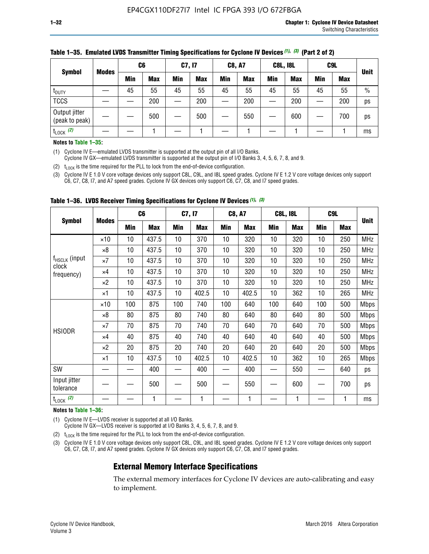| <b>Symbol</b>                   |              | C <sub>6</sub> |            | C7, I7     |            | <b>C8, A7</b> |            | <b>C8L, I8L</b> |            |            | C <sub>9</sub> L |               |
|---------------------------------|--------------|----------------|------------|------------|------------|---------------|------------|-----------------|------------|------------|------------------|---------------|
|                                 | <b>Modes</b> | Min            | <b>Max</b> | <b>Min</b> | <b>Max</b> | <b>Min</b>    | <b>Max</b> | <b>Min</b>      | <b>Max</b> | <b>Min</b> | <b>Max</b>       | <b>Unit</b>   |
| t <sub>DUTY</sub>               |              | 45             | 55         | 45         | 55         | 45            | 55         | 45              | 55         | 45         | 55               | $\frac{0}{0}$ |
| <b>TCCS</b>                     |              |                | 200        |            | 200        |               | 200        |                 | 200        |            | 200              | ps            |
| Output jitter<br>(peak to peak) |              |                | 500        |            | 500        |               | 550        |                 | 600        |            | 700              | ps            |
| $t_{\text{LOCK}}$ (2)           |              |                |            |            |            |               |            |                 |            |            |                  | ms            |

#### **Table 1–35. Emulated LVDS Transmitter Timing Specifications for Cyclone IV Devices** *(1)***,** *(3)* **(Part 2 of 2)**

#### **Notes to Table 1–35:**

(1) Cyclone IV E—emulated LVDS transmitter is supported at the output pin of all I/O Banks.

Cyclone IV GX—emulated LVDS transmitter is supported at the output pin of I/O Banks 3, 4, 5, 6, 7, 8, and 9.

(2)  $t_{\text{LOCK}}$  is the time required for the PLL to lock from the end-of-device configuration.

(3) Cyclone IV E 1.0 V core voltage devices only support C8L, C9L, and I8L speed grades. Cyclone IV E 1.2 V core voltage devices only support C6, C7, C8, I7, and A7 speed grades. Cyclone IV GX devices only support C6, C7, C8, and I7 speed grades.

| <b>Symbol</b>                      |              |     | C <sub>6</sub> | C7, I7          |            | <b>C8, A7</b> |            | <b>C8L, I8L</b> |            | C <sub>9</sub> L |            |             |
|------------------------------------|--------------|-----|----------------|-----------------|------------|---------------|------------|-----------------|------------|------------------|------------|-------------|
|                                    | <b>Modes</b> | Min | <b>Max</b>     | <b>Min</b>      | <b>Max</b> | Min           | <b>Max</b> | Min             | <b>Max</b> | Min              | <b>Max</b> | <b>Unit</b> |
|                                    | $\times$ 10  | 10  | 437.5          | 10 <sup>°</sup> | 370        | 10            | 320        | 10              | 320        | 10               | 250        | <b>MHz</b>  |
|                                    | $\times 8$   | 10  | 437.5          | 10              | 370        | 10            | 320        | 10              | 320        | 10               | 250        | <b>MHz</b>  |
| f <sub>HSCLK</sub> (input<br>clock | $\times 7$   | 10  | 437.5          | 10              | 370        | 10            | 320        | 10              | 320        | 10               | 250        | <b>MHz</b>  |
| frequency)                         | $\times 4$   | 10  | 437.5          | 10              | 370        | 10            | 320        | 10              | 320        | 10               | 250        | <b>MHz</b>  |
|                                    | $\times 2$   | 10  | 437.5          | 10              | 370        | 10            | 320        | 10              | 320        | 10               | 250        | <b>MHz</b>  |
|                                    | ×1           | 10  | 437.5          | 10 <sup>1</sup> | 402.5      | 10            | 402.5      | 10              | 362        | 10               | 265        | <b>MHz</b>  |
|                                    | $\times$ 10  | 100 | 875            | 100             | 740        | 100           | 640        | 100             | 640        | 100              | 500        | <b>Mbps</b> |
|                                    | $\times 8$   | 80  | 875            | 80              | 740        | 80            | 640        | 80              | 640        | 80               | 500        | <b>Mbps</b> |
| <b>HSIODR</b>                      | $\times 7$   | 70  | 875            | 70              | 740        | 70            | 640        | 70              | 640        | 70               | 500        | <b>Mbps</b> |
|                                    | $\times 4$   | 40  | 875            | 40              | 740        | 40            | 640        | 40              | 640        | 40               | 500        | <b>Mbps</b> |
|                                    | $\times 2$   | 20  | 875            | 20              | 740        | 20            | 640        | 20              | 640        | 20               | 500        | <b>Mbps</b> |
|                                    | ×1           | 10  | 437.5          | 10              | 402.5      | 10            | 402.5      | 10              | 362        | 10               | 265        | <b>Mbps</b> |
| SW                                 |              |     | 400            |                 | 400        |               | 400        |                 | 550        |                  | 640        | ps          |
| Input jitter<br>tolerance          |              |     | 500            |                 | 500        |               | 550        |                 | 600        |                  | 700        | ps          |
| $t_{\text{LOCK}}$ (2)              |              |     | 1              |                 | 1          |               | 1          |                 | 1          |                  | 1          | ms          |

**Table 1–36. LVDS Receiver Timing Specifications for Cyclone IV Devices** *(1)***,** *(3)*

#### **Notes to Table 1–36:**

(1) Cyclone IV E—LVDS receiver is supported at all I/O Banks.

Cyclone IV GX—LVDS receiver is supported at I/O Banks 3, 4, 5, 6, 7, 8, and 9.

(2)  $t_{\text{LOCK}}$  is the time required for the PLL to lock from the end-of-device configuration.

(3) Cyclone IV E 1.0 V core voltage devices only support C8L, C9L, and I8L speed grades. Cyclone IV E 1.2 V core voltage devices only support C6, C7, C8, I7, and A7 speed grades. Cyclone IV GX devices only support C6, C7, C8, and I7 speed grades.

#### **External Memory Interface Specifications**

The external memory interfaces for Cyclone IV devices are auto-calibrating and easy to implement.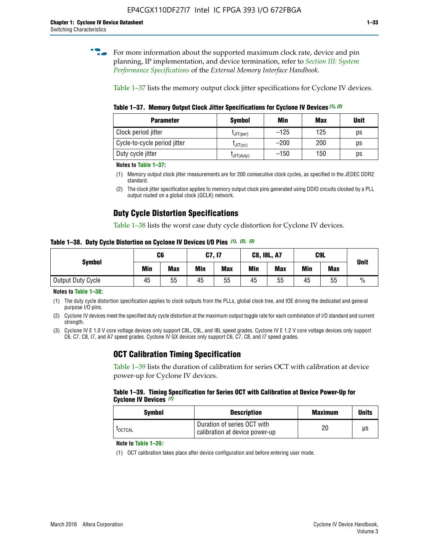**for more information about the supported maximum clock rate, device and pin** planning, IP implementation, and device termination, refer to *[Section III: System](http://www.altera.com/literature/hb/external-memory/emi_intro_specs.pdf)  [Performance Specifications](http://www.altera.com/literature/hb/external-memory/emi_intro_specs.pdf)* of the *External Memory Interface Handbook*.

Table 1–37 lists the memory output clock jitter specifications for Cyclone IV devices.

**Table 1–37. Memory Output Clock Jitter Specifications for Cyclone IV Devices** *(1)***,** *(2)*

| <b>Parameter</b>             | <b>Symbol</b>  | Min    | <b>Max</b> | <b>Unit</b> |
|------------------------------|----------------|--------|------------|-------------|
| Clock period jitter          | $L$ JIT(per)   | $-125$ | 125        | ps          |
| Cycle-to-cycle period jitter | $L$ JIT $(cc)$ | $-200$ | 200        | ps          |
| Duty cycle jitter            | LJIT(duty)     | $-150$ | 150        | рs          |

**Notes to Table 1–37:**

(1) Memory output clock jitter measurements are for 200 consecutive clock cycles, as specified in the JEDEC DDR2 standard.

(2) The clock jitter specification applies to memory output clock pins generated using DDIO circuits clocked by a PLL output routed on a global clock (GCLK) network.

### **Duty Cycle Distortion Specifications**

Table 1–38 lists the worst case duty cycle distortion for Cyclone IV devices.

**Table 1–38. Duty Cycle Distortion on Cyclone IV Devices I/O Pins** *(1)***,** *(2), (3)*

| <b>Symbol</b>     | C6         |            |            | <b>C7, I7</b> | <b>C8, I8L, A7</b> |            |     | C9L        | <b>Unit</b>   |  |
|-------------------|------------|------------|------------|---------------|--------------------|------------|-----|------------|---------------|--|
|                   | <b>Min</b> | <b>Max</b> | <b>Min</b> | <b>Max</b>    | Min                | <b>Max</b> | Min | <b>Max</b> |               |  |
| Output Duty Cycle | 45         | 55         | 45         | 55            | 45                 | 55         | 45  | 55         | $\frac{0}{0}$ |  |

**Notes to Table 1–38:**

(1) The duty cycle distortion specification applies to clock outputs from the PLLs, global clock tree, and IOE driving the dedicated and general purpose I/O pins.

(2) Cyclone IV devices meet the specified duty cycle distortion at the maximum output toggle rate for each combination of I/O standard and current strength.

(3) Cyclone IV E 1.0 V core voltage devices only support C8L, C9L, and I8L speed grades. Cyclone IV E 1.2 V core voltage devices only support C6, C7, C8, I7, and A7 speed grades. Cyclone IV GX devices only support C6, C7, C8, and I7 speed grades.

### **OCT Calibration Timing Specification**

Table 1–39 lists the duration of calibration for series OCT with calibration at device power-up for Cyclone IV devices.

#### **Table 1–39. Timing Specification for Series OCT with Calibration at Device Power-Up for Cyclone IV Devices** *(1)*

| Symbol  | <b>Description</b>                                            | <b>Maximum</b> | <b>Units</b> |
|---------|---------------------------------------------------------------|----------------|--------------|
| LOCTCAL | Duration of series OCT with<br>calibration at device power-up | 20             | μs           |

#### **Note to Table 1–39***:*

(1) OCT calibration takes place after device configuration and before entering user mode.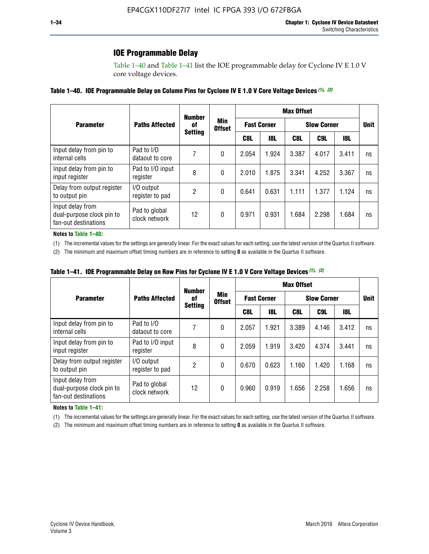### **IOE Programmable Delay**

Table 1–40 and Table 1–41 list the IOE programmable delay for Cyclone IV E 1.0 V core voltage devices.

#### **Table 1–40. IOE Programmable Delay on Column Pins for Cyclone IV E 1.0 V Core Voltage Devices** *(1)***,** *(2)*

|                                                                       |                                | <b>Number</b>  |                      | <b>Max Offset</b>  |            |       |                    |       |             |  |
|-----------------------------------------------------------------------|--------------------------------|----------------|----------------------|--------------------|------------|-------|--------------------|-------|-------------|--|
| <b>Parameter</b>                                                      | <b>Paths Affected</b>          | 0f             | Min<br><b>Offset</b> | <b>Fast Corner</b> |            |       | <b>Slow Corner</b> |       | <b>Unit</b> |  |
|                                                                       |                                | <b>Setting</b> |                      | C8L                | <b>18L</b> | C8L   | C9L                | 18L   |             |  |
| Input delay from pin to<br>internal cells                             | Pad to I/O<br>dataout to core  | 7              | 0                    | 2.054              | 1.924      | 3.387 | 4.017              | 3.411 | ns          |  |
| Input delay from pin to<br>input register                             | Pad to I/O input<br>register   | 8              | 0                    | 2.010              | 1.875      | 3.341 | 4.252              | 3.367 | ns          |  |
| Delay from output register<br>to output pin                           | I/O output<br>register to pad  | 2              | 0                    | 0.641              | 0.631      | 1.111 | 1.377              | 1.124 | ns          |  |
| Input delay from<br>dual-purpose clock pin to<br>fan-out destinations | Pad to global<br>clock network | 12             | 0                    | 0.971              | 0.931      | 1.684 | 2.298              | 1.684 | ns          |  |

#### **Notes to Table 1–40:**

(1) The incremental values for the settings are generally linear. For the exact values for each setting, use the latest version of the Quartus II software.

(2) The minimum and maximum offset timing numbers are in reference to setting **0** as available in the Quartus II software.

| Table 1–41. IOE Programmable Delay on Row Pins for Cyclone IV E 1.0 V Core Voltage Devices (1), (2) |  |  |
|-----------------------------------------------------------------------------------------------------|--|--|
|-----------------------------------------------------------------------------------------------------|--|--|

|                                                                       | <b>Number</b>                  |                |                      |                    | <b>Max Offset</b> |                    |       |       |             |  |
|-----------------------------------------------------------------------|--------------------------------|----------------|----------------------|--------------------|-------------------|--------------------|-------|-------|-------------|--|
| <b>Parameter</b>                                                      | <b>Paths Affected</b>          | 0f             | Min<br><b>Offset</b> | <b>Fast Corner</b> |                   | <b>Slow Corner</b> |       |       | <b>Unit</b> |  |
|                                                                       |                                | <b>Setting</b> |                      | C8L                | <b>18L</b>        | C8L                | C9L   | 18L   |             |  |
| Input delay from pin to<br>internal cells                             | Pad to I/O<br>dataout to core  |                | 0                    | 2.057              | 1.921             | 3.389              | 4.146 | 3.412 | ns          |  |
| Input delay from pin to<br>input register                             | Pad to I/O input<br>register   | 8              | 0                    | 2.059              | 1.919             | 3.420              | 4.374 | 3.441 | ns          |  |
| Delay from output register<br>to output pin                           | I/O output<br>register to pad  | 2              | 0                    | 0.670              | 0.623             | 1.160              | 1.420 | 1.168 | ns          |  |
| Input delay from<br>dual-purpose clock pin to<br>fan-out destinations | Pad to global<br>clock network | 12             | 0                    | 0.960              | 0.919             | 1.656              | 2.258 | 1.656 | ns          |  |

#### **Notes to Table 1–41:**

(1) The incremental values for the settings are generally linear. For the exact values for each setting, use the latest version of the Quartus II software.

(2) The minimum and maximum offset timing numbers are in reference to setting **0** as available in the Quartus II software.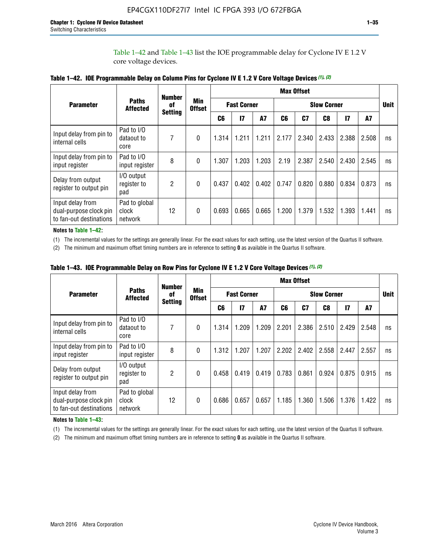Table 1–42 and Table 1–43 list the IOE programmable delay for Cyclone IV E 1.2 V core voltage devices.

|                                                                       |                                   | <b>Number</b>        |                             | <b>Max Offset</b>  |              |           |                    |       |       |               |       |             |
|-----------------------------------------------------------------------|-----------------------------------|----------------------|-----------------------------|--------------------|--------------|-----------|--------------------|-------|-------|---------------|-------|-------------|
| <b>Parameter</b>                                                      | <b>Paths</b><br><b>Affected</b>   | of<br><b>Setting</b> | <b>Min</b><br><b>Offset</b> | <b>Fast Corner</b> |              |           | <b>Slow Corner</b> |       |       |               |       | <b>Unit</b> |
|                                                                       |                                   |                      |                             | C <sub>6</sub>     | $\mathbf{I}$ | <b>A7</b> | C6                 | C7    | C8    | $\mathsf{I}7$ | A7    |             |
| Input delay from pin to<br>internal cells                             | Pad to I/O<br>dataout to<br>core  | 7                    | 0                           | 1.314              | 1.211        | 1.211     | 2.177              | 2.340 | 2.433 | 2.388         | 2.508 | ns          |
| Input delay from pin to<br>input register                             | Pad to I/O<br>input register      | 8                    | $\Omega$                    | 1.307              | 1.203        | 1.203     | 2.19               | 2.387 | 2.540 | 2.430         | 2.545 | ns          |
| Delay from output<br>register to output pin                           | I/O output<br>register to<br>pad  | 2                    | 0                           | 0.437              | 0.402        | 0.402     | 0.747              | 0.820 | 0.880 | 0.834         | 0.873 | ns          |
| Input delay from<br>dual-purpose clock pin<br>to fan-out destinations | Pad to global<br>clock<br>network | 12                   | 0                           | 0.693              | 0.665        | 0.665     | 1.200              | 1.379 | 1.532 | 1.393         | 1.441 | ns          |

**Table 1–42. IOE Programmable Delay on Column Pins for Cyclone IV E 1.2 V Core Voltage Devices** *(1)***,** *(2)*

**Notes to Table 1–42:**

(1) The incremental values for the settings are generally linear. For the exact values for each setting, use the latest version of the Quartus II software.

(2) The minimum and maximum offset timing numbers are in reference to setting **0** as available in the Quartus II software.

|                                                                       |                                   | <b>Number</b>        | Min<br><b>Offset</b> | <b>Max Offset</b>  |       |       |                    |                |       |              |       |             |
|-----------------------------------------------------------------------|-----------------------------------|----------------------|----------------------|--------------------|-------|-------|--------------------|----------------|-------|--------------|-------|-------------|
| <b>Parameter</b>                                                      | <b>Paths</b><br><b>Affected</b>   | 0f<br><b>Setting</b> |                      | <b>Fast Corner</b> |       |       | <b>Slow Corner</b> |                |       |              |       | <b>Unit</b> |
|                                                                       |                                   |                      |                      | C6                 | 17    | A7    | C6                 | C <sub>7</sub> | C8    | $\mathbf{I}$ | A7    |             |
| Input delay from pin to<br>internal cells                             | Pad to I/O<br>dataout to<br>core  | 7                    | 0                    | 1.314              | 1.209 | 1.209 | 2.201              | 2.386          | 2.510 | 2.429        | 2.548 | ns          |
| Input delay from pin to<br>input register                             | Pad to I/O<br>input register      | 8                    | $\theta$             | 1.312              | 1.207 | 1.207 | 2.202              | 2.402          | 2.558 | 2.447        | 2.557 | ns          |
| Delay from output<br>register to output pin                           | I/O output<br>register to<br>pad  | $\overline{2}$       | $\Omega$             | 0.458              | 0.419 | 0.419 | 0.783              | 0.861          | 0.924 | 0.875        | 0.915 | ns          |
| Input delay from<br>dual-purpose clock pin<br>to fan-out destinations | Pad to global<br>clock<br>network | 12                   | 0                    | 0.686              | 0.657 | 0.657 | 1.185              | 1.360          | 1.506 | 1.376        | 1.422 | ns          |

**Table 1–43. IOE Programmable Delay on Row Pins for Cyclone IV E 1.2 V Core Voltage Devices** *(1)***,** *(2)*

#### **Notes to Table 1–43:**

(1) The incremental values for the settings are generally linear. For the exact values for each setting, use the latest version of the Quartus II software.

(2) The minimum and maximum offset timing numbers are in reference to setting **0** as available in the Quartus II software.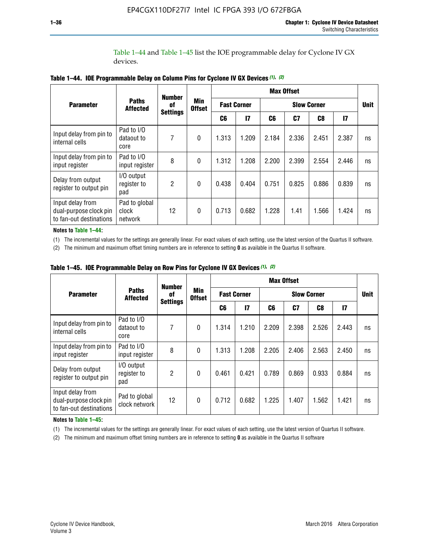Table 1–44 and Table 1–45 list the IOE programmable delay for Cyclone IV GX devices.

|                                                                       |                                   | <b>Number</b>         | <b>Min</b><br><b>Offset</b> | <b>Max Offset</b>  |               |                    |       |       |       |             |
|-----------------------------------------------------------------------|-----------------------------------|-----------------------|-----------------------------|--------------------|---------------|--------------------|-------|-------|-------|-------------|
| <b>Parameter</b>                                                      | <b>Paths</b><br><b>Affected</b>   | 0f<br><b>Settings</b> |                             | <b>Fast Corner</b> |               | <b>Slow Corner</b> |       |       |       | <b>Unit</b> |
|                                                                       |                                   |                       |                             | C6                 | $\mathsf{I}7$ | C6                 | C7    | C8    | 17    |             |
| Input delay from pin to<br>internal cells                             | Pad to I/O<br>dataout to<br>core  | 7                     | $\mathbf{0}$                | 1.313              | 1.209         | 2.184              | 2.336 | 2.451 | 2.387 | ns          |
| Input delay from pin to<br>input register                             | Pad to I/O<br>input register      | 8                     | $\mathbf{0}$                | 1.312              | 1.208         | 2.200              | 2.399 | 2.554 | 2.446 | ns          |
| Delay from output<br>register to output pin                           | I/O output<br>register to<br>pad  | $\mathfrak{p}$        | $\mathbf{0}$                | 0.438              | 0.404         | 0.751              | 0.825 | 0.886 | 0.839 | ns          |
| Input delay from<br>dual-purpose clock pin<br>to fan-out destinations | Pad to global<br>clock<br>network | 12                    | $\mathbf{0}$                | 0.713              | 0.682         | 1.228              | 1.41  | 1.566 | 1.424 | ns          |

**Table 1–44. IOE Programmable Delay on Column Pins for Cyclone IV GX Devices** *(1)***,** *(2)*

**Notes to Table 1–44:**

(1) The incremental values for the settings are generally linear. For exact values of each setting, use the latest version of the Quartus II software.

(2) The minimum and maximum offset timing numbers are in reference to setting **0** as available in the Quartus II software.

|                                                                       |                                  | <b>Number</b>         |                             | <b>Max Offset</b>  |       |                    |       |       |               |             |
|-----------------------------------------------------------------------|----------------------------------|-----------------------|-----------------------------|--------------------|-------|--------------------|-------|-------|---------------|-------------|
| <b>Parameter</b>                                                      | <b>Paths</b><br><b>Affected</b>  | 0f<br><b>Settings</b> | <b>Min</b><br><b>Offset</b> | <b>Fast Corner</b> |       | <b>Slow Corner</b> |       |       |               | <b>Unit</b> |
|                                                                       |                                  |                       |                             | C6                 | 17    | C6                 | C7    | C8    | $\mathsf{I}7$ |             |
| Input delay from pin to<br>internal cells                             | Pad to I/O<br>dataout to<br>core | 7                     | $\mathbf{0}$                | 1.314              | 1.210 | 2.209              | 2.398 | 2.526 | 2.443         | ns          |
| Input delay from pin to<br>input register                             | Pad to I/O<br>input register     | 8                     | $\mathbf{0}$                | 1.313              | 1.208 | 2.205              | 2.406 | 2.563 | 2.450         | ns          |
| Delay from output<br>register to output pin                           | I/O output<br>register to<br>pad | $\overline{2}$        | $\mathbf{0}$                | 0.461              | 0.421 | 0.789              | 0.869 | 0.933 | 0.884         | ns          |
| Input delay from<br>dual-purpose clock pin<br>to fan-out destinations | Pad to global<br>clock network   | 12                    | $\mathbf{0}$                | 0.712              | 0.682 | 1.225              | 1.407 | 1.562 | 1.421         | ns          |

**Table 1–45. IOE Programmable Delay on Row Pins for Cyclone IV GX Devices** *(1)***,** *(2)*

#### **Notes to Table 1–45:**

(1) The incremental values for the settings are generally linear. For exact values of each setting, use the latest version of Quartus II software.

(2) The minimum and maximum offset timing numbers are in reference to setting **0** as available in the Quartus II software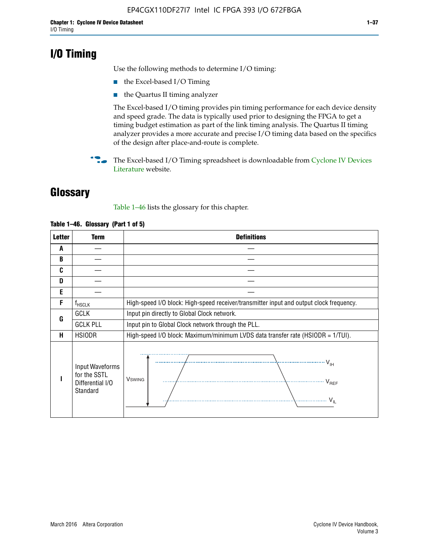# **I/O Timing**

Use the following methods to determine I/O timing:

- the Excel-based I/O Timing
- the Quartus II timing analyzer

The Excel-based I/O timing provides pin timing performance for each device density and speed grade. The data is typically used prior to designing the FPGA to get a timing budget estimation as part of the link timing analysis. The Quartus II timing analyzer provides a more accurate and precise I/O timing data based on the specifics of the design after place-and-route is complete.

**For The Excel-based I/O Timing spreadsheet is downloadable from Cyclone IV Devices** [Literature](http://www.altera.com/literature/lit-cyclone-iv.jsp) website.

# **Glossary**

Table 1–46 lists the glossary for this chapter.

| <b>Letter</b> | <b>Term</b>                                                     | <b>Definitions</b>                                                                                                                               |  |  |  |  |  |
|---------------|-----------------------------------------------------------------|--------------------------------------------------------------------------------------------------------------------------------------------------|--|--|--|--|--|
| A             |                                                                 |                                                                                                                                                  |  |  |  |  |  |
| B             |                                                                 |                                                                                                                                                  |  |  |  |  |  |
| C             |                                                                 |                                                                                                                                                  |  |  |  |  |  |
| D             |                                                                 |                                                                                                                                                  |  |  |  |  |  |
| E             |                                                                 |                                                                                                                                                  |  |  |  |  |  |
| F             | $f_{\sf HSCLK}$                                                 | High-speed I/O block: High-speed receiver/transmitter input and output clock frequency.                                                          |  |  |  |  |  |
| G             | <b>GCLK</b>                                                     | Input pin directly to Global Clock network.                                                                                                      |  |  |  |  |  |
|               | <b>GCLK PLL</b>                                                 | Input pin to Global Clock network through the PLL.                                                                                               |  |  |  |  |  |
| н             | <b>HSIODR</b>                                                   | High-speed I/O block: Maximum/minimum LVDS data transfer rate (HSIODR = 1/TUI).                                                                  |  |  |  |  |  |
|               | Input Waveforms<br>for the SSTL<br>Differential I/O<br>Standard | $\frac{1}{\sqrt{1+\frac{1}{2}}}\left\{ \frac{1}{\sqrt{1+\frac{1}{2}}}\right\}$<br><b>V</b> swing<br>$\cdots$ $V_{REF}$<br>\<br>$\sim V_{\rm IL}$ |  |  |  |  |  |

#### **Table 1–46. Glossary (Part 1 of 5)**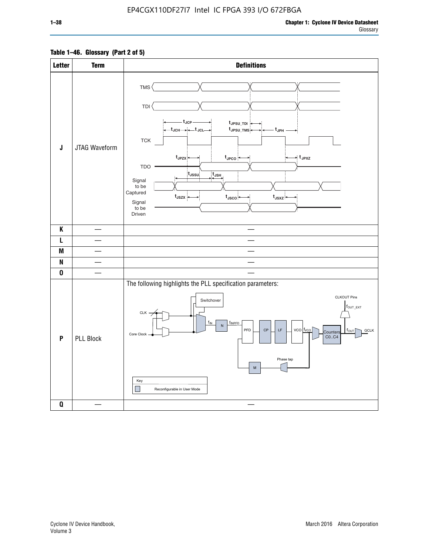#### **Table 1–46. Glossary (Part 2 of 5)**

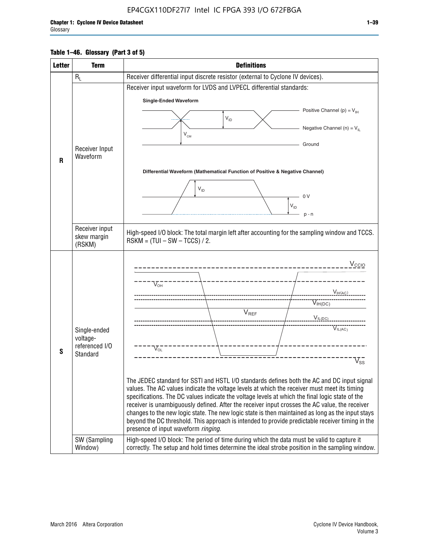#### **Table 1–46. Glossary (Part 3 of 5)**

| <b>Letter</b> | <b>Term</b>                | <b>Definitions</b>                                                                                                                                                                                |  |  |  |  |  |  |
|---------------|----------------------------|---------------------------------------------------------------------------------------------------------------------------------------------------------------------------------------------------|--|--|--|--|--|--|
|               | $R_L$                      | Receiver differential input discrete resistor (external to Cyclone IV devices).                                                                                                                   |  |  |  |  |  |  |
|               |                            | Receiver input waveform for LVDS and LVPECL differential standards:                                                                                                                               |  |  |  |  |  |  |
|               |                            | <b>Single-Ended Waveform</b>                                                                                                                                                                      |  |  |  |  |  |  |
|               |                            | Positive Channel (p) = $V_{\text{H}}$                                                                                                                                                             |  |  |  |  |  |  |
|               |                            | $V_{ID}$                                                                                                                                                                                          |  |  |  |  |  |  |
|               |                            | Negative Channel (n) = $V_{\parallel}$<br>$V_{CM}$                                                                                                                                                |  |  |  |  |  |  |
|               | Receiver Input             | Ground                                                                                                                                                                                            |  |  |  |  |  |  |
| $\mathbf{R}$  | Waveform                   |                                                                                                                                                                                                   |  |  |  |  |  |  |
|               |                            | Differential Waveform (Mathematical Function of Positive & Negative Channel)                                                                                                                      |  |  |  |  |  |  |
|               |                            |                                                                                                                                                                                                   |  |  |  |  |  |  |
|               |                            | $V_{ID}$                                                                                                                                                                                          |  |  |  |  |  |  |
|               |                            | 0 <sup>V</sup><br>$V_{ID}$                                                                                                                                                                        |  |  |  |  |  |  |
|               |                            | $p - n$                                                                                                                                                                                           |  |  |  |  |  |  |
|               | Receiver input             |                                                                                                                                                                                                   |  |  |  |  |  |  |
|               | skew margin                | High-speed I/O block: The total margin left after accounting for the sampling window and TCCS.<br>$RSKM = (TUI - SW - TCCS) / 2.$                                                                 |  |  |  |  |  |  |
|               | (RSKM)                     |                                                                                                                                                                                                   |  |  |  |  |  |  |
|               |                            | $V_{CCIO}$                                                                                                                                                                                        |  |  |  |  |  |  |
|               |                            |                                                                                                                                                                                                   |  |  |  |  |  |  |
|               |                            | $V_{\text{\tiny OH}}^-$                                                                                                                                                                           |  |  |  |  |  |  |
|               |                            | V <sub>IH</sub> (AC)                                                                                                                                                                              |  |  |  |  |  |  |
|               |                            | $V_{IH(DC)}$<br>V <sub>REF</sub>                                                                                                                                                                  |  |  |  |  |  |  |
|               |                            | $V_{I L (DC)}$                                                                                                                                                                                    |  |  |  |  |  |  |
|               | Single-ended               | $\overline{V_{IL(AC)}}$                                                                                                                                                                           |  |  |  |  |  |  |
|               | voltage-<br>referenced I/O |                                                                                                                                                                                                   |  |  |  |  |  |  |
| S             | Standard                   | $V_{OL}$                                                                                                                                                                                          |  |  |  |  |  |  |
|               |                            | $\overline{V}_{\text{SS}}$                                                                                                                                                                        |  |  |  |  |  |  |
|               |                            | The JEDEC standard for SSTI and HSTL I/O standards defines both the AC and DC input signal                                                                                                        |  |  |  |  |  |  |
|               |                            | values. The AC values indicate the voltage levels at which the receiver must meet its timing                                                                                                      |  |  |  |  |  |  |
|               |                            | specifications. The DC values indicate the voltage levels at which the final logic state of the<br>receiver is unambiguously defined. After the receiver input crosses the AC value, the receiver |  |  |  |  |  |  |
|               |                            | changes to the new logic state. The new logic state is then maintained as long as the input stays                                                                                                 |  |  |  |  |  |  |
|               |                            | beyond the DC threshold. This approach is intended to provide predictable receiver timing in the                                                                                                  |  |  |  |  |  |  |
|               | SW (Sampling               | presence of input waveform ringing.<br>High-speed I/O block: The period of time during which the data must be valid to capture it                                                                 |  |  |  |  |  |  |
|               | Window)                    | correctly. The setup and hold times determine the ideal strobe position in the sampling window.                                                                                                   |  |  |  |  |  |  |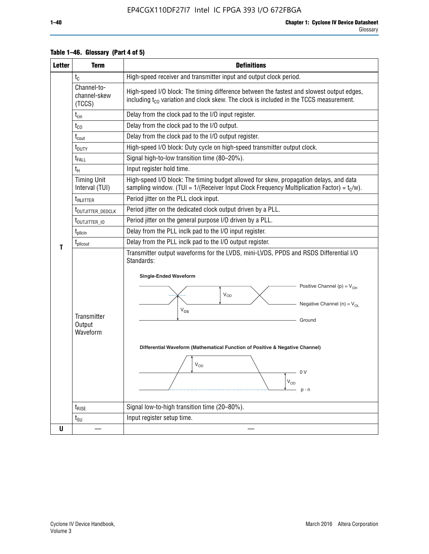| <b>Letter</b> | <b>Term</b>                           | <b>Definitions</b>                                                                                                                                                                                                                                                                                                                                                |  |  |  |  |
|---------------|---------------------------------------|-------------------------------------------------------------------------------------------------------------------------------------------------------------------------------------------------------------------------------------------------------------------------------------------------------------------------------------------------------------------|--|--|--|--|
|               | $t_{\rm C}$                           | High-speed receiver and transmitter input and output clock period.                                                                                                                                                                                                                                                                                                |  |  |  |  |
|               | Channel-to-<br>channel-skew<br>(TCCS) | High-speed I/O block: The timing difference between the fastest and slowest output edges,<br>including t <sub>co</sub> variation and clock skew. The clock is included in the TCCS measurement.                                                                                                                                                                   |  |  |  |  |
|               | $t_{\text{cin}}$                      | Delay from the clock pad to the I/O input register.                                                                                                                                                                                                                                                                                                               |  |  |  |  |
|               | $t_{CO}$                              | Delay from the clock pad to the I/O output.                                                                                                                                                                                                                                                                                                                       |  |  |  |  |
|               | $t_{\text{cout}}$                     | Delay from the clock pad to the I/O output register.                                                                                                                                                                                                                                                                                                              |  |  |  |  |
|               | t <sub>DUTY</sub>                     | High-speed I/O block: Duty cycle on high-speed transmitter output clock.                                                                                                                                                                                                                                                                                          |  |  |  |  |
|               | t <sub>FALL</sub>                     | Signal high-to-low transition time (80-20%).                                                                                                                                                                                                                                                                                                                      |  |  |  |  |
|               | $t_H$                                 | Input register hold time.                                                                                                                                                                                                                                                                                                                                         |  |  |  |  |
|               | <b>Timing Unit</b><br>Interval (TUI)  | High-speed I/O block: The timing budget allowed for skew, propagation delays, and data<br>sampling window. (TUI = $1/($ Receiver Input Clock Frequency Multiplication Factor) = $t_c/w$ ).                                                                                                                                                                        |  |  |  |  |
|               | t <sub>INJITTER</sub>                 | Period jitter on the PLL clock input.                                                                                                                                                                                                                                                                                                                             |  |  |  |  |
|               | t <sub>outjitter_dedclk</sub>         | Period jitter on the dedicated clock output driven by a PLL.                                                                                                                                                                                                                                                                                                      |  |  |  |  |
|               | t <sub>outjitter_io</sub>             | Period jitter on the general purpose I/O driven by a PLL.                                                                                                                                                                                                                                                                                                         |  |  |  |  |
|               | $t_{\text{pllcin}}$                   | Delay from the PLL inclk pad to the I/O input register.                                                                                                                                                                                                                                                                                                           |  |  |  |  |
| т             | t <sub>plicout</sub>                  | Delay from the PLL inclk pad to the I/O output register.                                                                                                                                                                                                                                                                                                          |  |  |  |  |
|               | Transmitter<br>Output<br>Waveform     | Transmitter output waveforms for the LVDS, mini-LVDS, PPDS and RSDS Differential I/O<br>Standards:<br><b>Single-Ended Waveform</b><br>Positive Channel (p) = $V_{OH}$<br>VOD<br>Negative Channel (n) = $V_{OL}$<br>$V_{OS}$<br>Ground<br>Differential Waveform (Mathematical Function of Positive & Negative Channel)<br>$V_{OD}$<br>- 0 V<br>$V_{OD}$<br>$p - n$ |  |  |  |  |
|               | $t_{\text{RISE}}$                     | Signal low-to-high transition time (20-80%).                                                                                                                                                                                                                                                                                                                      |  |  |  |  |
|               | $t_{\scriptstyle\text{SU}}$           | Input register setup time.                                                                                                                                                                                                                                                                                                                                        |  |  |  |  |
| U             |                                       |                                                                                                                                                                                                                                                                                                                                                                   |  |  |  |  |

#### **Table 1–46. Glossary (Part 4 of 5)**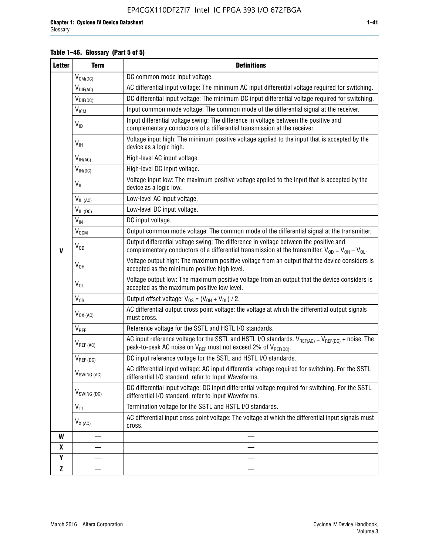#### **Table 1–46. Glossary (Part 5 of 5)**

| <b>Letter</b> | <b>Term</b>               | <b>Definitions</b>                                                                                                                                                                                |
|---------------|---------------------------|---------------------------------------------------------------------------------------------------------------------------------------------------------------------------------------------------|
|               | $V_{CM(DC)}$              | DC common mode input voltage.                                                                                                                                                                     |
|               | $V_{DIF(AC)}$             | AC differential input voltage: The minimum AC input differential voltage required for switching.                                                                                                  |
|               | $V_{DIF(DC)}$             | DC differential input voltage: The minimum DC input differential voltage required for switching.                                                                                                  |
|               | V <sub>ICM</sub>          | Input common mode voltage: The common mode of the differential signal at the receiver.                                                                                                            |
|               | $V_{ID}$                  | Input differential voltage swing: The difference in voltage between the positive and<br>complementary conductors of a differential transmission at the receiver.                                  |
|               | $V_{\text{IH}}$           | Voltage input high: The minimum positive voltage applied to the input that is accepted by the<br>device as a logic high.                                                                          |
|               | $V_{IH(AC)}$              | High-level AC input voltage.                                                                                                                                                                      |
|               | $V_{IH(DC)}$              | High-level DC input voltage.                                                                                                                                                                      |
|               | $V_{IL}$                  | Voltage input low: The maximum positive voltage applied to the input that is accepted by the<br>device as a logic low.                                                                            |
|               | $V_{IL(AC)}$              | Low-level AC input voltage.                                                                                                                                                                       |
|               | $V_{IL(DC)}$              | Low-level DC input voltage.                                                                                                                                                                       |
|               | $V_{\text{IN}}$           | DC input voltage.                                                                                                                                                                                 |
|               | $V_{OCM}$                 | Output common mode voltage: The common mode of the differential signal at the transmitter.                                                                                                        |
| $\mathbf{V}$  | $V_{OD}$                  | Output differential voltage swing: The difference in voltage between the positive and<br>complementary conductors of a differential transmission at the transmitter. $V_{OD} = V_{OH} - V_{OL}$ . |
|               | $V_{OH}$                  | Voltage output high: The maximum positive voltage from an output that the device considers is<br>accepted as the minimum positive high level.                                                     |
|               | $V_{OL}$                  | Voltage output low: The maximum positive voltage from an output that the device considers is<br>accepted as the maximum positive low level.                                                       |
|               | $V_{OS}$                  | Output offset voltage: $V_{OS} = (V_{OH} + V_{OL}) / 2$ .                                                                                                                                         |
|               | $V_{OX (AC)}$             | AC differential output cross point voltage: the voltage at which the differential output signals<br>must cross.                                                                                   |
|               | V <sub>REF</sub>          | Reference voltage for the SSTL and HSTL I/O standards.                                                                                                                                            |
|               | $V_{REF\,(AC)}$           | AC input reference voltage for the SSTL and HSTL I/O standards. $V_{REF(AC)} = V_{REF(DC)} + noise$ . The<br>peak-to-peak AC noise on $V_{REF}$ must not exceed 2% of $V_{REF(DC)}$ .             |
|               | $V_{REF(DC)}$             | DC input reference voltage for the SSTL and HSTL I/O standards.                                                                                                                                   |
|               | $V_{\textrm{SWING (AC)}}$ | AC differential input voltage: AC input differential voltage required for switching. For the SSTL<br>differential I/O standard, refer to Input Waveforms.                                         |
|               | V <sub>SWING (DC)</sub>   | DC differential input voltage: DC input differential voltage required for switching. For the SSTL<br>differential I/O standard, refer to Input Waveforms.                                         |
|               | $V_{TT}$                  | Termination voltage for the SSTL and HSTL I/O standards.                                                                                                                                          |
|               | $V_{X (AC)}$              | AC differential input cross point voltage: The voltage at which the differential input signals must<br>cross.                                                                                     |
| W             |                           |                                                                                                                                                                                                   |
| X             |                           |                                                                                                                                                                                                   |
| Y             |                           |                                                                                                                                                                                                   |
| $\mathbf{Z}$  |                           |                                                                                                                                                                                                   |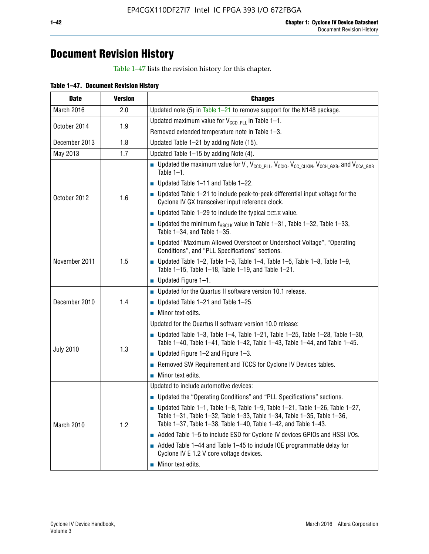# **Document Revision History**

Table 1–47 lists the revision history for this chapter.

| Table 1-47. Document Revision History |  |  |
|---------------------------------------|--|--|
|                                       |  |  |

| <b>Date</b>      | <b>Version</b> | <b>Changes</b>                                                                                                                                                                                                                            |  |  |  |  |  |
|------------------|----------------|-------------------------------------------------------------------------------------------------------------------------------------------------------------------------------------------------------------------------------------------|--|--|--|--|--|
| March 2016       | 2.0            | Updated note (5) in Table $1-21$ to remove support for the N148 package.                                                                                                                                                                  |  |  |  |  |  |
| October 2014     | 1.9            | Updated maximum value for $V_{CCD, PL}$ in Table 1-1.                                                                                                                                                                                     |  |  |  |  |  |
|                  |                | Removed extended temperature note in Table 1-3.                                                                                                                                                                                           |  |  |  |  |  |
| December 2013    | 1.8            | Updated Table 1-21 by adding Note (15).                                                                                                                                                                                                   |  |  |  |  |  |
| May 2013         | 1.7            | Updated Table 1-15 by adding Note (4).                                                                                                                                                                                                    |  |  |  |  |  |
|                  |                | <b>D</b> Updated the maximum value for $V_1$ , $V_{CCD}$ <sub>PLL</sub> , $V_{CC10}$ , $V_{CC_1CLKIN}$ , $V_{CCH_1GXB}$ , and $V_{CCA_1GXB}$<br>Table $1-1$ .                                                                             |  |  |  |  |  |
|                  |                | Updated Table 1-11 and Table 1-22.                                                                                                                                                                                                        |  |  |  |  |  |
| October 2012     | 1.6            | $\blacksquare$ Updated Table 1-21 to include peak-to-peak differential input voltage for the<br>Cyclone IV GX transceiver input reference clock.                                                                                          |  |  |  |  |  |
|                  |                | $\blacksquare$ Updated Table 1-29 to include the typical DCLK value.                                                                                                                                                                      |  |  |  |  |  |
|                  |                | <b>Updated the minimum f<sub>HSCLK</sub></b> value in Table 1-31, Table 1-32, Table 1-33,<br>Table 1-34, and Table 1-35.                                                                                                                  |  |  |  |  |  |
| November 2011    | 1.5            | • Updated "Maximum Allowed Overshoot or Undershoot Voltage", "Operating<br>Conditions", and "PLL Specifications" sections.                                                                                                                |  |  |  |  |  |
|                  |                | Updated Table 1-2, Table 1-3, Table 1-4, Table 1-5, Table 1-8, Table 1-9,<br>Table 1-15, Table 1-18, Table 1-19, and Table 1-21.                                                                                                          |  |  |  |  |  |
|                  |                | ■ Updated Figure $1-1$ .                                                                                                                                                                                                                  |  |  |  |  |  |
|                  |                | • Updated for the Quartus II software version 10.1 release.                                                                                                                                                                               |  |  |  |  |  |
| December 2010    | 1.4            | $\blacksquare$ Updated Table 1-21 and Table 1-25.                                                                                                                                                                                         |  |  |  |  |  |
|                  |                | $\blacksquare$ Minor text edits.                                                                                                                                                                                                          |  |  |  |  |  |
|                  |                | Updated for the Quartus II software version 10.0 release:                                                                                                                                                                                 |  |  |  |  |  |
|                  |                | Updated Table 1-3, Table 1-4, Table 1-21, Table 1-25, Table 1-28, Table 1-30,<br>Table 1-40, Table 1-41, Table 1-42, Table 1-43, Table 1-44, and Table 1-45.                                                                              |  |  |  |  |  |
| <b>July 2010</b> | 1.3            | ■ Updated Figure $1-2$ and Figure $1-3$ .                                                                                                                                                                                                 |  |  |  |  |  |
|                  |                | Removed SW Requirement and TCCS for Cyclone IV Devices tables.                                                                                                                                                                            |  |  |  |  |  |
|                  |                | $\blacksquare$ Minor text edits.                                                                                                                                                                                                          |  |  |  |  |  |
|                  |                | Updated to include automotive devices:                                                                                                                                                                                                    |  |  |  |  |  |
|                  |                | • Updated the "Operating Conditions" and "PLL Specifications" sections.                                                                                                                                                                   |  |  |  |  |  |
| March 2010       | 1.2            | $\blacksquare$ Updated Table 1-1, Table 1-8, Table 1-9, Table 1-21, Table 1-26, Table 1-27,<br>Table 1-31, Table 1-32, Table 1-33, Table 1-34, Table 1-35, Table 1-36,<br>Table 1-37, Table 1-38, Table 1-40, Table 1-42, and Table 1-43. |  |  |  |  |  |
|                  |                | Added Table 1-5 to include ESD for Cyclone IV devices GPIOs and HSSI I/Os.                                                                                                                                                                |  |  |  |  |  |
|                  |                | Added Table 1-44 and Table 1-45 to include IOE programmable delay for<br>Cyclone IV E 1.2 V core voltage devices.                                                                                                                         |  |  |  |  |  |
|                  |                | Minor text edits.                                                                                                                                                                                                                         |  |  |  |  |  |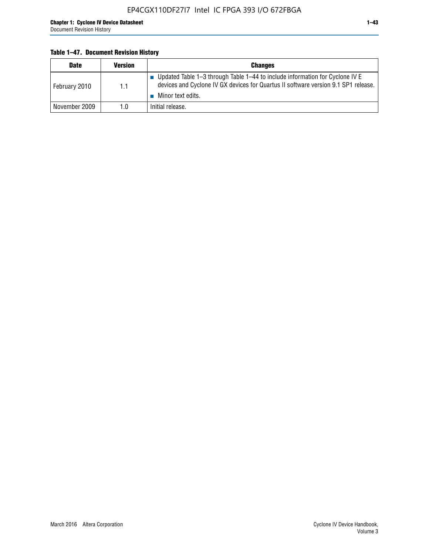#### **Table 1–47. Document Revision History**

| <b>Date</b>   | <b>Version</b> | <b>Changes</b>                                                                                                                                                                          |
|---------------|----------------|-----------------------------------------------------------------------------------------------------------------------------------------------------------------------------------------|
| February 2010 | 1.1            | Updated Table 1-3 through Table 1-44 to include information for Cyclone IV E<br>devices and Cyclone IV GX devices for Quartus II software version 9.1 SP1 release.<br>Minor text edits. |
| November 2009 | 1.0            | Initial release.                                                                                                                                                                        |